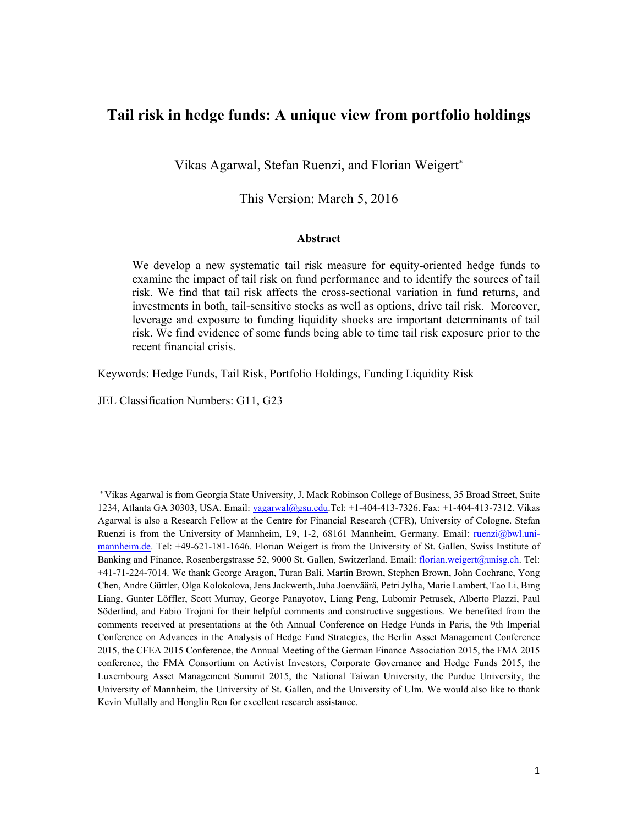# **Tail risk in hedge funds: A unique view from portfolio holdings**

Vikas Agarwal, Stefan Ruenzi, and Florian Weigert

This Version: March 5, 2016

#### **Abstract**

We develop a new systematic tail risk measure for equity-oriented hedge funds to examine the impact of tail risk on fund performance and to identify the sources of tail risk. We find that tail risk affects the cross-sectional variation in fund returns, and investments in both, tail-sensitive stocks as well as options, drive tail risk. Moreover, leverage and exposure to funding liquidity shocks are important determinants of tail risk. We find evidence of some funds being able to time tail risk exposure prior to the recent financial crisis.

Keywords: Hedge Funds, Tail Risk, Portfolio Holdings, Funding Liquidity Risk

JEL Classification Numbers: G11, G23

Vikas Agarwal is from Georgia State University, J. Mack Robinson College of Business, 35 Broad Street, Suite 1234, Atlanta GA 30303, USA. Email: vagarwal@gsu.edu.Tel: +1-404-413-7326. Fax: +1-404-413-7312. Vikas Agarwal is also a Research Fellow at the Centre for Financial Research (CFR), University of Cologne. Stefan Ruenzi is from the University of Mannheim, L9, 1-2, 68161 Mannheim, Germany. Email: ruenzi@bwl.unimannheim.de. Tel: +49-621-181-1646. Florian Weigert is from the University of St. Gallen, Swiss Institute of Banking and Finance, Rosenbergstrasse 52, 9000 St. Gallen, Switzerland. Email: florian.weigert@unisg.ch. Tel: +41-71-224-7014. We thank George Aragon, Turan Bali, Martin Brown, Stephen Brown, John Cochrane, Yong Chen, Andre Güttler, Olga Kolokolova, Jens Jackwerth, Juha Joenväärä, Petri Jylha, Marie Lambert, Tao Li, Bing Liang, Gunter Löffler, Scott Murray, George Panayotov, Liang Peng, Lubomir Petrasek, Alberto Plazzi, Paul Söderlind, and Fabio Trojani for their helpful comments and constructive suggestions. We benefited from the comments received at presentations at the 6th Annual Conference on Hedge Funds in Paris, the 9th Imperial Conference on Advances in the Analysis of Hedge Fund Strategies, the Berlin Asset Management Conference 2015, the CFEA 2015 Conference, the Annual Meeting of the German Finance Association 2015, the FMA 2015 conference, the FMA Consortium on Activist Investors, Corporate Governance and Hedge Funds 2015, the Luxembourg Asset Management Summit 2015, the National Taiwan University, the Purdue University, the University of Mannheim, the University of St. Gallen, and the University of Ulm. We would also like to thank Kevin Mullally and Honglin Ren for excellent research assistance.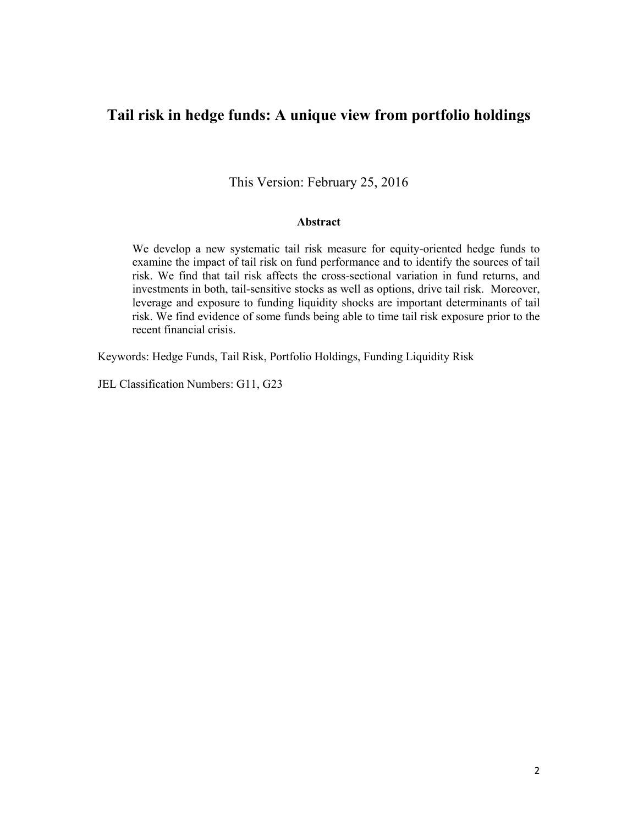# **Tail risk in hedge funds: A unique view from portfolio holdings**

This Version: February 25, 2016

#### **Abstract**

We develop a new systematic tail risk measure for equity-oriented hedge funds to examine the impact of tail risk on fund performance and to identify the sources of tail risk. We find that tail risk affects the cross-sectional variation in fund returns, and investments in both, tail-sensitive stocks as well as options, drive tail risk. Moreover, leverage and exposure to funding liquidity shocks are important determinants of tail risk. We find evidence of some funds being able to time tail risk exposure prior to the recent financial crisis.

Keywords: Hedge Funds, Tail Risk, Portfolio Holdings, Funding Liquidity Risk

JEL Classification Numbers: G11, G23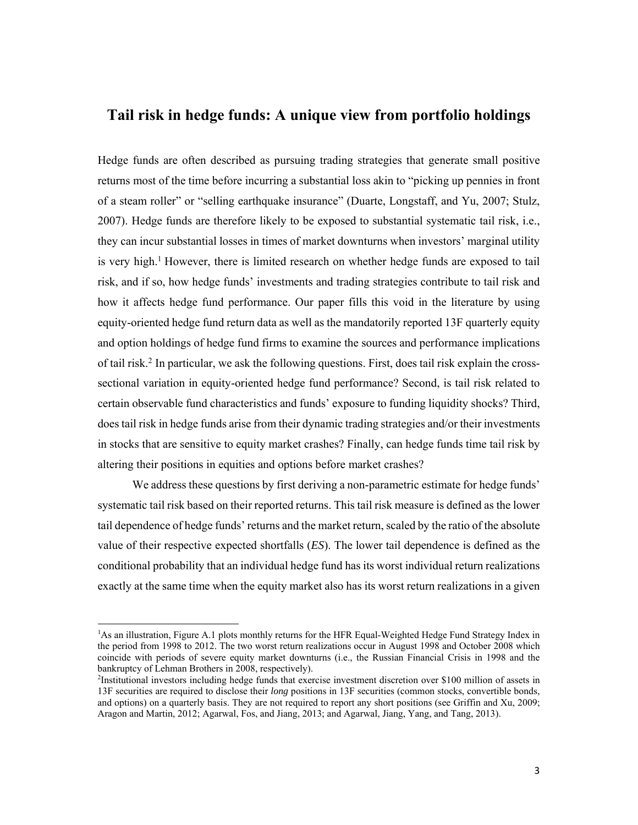# **Tail risk in hedge funds: A unique view from portfolio holdings**

Hedge funds are often described as pursuing trading strategies that generate small positive returns most of the time before incurring a substantial loss akin to "picking up pennies in front of a steam roller" or "selling earthquake insurance" (Duarte, Longstaff, and Yu, 2007; Stulz, 2007). Hedge funds are therefore likely to be exposed to substantial systematic tail risk, i.e., they can incur substantial losses in times of market downturns when investors' marginal utility is very high.<sup>1</sup> However, there is limited research on whether hedge funds are exposed to tail risk, and if so, how hedge funds' investments and trading strategies contribute to tail risk and how it affects hedge fund performance. Our paper fills this void in the literature by using equity-oriented hedge fund return data as well as the mandatorily reported 13F quarterly equity and option holdings of hedge fund firms to examine the sources and performance implications of tail risk.2 In particular, we ask the following questions. First, does tail risk explain the crosssectional variation in equity-oriented hedge fund performance? Second, is tail risk related to certain observable fund characteristics and funds' exposure to funding liquidity shocks? Third, does tail risk in hedge funds arise from their dynamic trading strategies and/or their investments in stocks that are sensitive to equity market crashes? Finally, can hedge funds time tail risk by altering their positions in equities and options before market crashes?

We address these questions by first deriving a non-parametric estimate for hedge funds' systematic tail risk based on their reported returns. This tail risk measure is defined as the lower tail dependence of hedge funds' returns and the market return, scaled by the ratio of the absolute value of their respective expected shortfalls (*ES*). The lower tail dependence is defined as the conditional probability that an individual hedge fund has its worst individual return realizations exactly at the same time when the equity market also has its worst return realizations in a given

<sup>&</sup>lt;sup>1</sup>As an illustration, Figure A.1 plots monthly returns for the HFR Equal-Weighted Hedge Fund Strategy Index in the period from 1998 to 2012. The two worst return realizations occur in August 1998 and October 2008 which coincide with periods of severe equity market downturns (i.e., the Russian Financial Crisis in 1998 and the bankruptcy of Lehman Brothers in 2008, respectively).

<sup>2</sup> Institutional investors including hedge funds that exercise investment discretion over \$100 million of assets in 13F securities are required to disclose their *long* positions in 13F securities (common stocks, convertible bonds, and options) on a quarterly basis. They are not required to report any short positions (see Griffin and Xu, 2009; Aragon and Martin, 2012; Agarwal, Fos, and Jiang, 2013; and Agarwal, Jiang, Yang, and Tang, 2013).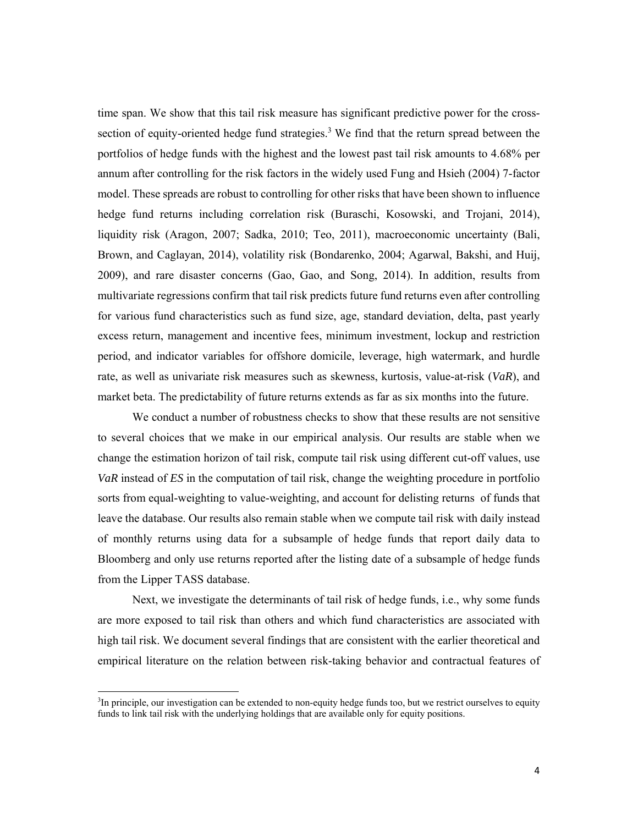time span. We show that this tail risk measure has significant predictive power for the crosssection of equity-oriented hedge fund strategies.<sup>3</sup> We find that the return spread between the portfolios of hedge funds with the highest and the lowest past tail risk amounts to 4.68% per annum after controlling for the risk factors in the widely used Fung and Hsieh (2004) 7-factor model. These spreads are robust to controlling for other risks that have been shown to influence hedge fund returns including correlation risk (Buraschi, Kosowski, and Trojani, 2014), liquidity risk (Aragon, 2007; Sadka, 2010; Teo, 2011), macroeconomic uncertainty (Bali, Brown, and Caglayan, 2014), volatility risk (Bondarenko, 2004; Agarwal, Bakshi, and Huij, 2009), and rare disaster concerns (Gao, Gao, and Song, 2014). In addition, results from multivariate regressions confirm that tail risk predicts future fund returns even after controlling for various fund characteristics such as fund size, age, standard deviation, delta, past yearly excess return, management and incentive fees, minimum investment, lockup and restriction period, and indicator variables for offshore domicile, leverage, high watermark, and hurdle rate, as well as univariate risk measures such as skewness, kurtosis, value-at-risk (*VaR*), and market beta. The predictability of future returns extends as far as six months into the future.

We conduct a number of robustness checks to show that these results are not sensitive to several choices that we make in our empirical analysis. Our results are stable when we change the estimation horizon of tail risk, compute tail risk using different cut-off values, use *VaR* instead of *ES* in the computation of tail risk, change the weighting procedure in portfolio sorts from equal-weighting to value-weighting, and account for delisting returns of funds that leave the database. Our results also remain stable when we compute tail risk with daily instead of monthly returns using data for a subsample of hedge funds that report daily data to Bloomberg and only use returns reported after the listing date of a subsample of hedge funds from the Lipper TASS database.

Next, we investigate the determinants of tail risk of hedge funds, i.e., why some funds are more exposed to tail risk than others and which fund characteristics are associated with high tail risk. We document several findings that are consistent with the earlier theoretical and empirical literature on the relation between risk-taking behavior and contractual features of

The principle, our investigation can be extended to non-equity hedge funds too, but we restrict ourselves to equity funds to link tail risk with the underlying holdings that are available only for equity positions.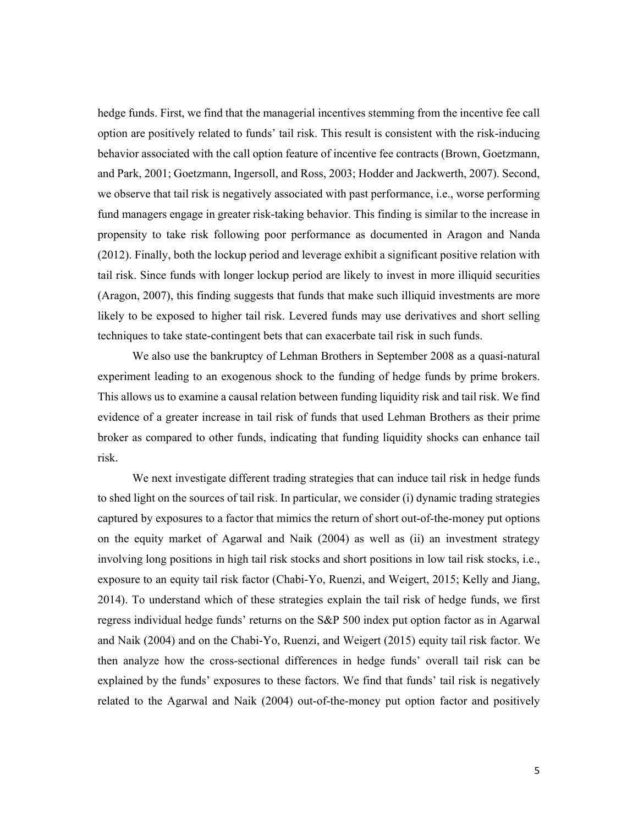hedge funds. First, we find that the managerial incentives stemming from the incentive fee call option are positively related to funds' tail risk. This result is consistent with the risk-inducing behavior associated with the call option feature of incentive fee contracts (Brown, Goetzmann, and Park, 2001; Goetzmann, Ingersoll, and Ross, 2003; Hodder and Jackwerth, 2007). Second, we observe that tail risk is negatively associated with past performance, i.e., worse performing fund managers engage in greater risk-taking behavior. This finding is similar to the increase in propensity to take risk following poor performance as documented in Aragon and Nanda (2012). Finally, both the lockup period and leverage exhibit a significant positive relation with tail risk. Since funds with longer lockup period are likely to invest in more illiquid securities (Aragon, 2007), this finding suggests that funds that make such illiquid investments are more likely to be exposed to higher tail risk. Levered funds may use derivatives and short selling techniques to take state-contingent bets that can exacerbate tail risk in such funds.

We also use the bankruptcy of Lehman Brothers in September 2008 as a quasi-natural experiment leading to an exogenous shock to the funding of hedge funds by prime brokers. This allows us to examine a causal relation between funding liquidity risk and tail risk. We find evidence of a greater increase in tail risk of funds that used Lehman Brothers as their prime broker as compared to other funds, indicating that funding liquidity shocks can enhance tail risk.

We next investigate different trading strategies that can induce tail risk in hedge funds to shed light on the sources of tail risk. In particular, we consider (i) dynamic trading strategies captured by exposures to a factor that mimics the return of short out-of-the-money put options on the equity market of Agarwal and Naik (2004) as well as (ii) an investment strategy involving long positions in high tail risk stocks and short positions in low tail risk stocks, i.e., exposure to an equity tail risk factor (Chabi-Yo, Ruenzi, and Weigert, 2015; Kelly and Jiang, 2014). To understand which of these strategies explain the tail risk of hedge funds, we first regress individual hedge funds' returns on the S&P 500 index put option factor as in Agarwal and Naik (2004) and on the Chabi-Yo, Ruenzi, and Weigert (2015) equity tail risk factor. We then analyze how the cross-sectional differences in hedge funds' overall tail risk can be explained by the funds' exposures to these factors. We find that funds' tail risk is negatively related to the Agarwal and Naik (2004) out-of-the-money put option factor and positively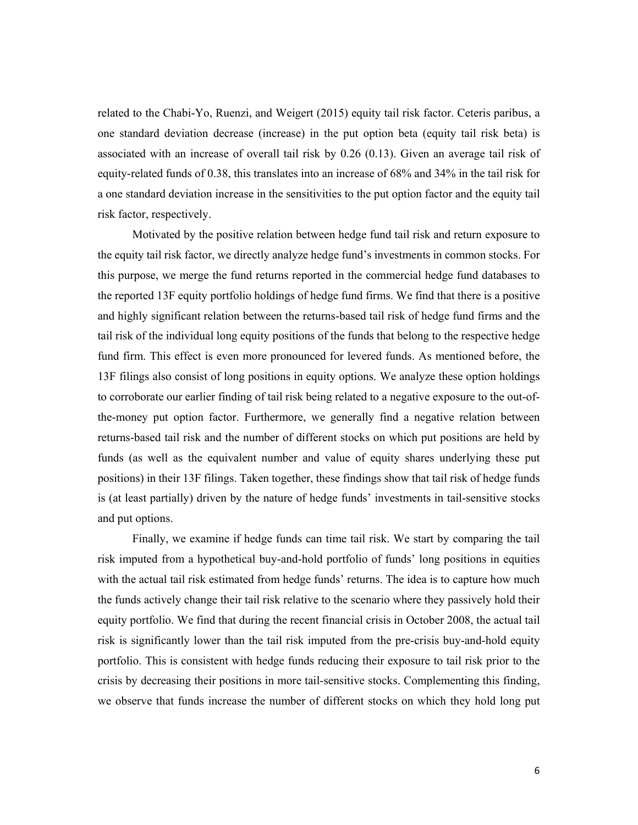related to the Chabi-Yo, Ruenzi, and Weigert (2015) equity tail risk factor. Ceteris paribus, a one standard deviation decrease (increase) in the put option beta (equity tail risk beta) is associated with an increase of overall tail risk by 0.26 (0.13). Given an average tail risk of equity-related funds of 0.38, this translates into an increase of 68% and 34% in the tail risk for a one standard deviation increase in the sensitivities to the put option factor and the equity tail risk factor, respectively.

Motivated by the positive relation between hedge fund tail risk and return exposure to the equity tail risk factor, we directly analyze hedge fund's investments in common stocks. For this purpose, we merge the fund returns reported in the commercial hedge fund databases to the reported 13F equity portfolio holdings of hedge fund firms. We find that there is a positive and highly significant relation between the returns-based tail risk of hedge fund firms and the tail risk of the individual long equity positions of the funds that belong to the respective hedge fund firm. This effect is even more pronounced for levered funds. As mentioned before, the 13F filings also consist of long positions in equity options. We analyze these option holdings to corroborate our earlier finding of tail risk being related to a negative exposure to the out-ofthe-money put option factor. Furthermore, we generally find a negative relation between returns-based tail risk and the number of different stocks on which put positions are held by funds (as well as the equivalent number and value of equity shares underlying these put positions) in their 13F filings. Taken together, these findings show that tail risk of hedge funds is (at least partially) driven by the nature of hedge funds' investments in tail-sensitive stocks and put options.

Finally, we examine if hedge funds can time tail risk. We start by comparing the tail risk imputed from a hypothetical buy-and-hold portfolio of funds' long positions in equities with the actual tail risk estimated from hedge funds' returns. The idea is to capture how much the funds actively change their tail risk relative to the scenario where they passively hold their equity portfolio. We find that during the recent financial crisis in October 2008, the actual tail risk is significantly lower than the tail risk imputed from the pre-crisis buy-and-hold equity portfolio. This is consistent with hedge funds reducing their exposure to tail risk prior to the crisis by decreasing their positions in more tail-sensitive stocks. Complementing this finding, we observe that funds increase the number of different stocks on which they hold long put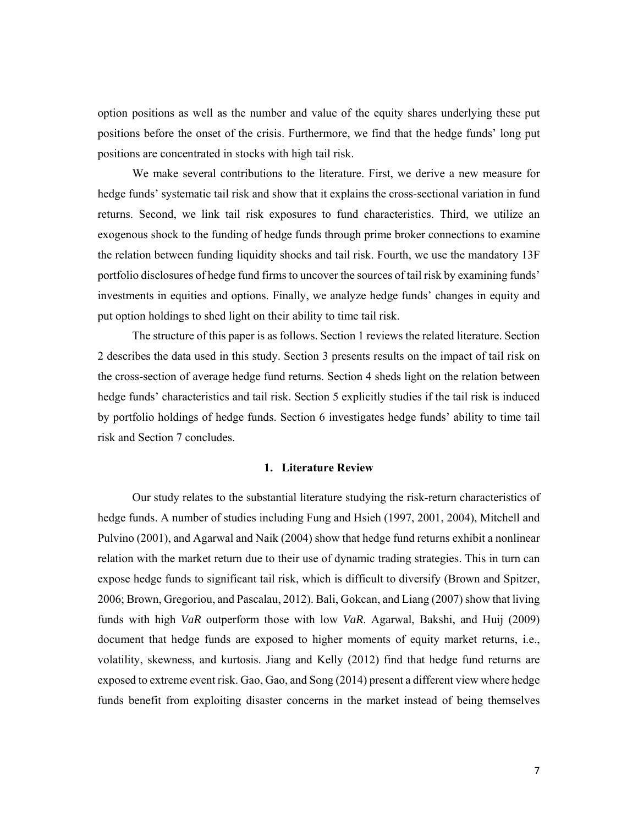option positions as well as the number and value of the equity shares underlying these put positions before the onset of the crisis. Furthermore, we find that the hedge funds' long put positions are concentrated in stocks with high tail risk.

We make several contributions to the literature. First, we derive a new measure for hedge funds' systematic tail risk and show that it explains the cross-sectional variation in fund returns. Second, we link tail risk exposures to fund characteristics. Third, we utilize an exogenous shock to the funding of hedge funds through prime broker connections to examine the relation between funding liquidity shocks and tail risk. Fourth, we use the mandatory 13F portfolio disclosures of hedge fund firms to uncover the sources of tail risk by examining funds' investments in equities and options. Finally, we analyze hedge funds' changes in equity and put option holdings to shed light on their ability to time tail risk.

The structure of this paper is as follows. Section 1 reviews the related literature. Section 2 describes the data used in this study. Section 3 presents results on the impact of tail risk on the cross-section of average hedge fund returns. Section 4 sheds light on the relation between hedge funds' characteristics and tail risk. Section 5 explicitly studies if the tail risk is induced by portfolio holdings of hedge funds. Section 6 investigates hedge funds' ability to time tail risk and Section 7 concludes.

#### **1. Literature Review**

Our study relates to the substantial literature studying the risk-return characteristics of hedge funds. A number of studies including Fung and Hsieh (1997, 2001, 2004), Mitchell and Pulvino (2001), and Agarwal and Naik (2004) show that hedge fund returns exhibit a nonlinear relation with the market return due to their use of dynamic trading strategies. This in turn can expose hedge funds to significant tail risk, which is difficult to diversify (Brown and Spitzer, 2006; Brown, Gregoriou, and Pascalau, 2012). Bali, Gokcan, and Liang (2007) show that living funds with high *VaR* outperform those with low *VaR*. Agarwal, Bakshi, and Huij (2009) document that hedge funds are exposed to higher moments of equity market returns, i.e., volatility, skewness, and kurtosis. Jiang and Kelly (2012) find that hedge fund returns are exposed to extreme event risk. Gao, Gao, and Song (2014) present a different view where hedge funds benefit from exploiting disaster concerns in the market instead of being themselves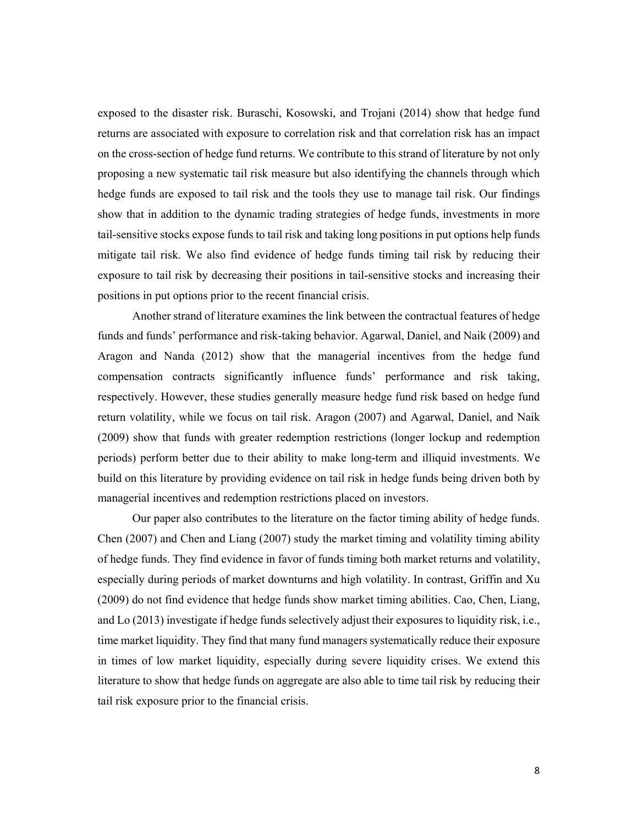exposed to the disaster risk. Buraschi, Kosowski, and Trojani (2014) show that hedge fund returns are associated with exposure to correlation risk and that correlation risk has an impact on the cross-section of hedge fund returns. We contribute to this strand of literature by not only proposing a new systematic tail risk measure but also identifying the channels through which hedge funds are exposed to tail risk and the tools they use to manage tail risk. Our findings show that in addition to the dynamic trading strategies of hedge funds, investments in more tail-sensitive stocks expose funds to tail risk and taking long positions in put options help funds mitigate tail risk. We also find evidence of hedge funds timing tail risk by reducing their exposure to tail risk by decreasing their positions in tail-sensitive stocks and increasing their positions in put options prior to the recent financial crisis.

Another strand of literature examines the link between the contractual features of hedge funds and funds' performance and risk-taking behavior. Agarwal, Daniel, and Naik (2009) and Aragon and Nanda (2012) show that the managerial incentives from the hedge fund compensation contracts significantly influence funds' performance and risk taking, respectively. However, these studies generally measure hedge fund risk based on hedge fund return volatility, while we focus on tail risk. Aragon (2007) and Agarwal, Daniel, and Naik (2009) show that funds with greater redemption restrictions (longer lockup and redemption periods) perform better due to their ability to make long-term and illiquid investments. We build on this literature by providing evidence on tail risk in hedge funds being driven both by managerial incentives and redemption restrictions placed on investors.

Our paper also contributes to the literature on the factor timing ability of hedge funds. Chen (2007) and Chen and Liang (2007) study the market timing and volatility timing ability of hedge funds. They find evidence in favor of funds timing both market returns and volatility, especially during periods of market downturns and high volatility. In contrast, Griffin and Xu (2009) do not find evidence that hedge funds show market timing abilities. Cao, Chen, Liang, and Lo (2013) investigate if hedge funds selectively adjust their exposures to liquidity risk, i.e., time market liquidity. They find that many fund managers systematically reduce their exposure in times of low market liquidity, especially during severe liquidity crises. We extend this literature to show that hedge funds on aggregate are also able to time tail risk by reducing their tail risk exposure prior to the financial crisis.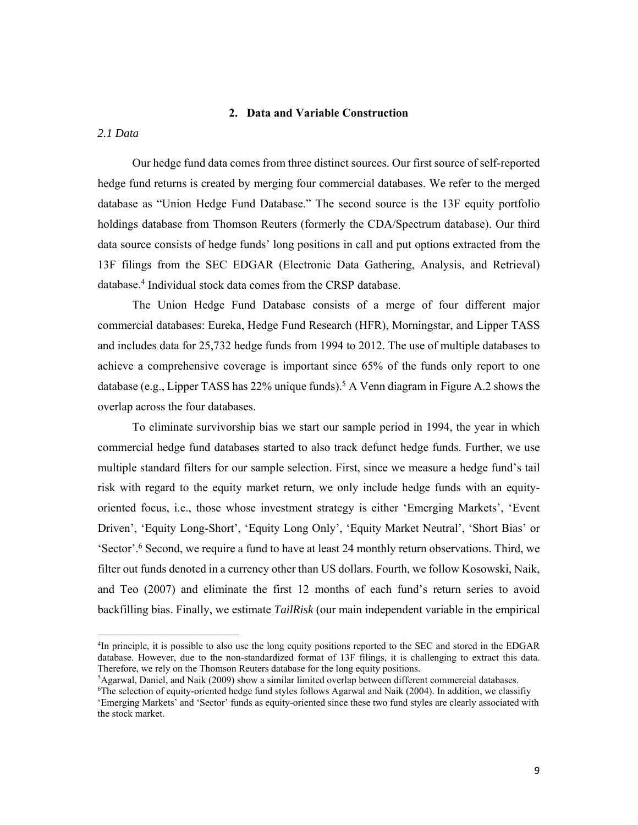#### **2. Data and Variable Construction**

*2.1 Data*

Our hedge fund data comes from three distinct sources. Our first source of self-reported hedge fund returns is created by merging four commercial databases. We refer to the merged database as "Union Hedge Fund Database." The second source is the 13F equity portfolio holdings database from Thomson Reuters (formerly the CDA/Spectrum database). Our third data source consists of hedge funds' long positions in call and put options extracted from the 13F filings from the SEC EDGAR (Electronic Data Gathering, Analysis, and Retrieval) database.<sup>4</sup> Individual stock data comes from the CRSP database.

The Union Hedge Fund Database consists of a merge of four different major commercial databases: Eureka, Hedge Fund Research (HFR), Morningstar, and Lipper TASS and includes data for 25,732 hedge funds from 1994 to 2012. The use of multiple databases to achieve a comprehensive coverage is important since 65% of the funds only report to one database (e.g., Lipper TASS has 22% unique funds).<sup>5</sup> A Venn diagram in Figure A.2 shows the overlap across the four databases.

To eliminate survivorship bias we start our sample period in 1994, the year in which commercial hedge fund databases started to also track defunct hedge funds. Further, we use multiple standard filters for our sample selection. First, since we measure a hedge fund's tail risk with regard to the equity market return, we only include hedge funds with an equityoriented focus, i.e., those whose investment strategy is either 'Emerging Markets', 'Event Driven', 'Equity Long-Short', 'Equity Long Only', 'Equity Market Neutral', 'Short Bias' or 'Sector'.6 Second, we require a fund to have at least 24 monthly return observations. Third, we filter out funds denoted in a currency other than US dollars. Fourth, we follow Kosowski, Naik, and Teo (2007) and eliminate the first 12 months of each fund's return series to avoid backfilling bias. Finally, we estimate *TailRisk* (our main independent variable in the empirical

<sup>4</sup> In principle, it is possible to also use the long equity positions reported to the SEC and stored in the EDGAR database. However, due to the non-standardized format of 13F filings, it is challenging to extract this data. Therefore, we rely on the Thomson Reuters database for the long equity positions. 5

 ${}^{5}$ Agarwal, Daniel, and Naik (2009) show a similar limited overlap between different commercial databases.

 $6$ The selection of equity-oriented hedge fund styles follows Agarwal and Naik (2004). In addition, we classifiy 'Emerging Markets' and 'Sector' funds as equity-oriented since these two fund styles are clearly associated with the stock market.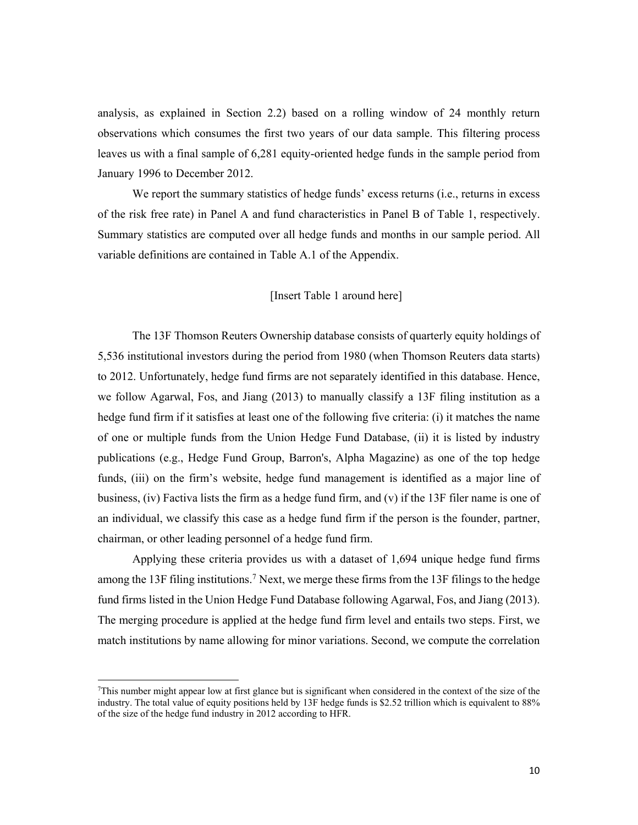analysis, as explained in Section 2.2) based on a rolling window of 24 monthly return observations which consumes the first two years of our data sample. This filtering process leaves us with a final sample of 6,281 equity-oriented hedge funds in the sample period from January 1996 to December 2012.

We report the summary statistics of hedge funds' excess returns (i.e., returns in excess of the risk free rate) in Panel A and fund characteristics in Panel B of Table 1, respectively. Summary statistics are computed over all hedge funds and months in our sample period. All variable definitions are contained in Table A.1 of the Appendix.

#### [Insert Table 1 around here]

The 13F Thomson Reuters Ownership database consists of quarterly equity holdings of 5,536 institutional investors during the period from 1980 (when Thomson Reuters data starts) to 2012. Unfortunately, hedge fund firms are not separately identified in this database. Hence, we follow Agarwal, Fos, and Jiang (2013) to manually classify a 13F filing institution as a hedge fund firm if it satisfies at least one of the following five criteria: (i) it matches the name of one or multiple funds from the Union Hedge Fund Database, (ii) it is listed by industry publications (e.g., Hedge Fund Group, Barron's, Alpha Magazine) as one of the top hedge funds, (iii) on the firm's website, hedge fund management is identified as a major line of business, (iv) Factiva lists the firm as a hedge fund firm, and (v) if the 13F filer name is one of an individual, we classify this case as a hedge fund firm if the person is the founder, partner, chairman, or other leading personnel of a hedge fund firm.

Applying these criteria provides us with a dataset of 1,694 unique hedge fund firms among the 13F filing institutions.7 Next, we merge these firms from the 13F filings to the hedge fund firms listed in the Union Hedge Fund Database following Agarwal, Fos, and Jiang (2013). The merging procedure is applied at the hedge fund firm level and entails two steps. First, we match institutions by name allowing for minor variations. Second, we compute the correlation

<sup>7</sup> This number might appear low at first glance but is significant when considered in the context of the size of the industry. The total value of equity positions held by 13F hedge funds is \$2.52 trillion which is equivalent to 88% of the size of the hedge fund industry in 2012 according to HFR.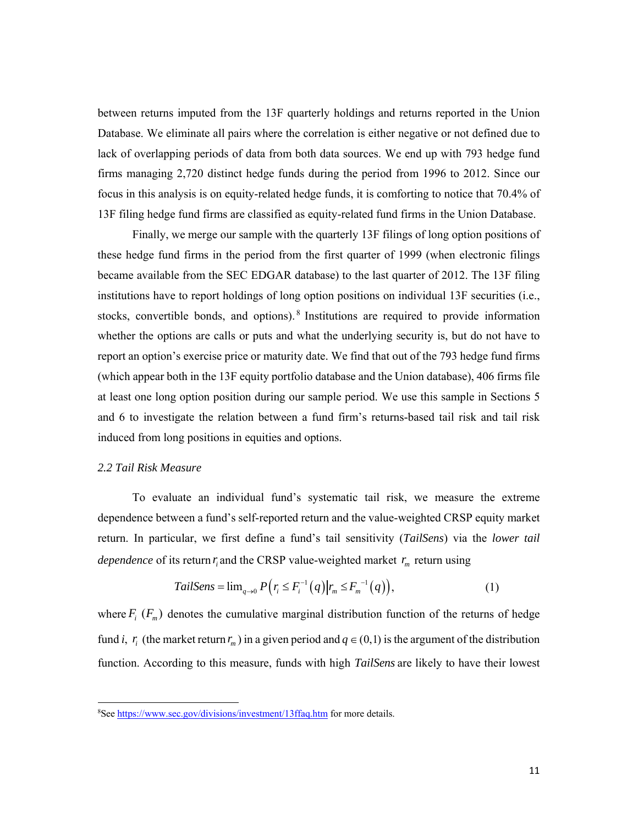between returns imputed from the 13F quarterly holdings and returns reported in the Union Database. We eliminate all pairs where the correlation is either negative or not defined due to lack of overlapping periods of data from both data sources. We end up with 793 hedge fund firms managing 2,720 distinct hedge funds during the period from 1996 to 2012. Since our focus in this analysis is on equity-related hedge funds, it is comforting to notice that 70.4% of 13F filing hedge fund firms are classified as equity-related fund firms in the Union Database.

Finally, we merge our sample with the quarterly 13F filings of long option positions of these hedge fund firms in the period from the first quarter of 1999 (when electronic filings became available from the SEC EDGAR database) to the last quarter of 2012. The 13F filing institutions have to report holdings of long option positions on individual 13F securities (i.e., stocks, convertible bonds, and options). 8 Institutions are required to provide information whether the options are calls or puts and what the underlying security is, but do not have to report an option's exercise price or maturity date. We find that out of the 793 hedge fund firms (which appear both in the 13F equity portfolio database and the Union database), 406 firms file at least one long option position during our sample period. We use this sample in Sections 5 and 6 to investigate the relation between a fund firm's returns-based tail risk and tail risk induced from long positions in equities and options.

#### *2.2 Tail Risk Measure*

To evaluate an individual fund's systematic tail risk, we measure the extreme dependence between a fund's self-reported return and the value-weighted CRSP equity market return. In particular, we first define a fund's tail sensitivity (*TailSens*) via the *lower tail dependence* of its return  $r_i$  and the CRSP value-weighted market  $r_m$  return using

TailSens = 
$$
\lim_{q \to 0} P(r_i \leq F_i^{-1}(q) | r_m \leq F_m^{-1}(q)),
$$
 (1)

where  $F_i$  ( $F_m$ ) denotes the cumulative marginal distribution function of the returns of hedge fund *i*,  $r_i$  (the market return  $r_m$ ) in a given period and  $q \in (0,1)$  is the argument of the distribution function. According to this measure, funds with high *TailSens* are likely to have their lowest

<sup>&</sup>lt;sup>8</sup>See https://www.sec.gov/divisions/investment/13ffaq.htm for more details.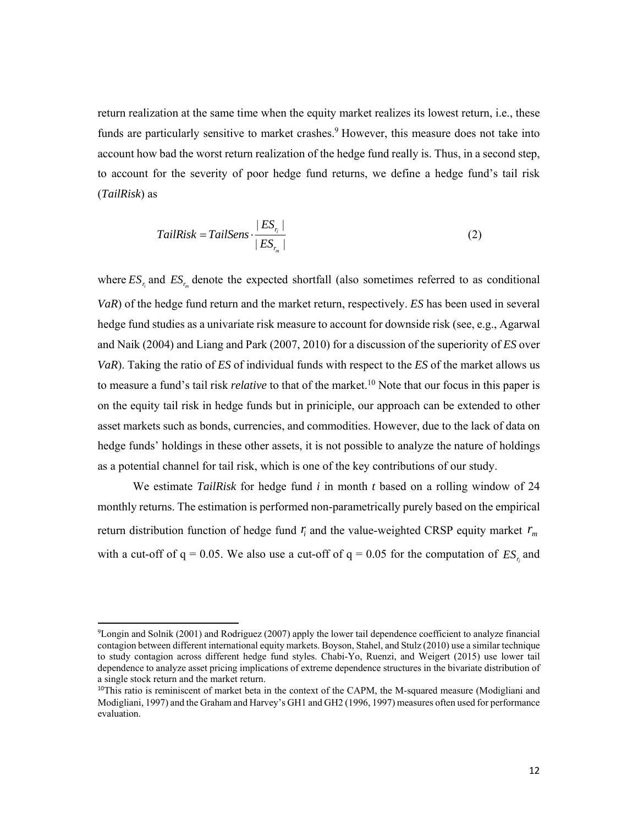return realization at the same time when the equity market realizes its lowest return, i.e., these funds are particularly sensitive to market crashes.<sup>9</sup> However, this measure does not take into account how bad the worst return realization of the hedge fund really is. Thus, in a second step, to account for the severity of poor hedge fund returns, we define a hedge fund's tail risk (*TailRisk*) as

$$
TailRisk = TailSens \cdot \frac{|ES_{r_i}|}{|ES_{r_m}|}
$$
 (2)

where  $ES_{r_n}$  and  $ES_{r_m}$  denote the expected shortfall (also sometimes referred to as conditional *VaR*) of the hedge fund return and the market return, respectively. *ES* has been used in several hedge fund studies as a univariate risk measure to account for downside risk (see, e.g., Agarwal and Naik (2004) and Liang and Park (2007, 2010) for a discussion of the superiority of *ES* over *VaR*). Taking the ratio of *ES* of individual funds with respect to the *ES* of the market allows us to measure a fund's tail risk *relative* to that of the market.10 Note that our focus in this paper is on the equity tail risk in hedge funds but in priniciple, our approach can be extended to other asset markets such as bonds, currencies, and commodities. However, due to the lack of data on hedge funds' holdings in these other assets, it is not possible to analyze the nature of holdings as a potential channel for tail risk, which is one of the key contributions of our study.

We estimate *TailRisk* for hedge fund *i* in month *t* based on a rolling window of 24 monthly returns. The estimation is performed non-parametrically purely based on the empirical return distribution function of hedge fund  $r_i$  and the value-weighted CRSP equity market  $r_m$ with a cut-off of  $q = 0.05$ . We also use a cut-off of  $q = 0.05$  for the computation of  $ES_{r_i}$  and

<sup>9</sup> Longin and Solnik (2001) and Rodriguez (2007) apply the lower tail dependence coefficient to analyze financial contagion between different international equity markets. Boyson, Stahel, and Stulz (2010) use a similar technique to study contagion across different hedge fund styles. Chabi-Yo, Ruenzi, and Weigert (2015) use lower tail dependence to analyze asset pricing implications of extreme dependence structures in the bivariate distribution of a single stock return and the market return.

<sup>&</sup>lt;sup>10</sup>This ratio is reminiscent of market beta in the context of the CAPM, the M-squared measure (Modigliani and Modigliani, 1997) and the Graham and Harvey's GH1 and GH2 (1996, 1997) measures often used for performance evaluation.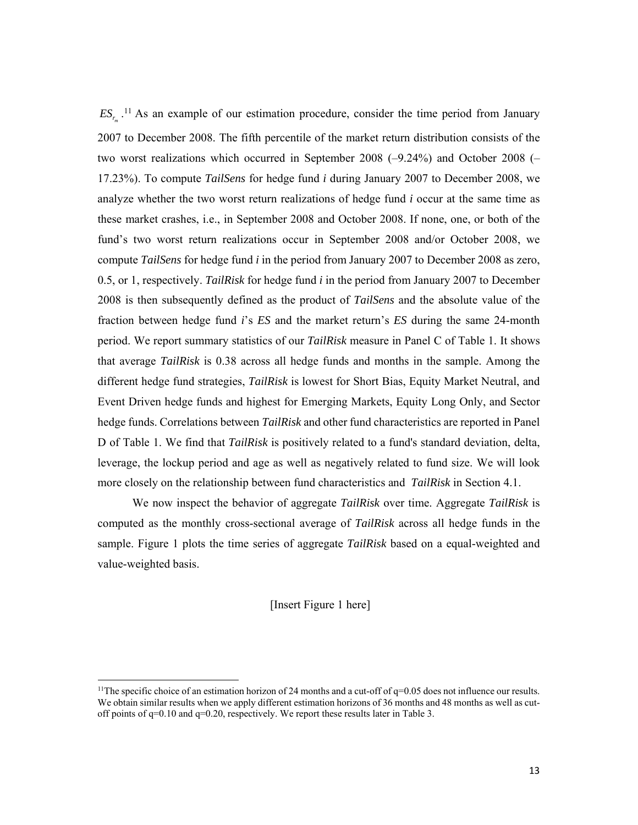$ES_{r_m}$ <sup>11</sup> As an example of our estimation procedure, consider the time period from January 2007 to December 2008. The fifth percentile of the market return distribution consists of the two worst realizations which occurred in September 2008  $(-9.24\%)$  and October 2008  $(-$ 17.23%). To compute *TailSens* for hedge fund *i* during January 2007 to December 2008, we analyze whether the two worst return realizations of hedge fund *i* occur at the same time as these market crashes, i.e., in September 2008 and October 2008. If none, one, or both of the fund's two worst return realizations occur in September 2008 and/or October 2008, we compute *TailSens* for hedge fund *i* in the period from January 2007 to December 2008 as zero, 0.5, or 1, respectively. *TailRisk* for hedge fund *i* in the period from January 2007 to December 2008 is then subsequently defined as the product of *TailSens* and the absolute value of the fraction between hedge fund *i*'s *ES* and the market return's *ES* during the same 24-month period. We report summary statistics of our *TailRisk* measure in Panel C of Table 1. It shows that average *TailRisk* is 0.38 across all hedge funds and months in the sample. Among the different hedge fund strategies, *TailRisk* is lowest for Short Bias, Equity Market Neutral, and Event Driven hedge funds and highest for Emerging Markets, Equity Long Only, and Sector hedge funds. Correlations between *TailRisk* and other fund characteristics are reported in Panel D of Table 1. We find that *TailRisk* is positively related to a fund's standard deviation, delta, leverage, the lockup period and age as well as negatively related to fund size. We will look more closely on the relationship between fund characteristics and *TailRisk* in Section 4.1.

We now inspect the behavior of aggregate *TailRisk* over time. Aggregate *TailRisk* is computed as the monthly cross-sectional average of *TailRisk* across all hedge funds in the sample. Figure 1 plots the time series of aggregate *TailRisk* based on a equal-weighted and value-weighted basis.

[Insert Figure 1 here]

<sup>&</sup>lt;sup>11</sup>The specific choice of an estimation horizon of 24 months and a cut-off of  $q=0.05$  does not influence our results. We obtain similar results when we apply different estimation horizons of 36 months and 48 months as well as cutoff points of q=0.10 and q=0.20, respectively. We report these results later in Table 3.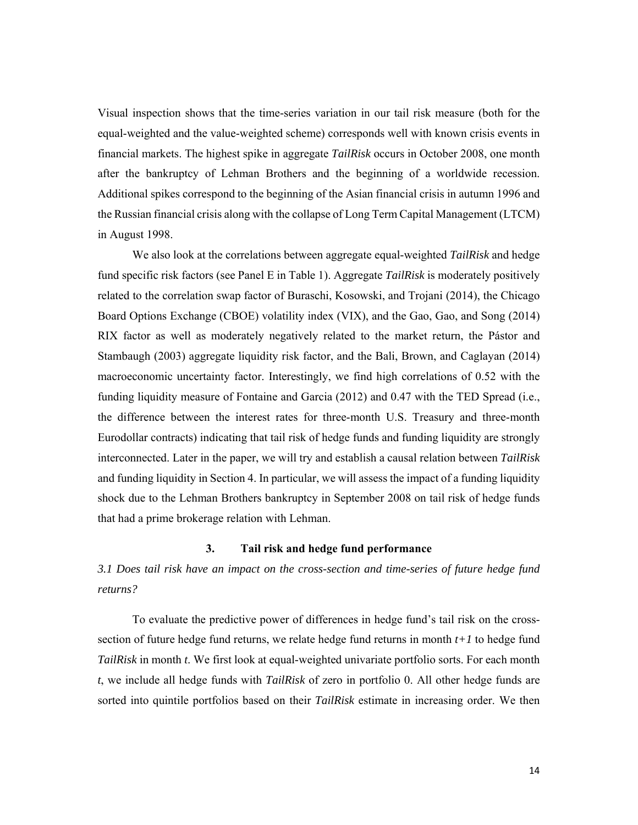Visual inspection shows that the time-series variation in our tail risk measure (both for the equal-weighted and the value-weighted scheme) corresponds well with known crisis events in financial markets. The highest spike in aggregate *TailRisk* occurs in October 2008, one month after the bankruptcy of Lehman Brothers and the beginning of a worldwide recession. Additional spikes correspond to the beginning of the Asian financial crisis in autumn 1996 and the Russian financial crisis along with the collapse of Long Term Capital Management (LTCM) in August 1998.

 We also look at the correlations between aggregate equal-weighted *TailRisk* and hedge fund specific risk factors (see Panel E in Table 1). Aggregate *TailRisk* is moderately positively related to the correlation swap factor of Buraschi, Kosowski, and Trojani (2014), the Chicago Board Options Exchange (CBOE) volatility index (VIX), and the Gao, Gao, and Song (2014) RIX factor as well as moderately negatively related to the market return, the Pástor and Stambaugh (2003) aggregate liquidity risk factor, and the Bali, Brown, and Caglayan (2014) macroeconomic uncertainty factor. Interestingly, we find high correlations of 0.52 with the funding liquidity measure of Fontaine and Garcia (2012) and 0.47 with the TED Spread (i.e., the difference between the interest rates for three-month U.S. Treasury and three-month Eurodollar contracts) indicating that tail risk of hedge funds and funding liquidity are strongly interconnected. Later in the paper, we will try and establish a causal relation between *TailRisk* and funding liquidity in Section 4. In particular, we will assess the impact of a funding liquidity shock due to the Lehman Brothers bankruptcy in September 2008 on tail risk of hedge funds that had a prime brokerage relation with Lehman.

#### **3. Tail risk and hedge fund performance**

*3.1 Does tail risk have an impact on the cross-section and time-series of future hedge fund returns?* 

 To evaluate the predictive power of differences in hedge fund's tail risk on the crosssection of future hedge fund returns, we relate hedge fund returns in month *t+1* to hedge fund *TailRisk* in month *t*. We first look at equal-weighted univariate portfolio sorts. For each month *t*, we include all hedge funds with *TailRisk* of zero in portfolio 0. All other hedge funds are sorted into quintile portfolios based on their *TailRisk* estimate in increasing order. We then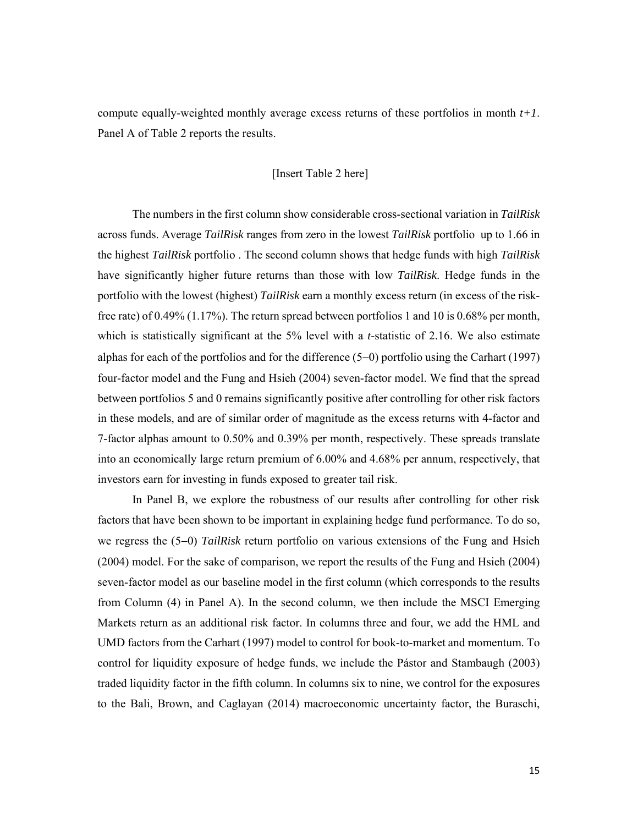compute equally-weighted monthly average excess returns of these portfolios in month *t+1*. Panel A of Table 2 reports the results.

#### [Insert Table 2 here]

The numbers in the first column show considerable cross-sectional variation in *TailRisk* across funds. Average *TailRisk* ranges from zero in the lowest *TailRisk* portfolio up to 1.66 in the highest *TailRisk* portfolio . The second column shows that hedge funds with high *TailRisk*  have significantly higher future returns than those with low *TailRisk*. Hedge funds in the portfolio with the lowest (highest) *TailRisk* earn a monthly excess return (in excess of the riskfree rate) of 0.49% (1.17%). The return spread between portfolios 1 and 10 is 0.68% per month, which is statistically significant at the 5% level with a *t*-statistic of 2.16. We also estimate alphas for each of the portfolios and for the difference  $(5-0)$  portfolio using the Carhart (1997) four-factor model and the Fung and Hsieh (2004) seven-factor model. We find that the spread between portfolios 5 and 0 remains significantly positive after controlling for other risk factors in these models, and are of similar order of magnitude as the excess returns with 4-factor and 7-factor alphas amount to 0.50% and 0.39% per month, respectively. These spreads translate into an economically large return premium of 6.00% and 4.68% per annum, respectively, that investors earn for investing in funds exposed to greater tail risk.

In Panel B, we explore the robustness of our results after controlling for other risk factors that have been shown to be important in explaining hedge fund performance. To do so, we regress the (5-0) *TailRisk* return portfolio on various extensions of the Fung and Hsieh (2004) model. For the sake of comparison, we report the results of the Fung and Hsieh (2004) seven-factor model as our baseline model in the first column (which corresponds to the results from Column (4) in Panel A). In the second column, we then include the MSCI Emerging Markets return as an additional risk factor. In columns three and four, we add the HML and UMD factors from the Carhart (1997) model to control for book-to-market and momentum. To control for liquidity exposure of hedge funds, we include the Pástor and Stambaugh (2003) traded liquidity factor in the fifth column. In columns six to nine, we control for the exposures to the Bali, Brown, and Caglayan (2014) macroeconomic uncertainty factor, the Buraschi,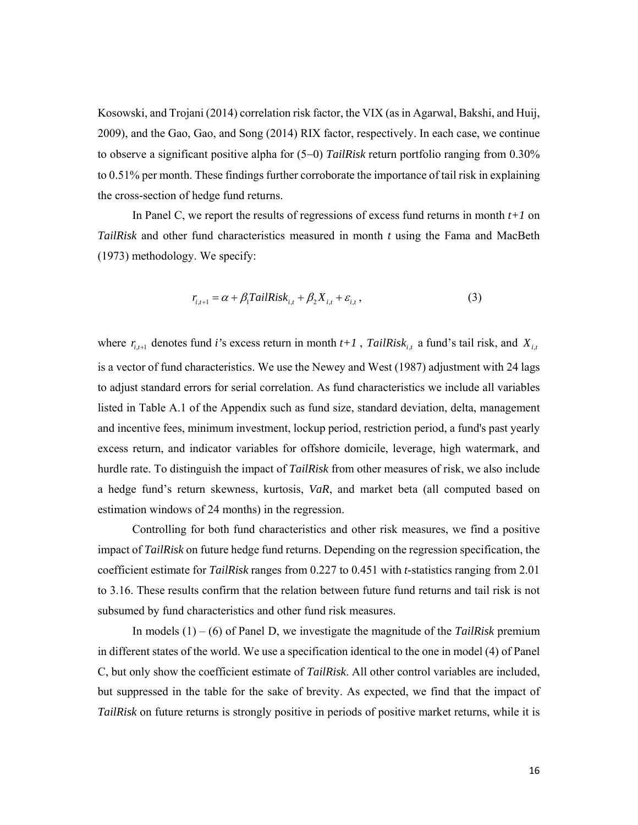Kosowski, and Trojani (2014) correlation risk factor, the VIX (as in Agarwal, Bakshi, and Huij, 2009), and the Gao, Gao, and Song (2014) RIX factor, respectively. In each case, we continue to observe a significant positive alpha for  $(5-0)$  *TailRisk* return portfolio ranging from 0.30% to 0.51% per month. These findings further corroborate the importance of tail risk in explaining the cross-section of hedge fund returns.

In Panel C, we report the results of regressions of excess fund returns in month *t+1* on *TailRisk* and other fund characteristics measured in month *t* using the Fama and MacBeth (1973) methodology. We specify:

$$
r_{i,t+1} = \alpha + \beta_1 T \alpha i lRisk_{i,t} + \beta_2 X_{i,t} + \varepsilon_{i,t},
$$
\n(3)

where  $r_{i,t+1}$  denotes fund *i*'s excess return in month  $t+1$ , *TailRisk<sub>i,t</sub>* a fund's tail risk, and  $X_{i,t}$ is a vector of fund characteristics. We use the Newey and West (1987) adjustment with 24 lags to adjust standard errors for serial correlation. As fund characteristics we include all variables listed in Table A.1 of the Appendix such as fund size, standard deviation, delta, management and incentive fees, minimum investment, lockup period, restriction period, a fund's past yearly excess return, and indicator variables for offshore domicile, leverage, high watermark, and hurdle rate. To distinguish the impact of *TailRisk* from other measures of risk, we also include a hedge fund's return skewness, kurtosis, *VaR*, and market beta (all computed based on estimation windows of 24 months) in the regression.

Controlling for both fund characteristics and other risk measures, we find a positive impact of *TailRisk* on future hedge fund returns. Depending on the regression specification, the coefficient estimate for *TailRisk* ranges from 0.227 to 0.451 with *t*-statistics ranging from 2.01 to 3.16. These results confirm that the relation between future fund returns and tail risk is not subsumed by fund characteristics and other fund risk measures.

In models  $(1) - (6)$  of Panel D, we investigate the magnitude of the *TailRisk* premium in different states of the world. We use a specification identical to the one in model (4) of Panel C, but only show the coefficient estimate of *TailRisk*. All other control variables are included, but suppressed in the table for the sake of brevity. As expected, we find that the impact of *TailRisk* on future returns is strongly positive in periods of positive market returns, while it is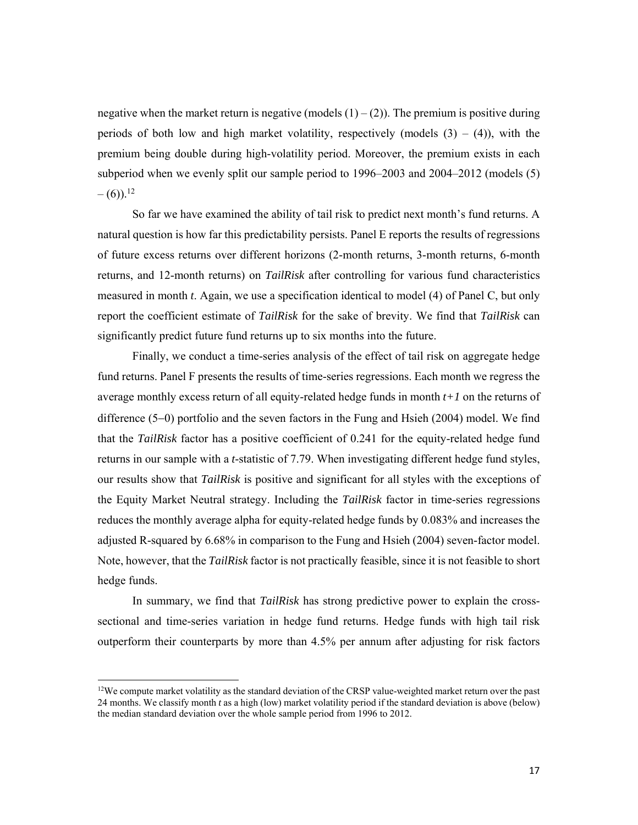negative when the market return is negative (models  $(1) - (2)$ ). The premium is positive during periods of both low and high market volatility, respectively (models  $(3) - (4)$ ), with the premium being double during high-volatility period. Moreover, the premium exists in each subperiod when we evenly split our sample period to  $1996-2003$  and  $2004-2012$  (models  $(5)$ )  $- (6)$ ).<sup>12</sup>

So far we have examined the ability of tail risk to predict next month's fund returns. A natural question is how far this predictability persists. Panel E reports the results of regressions of future excess returns over different horizons (2-month returns, 3-month returns, 6-month returns, and 12-month returns) on *TailRisk* after controlling for various fund characteristics measured in month *t*. Again, we use a specification identical to model (4) of Panel C, but only report the coefficient estimate of *TailRisk* for the sake of brevity. We find that *TailRisk* can significantly predict future fund returns up to six months into the future.

Finally, we conduct a time-series analysis of the effect of tail risk on aggregate hedge fund returns. Panel F presents the results of time-series regressions. Each month we regress the average monthly excess return of all equity-related hedge funds in month *t+1* on the returns of difference  $(5-0)$  portfolio and the seven factors in the Fung and Hsieh  $(2004)$  model. We find that the *TailRisk* factor has a positive coefficient of 0.241 for the equity-related hedge fund returns in our sample with a *t*-statistic of 7.79. When investigating different hedge fund styles, our results show that *TailRisk* is positive and significant for all styles with the exceptions of the Equity Market Neutral strategy. Including the *TailRisk* factor in time-series regressions reduces the monthly average alpha for equity-related hedge funds by 0.083% and increases the adjusted R-squared by 6.68% in comparison to the Fung and Hsieh (2004) seven-factor model. Note, however, that the *TailRisk* factor is not practically feasible, since it is not feasible to short hedge funds.

In summary, we find that *TailRisk* has strong predictive power to explain the crosssectional and time-series variation in hedge fund returns. Hedge funds with high tail risk outperform their counterparts by more than 4.5% per annum after adjusting for risk factors

 $12$ We compute market volatility as the standard deviation of the CRSP value-weighted market return over the past 24 months. We classify month *t* as a high (low) market volatility period if the standard deviation is above (below) the median standard deviation over the whole sample period from 1996 to 2012.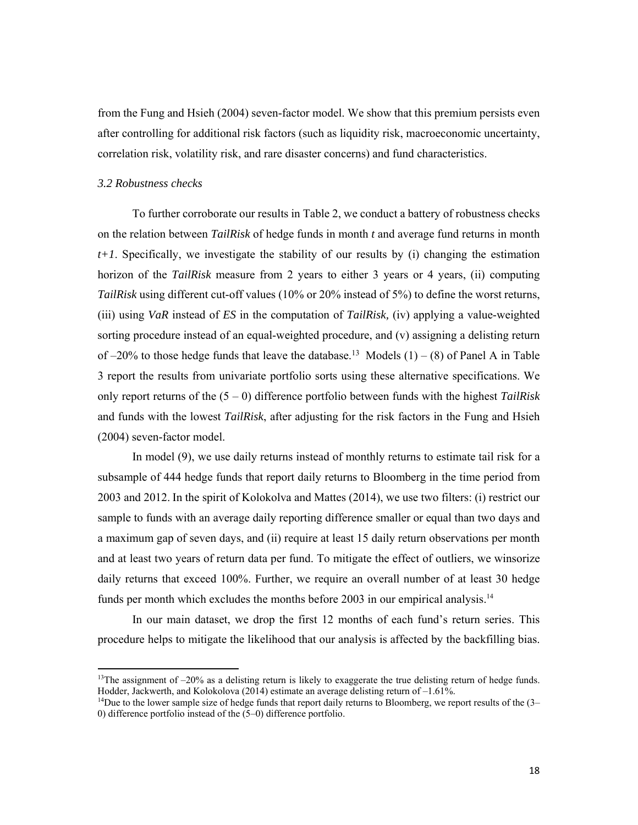from the Fung and Hsieh (2004) seven-factor model. We show that this premium persists even after controlling for additional risk factors (such as liquidity risk, macroeconomic uncertainty, correlation risk, volatility risk, and rare disaster concerns) and fund characteristics.

#### *3.2 Robustness checks*

To further corroborate our results in Table 2, we conduct a battery of robustness checks on the relation between *TailRisk* of hedge funds in month *t* and average fund returns in month *t+1*. Specifically, we investigate the stability of our results by (i) changing the estimation horizon of the *TailRisk* measure from 2 years to either 3 years or 4 years, (ii) computing *TailRisk* using different cut-off values (10% or 20% instead of 5%) to define the worst returns, (iii) using *VaR* instead of *ES* in the computation of *TailRisk,* (iv) applying a value-weighted sorting procedure instead of an equal-weighted procedure, and (v) assigning a delisting return of  $-20\%$  to those hedge funds that leave the database.<sup>13</sup> Models (1) – (8) of Panel A in Table 3 report the results from univariate portfolio sorts using these alternative specifications. We only report returns of the (5 ‒ 0) difference portfolio between funds with the highest *TailRisk*  and funds with the lowest *TailRisk*, after adjusting for the risk factors in the Fung and Hsieh (2004) seven-factor model.

In model (9), we use daily returns instead of monthly returns to estimate tail risk for a subsample of 444 hedge funds that report daily returns to Bloomberg in the time period from 2003 and 2012. In the spirit of Kolokolva and Mattes (2014), we use two filters: (i) restrict our sample to funds with an average daily reporting difference smaller or equal than two days and a maximum gap of seven days, and (ii) require at least 15 daily return observations per month and at least two years of return data per fund. To mitigate the effect of outliers, we winsorize daily returns that exceed 100%. Further, we require an overall number of at least 30 hedge funds per month which excludes the months before 2003 in our empirical analysis.<sup>14</sup>

In our main dataset, we drop the first 12 months of each fund's return series. This procedure helps to mitigate the likelihood that our analysis is affected by the backfilling bias.

<sup>&</sup>lt;sup>13</sup>The assignment of  $-20\%$  as a delisting return is likely to exaggerate the true delisting return of hedge funds. Hodder, Jackwerth, and Kolokolova (2014) estimate an average delisting return of  $-1.61\%$ .<br><sup>14</sup>Due to the lower sample size of hedge funds that report daily returns to Bloomberg, we report results of the (3–

<sup>0)</sup> difference portfolio instead of the (5‒0) difference portfolio.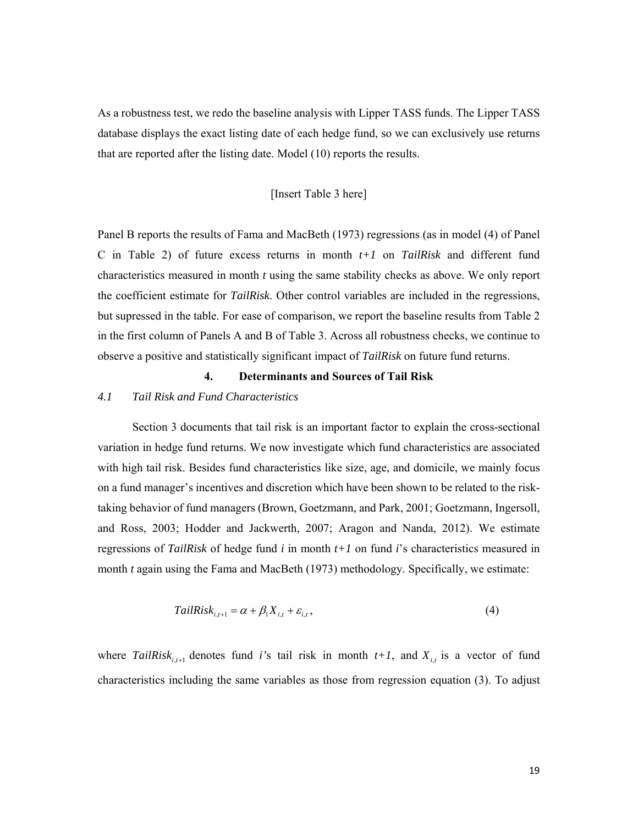As a robustness test, we redo the baseline analysis with Lipper TASS funds. The Lipper TASS database displays the exact listing date of each hedge fund, so we can exclusively use returns that are reported after the listing date. Model (10) reports the results.

#### [Insert Table 3 here]

Panel B reports the results of Fama and MacBeth (1973) regressions (as in model (4) of Panel C in Table 2) of future excess returns in month *t+1* on *TailRisk* and different fund characteristics measured in month *t* using the same stability checks as above. We only report the coefficient estimate for *TailRisk*. Other control variables are included in the regressions, but supressed in the table. For ease of comparison, we report the baseline results from Table 2 in the first column of Panels A and B of Table 3. Across all robustness checks, we continue to observe a positive and statistically significant impact of *TailRisk* on future fund returns.

#### **4. Determinants and Sources of Tail Risk**

#### *4.1 Tail Risk and Fund Characteristics*

Section 3 documents that tail risk is an important factor to explain the cross-sectional variation in hedge fund returns. We now investigate which fund characteristics are associated with high tail risk. Besides fund characteristics like size, age, and domicile, we mainly focus on a fund manager's incentives and discretion which have been shown to be related to the risktaking behavior of fund managers (Brown, Goetzmann, and Park, 2001; Goetzmann, Ingersoll, and Ross, 2003; Hodder and Jackwerth, 2007; Aragon and Nanda, 2012). We estimate regressions of *TailRisk* of hedge fund *i* in month *t+1* on fund *i*'s characteristics measured in month *t* again using the Fama and MacBeth (1973) methodology. Specifically, we estimate:

$$
TailRisk_{i,t+1} = \alpha + \beta_1 X_{i,t} + \varepsilon_{i,t},\tag{4}
$$

where *TailRisk<sub>i,t+1</sub>* denotes fund *i*'s tail risk in month  $t+1$ , and  $X_{i,t}$  is a vector of fund characteristics including the same variables as those from regression equation (3). To adjust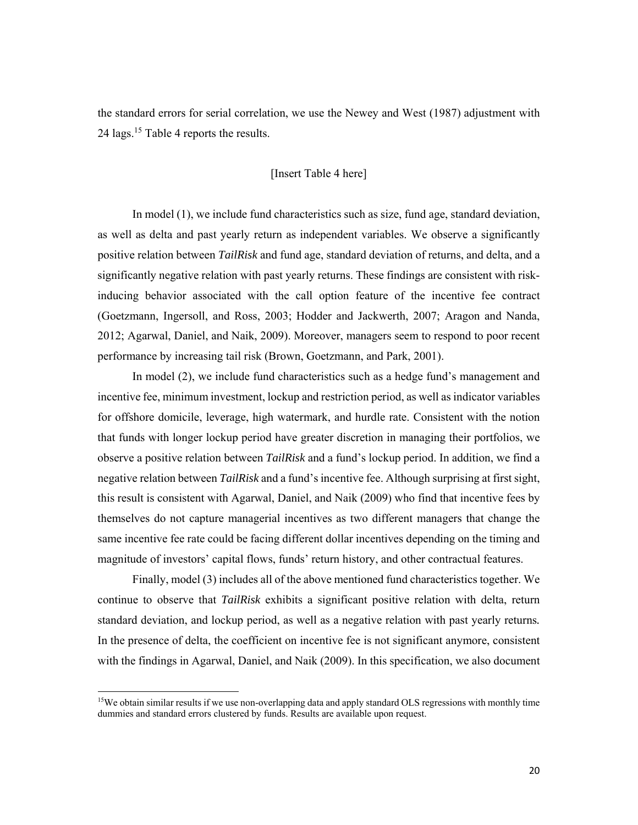the standard errors for serial correlation, we use the Newey and West (1987) adjustment with 24 lags.15 Table 4 reports the results.

#### [Insert Table 4 here]

In model (1), we include fund characteristics such as size, fund age, standard deviation, as well as delta and past yearly return as independent variables. We observe a significantly positive relation between *TailRisk* and fund age, standard deviation of returns, and delta, and a significantly negative relation with past yearly returns. These findings are consistent with riskinducing behavior associated with the call option feature of the incentive fee contract (Goetzmann, Ingersoll, and Ross, 2003; Hodder and Jackwerth, 2007; Aragon and Nanda, 2012; Agarwal, Daniel, and Naik, 2009). Moreover, managers seem to respond to poor recent performance by increasing tail risk (Brown, Goetzmann, and Park, 2001).

In model (2), we include fund characteristics such as a hedge fund's management and incentive fee, minimum investment, lockup and restriction period, as well as indicator variables for offshore domicile, leverage, high watermark, and hurdle rate. Consistent with the notion that funds with longer lockup period have greater discretion in managing their portfolios, we observe a positive relation between *TailRisk* and a fund's lockup period. In addition, we find a negative relation between *TailRisk* and a fund's incentive fee. Although surprising at first sight, this result is consistent with Agarwal, Daniel, and Naik (2009) who find that incentive fees by themselves do not capture managerial incentives as two different managers that change the same incentive fee rate could be facing different dollar incentives depending on the timing and magnitude of investors' capital flows, funds' return history, and other contractual features.

Finally, model (3) includes all of the above mentioned fund characteristics together. We continue to observe that *TailRisk* exhibits a significant positive relation with delta, return standard deviation, and lockup period, as well as a negative relation with past yearly returns*.*  In the presence of delta, the coefficient on incentive fee is not significant anymore, consistent with the findings in Agarwal, Daniel, and Naik (2009). In this specification, we also document

 $15$ We obtain similar results if we use non-overlapping data and apply standard OLS regressions with monthly time dummies and standard errors clustered by funds. Results are available upon request.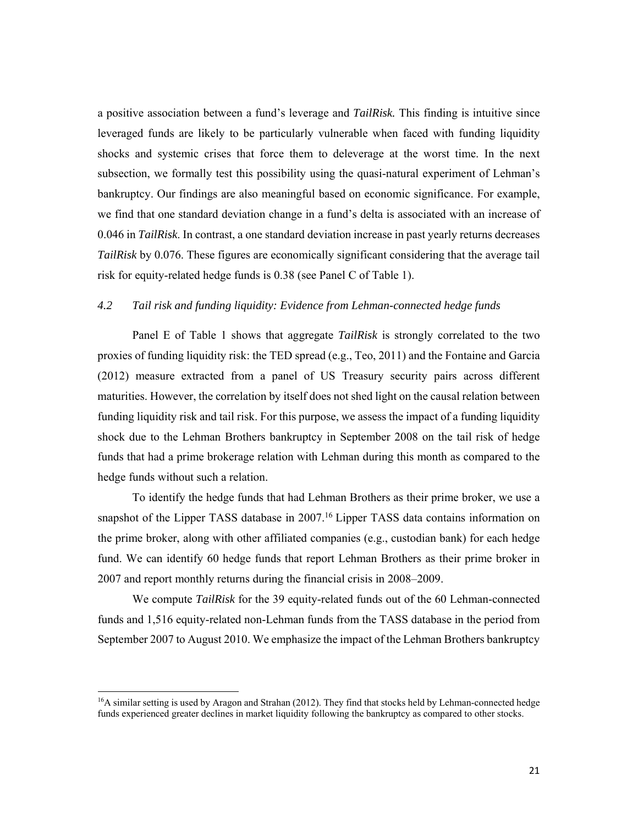a positive association between a fund's leverage and *TailRisk.* This finding is intuitive since leveraged funds are likely to be particularly vulnerable when faced with funding liquidity shocks and systemic crises that force them to deleverage at the worst time. In the next subsection, we formally test this possibility using the quasi-natural experiment of Lehman's bankruptcy. Our findings are also meaningful based on economic significance. For example, we find that one standard deviation change in a fund's delta is associated with an increase of 0.046 in *TailRisk*. In contrast, a one standard deviation increase in past yearly returns decreases *TailRisk* by 0.076. These figures are economically significant considering that the average tail risk for equity-related hedge funds is 0.38 (see Panel C of Table 1).

#### *4.2 Tail risk and funding liquidity: Evidence from Lehman-connected hedge funds*

Panel E of Table 1 shows that aggregate *TailRisk* is strongly correlated to the two proxies of funding liquidity risk: the TED spread (e.g., Teo, 2011) and the Fontaine and Garcia (2012) measure extracted from a panel of US Treasury security pairs across different maturities. However, the correlation by itself does not shed light on the causal relation between funding liquidity risk and tail risk. For this purpose, we assess the impact of a funding liquidity shock due to the Lehman Brothers bankruptcy in September 2008 on the tail risk of hedge funds that had a prime brokerage relation with Lehman during this month as compared to the hedge funds without such a relation.

To identify the hedge funds that had Lehman Brothers as their prime broker, we use a snapshot of the Lipper TASS database in 2007.<sup>16</sup> Lipper TASS data contains information on the prime broker, along with other affiliated companies (e.g., custodian bank) for each hedge fund. We can identify 60 hedge funds that report Lehman Brothers as their prime broker in 2007 and report monthly returns during the financial crisis in 2008–2009.

We compute *TailRisk* for the 39 equity-related funds out of the 60 Lehman-connected funds and 1,516 equity-related non-Lehman funds from the TASS database in the period from September 2007 to August 2010. We emphasize the impact of the Lehman Brothers bankruptcy

<sup>&</sup>lt;sup>16</sup>A similar setting is used by Aragon and Strahan (2012). They find that stocks held by Lehman-connected hedge funds experienced greater declines in market liquidity following the bankruptcy as compared to other stocks.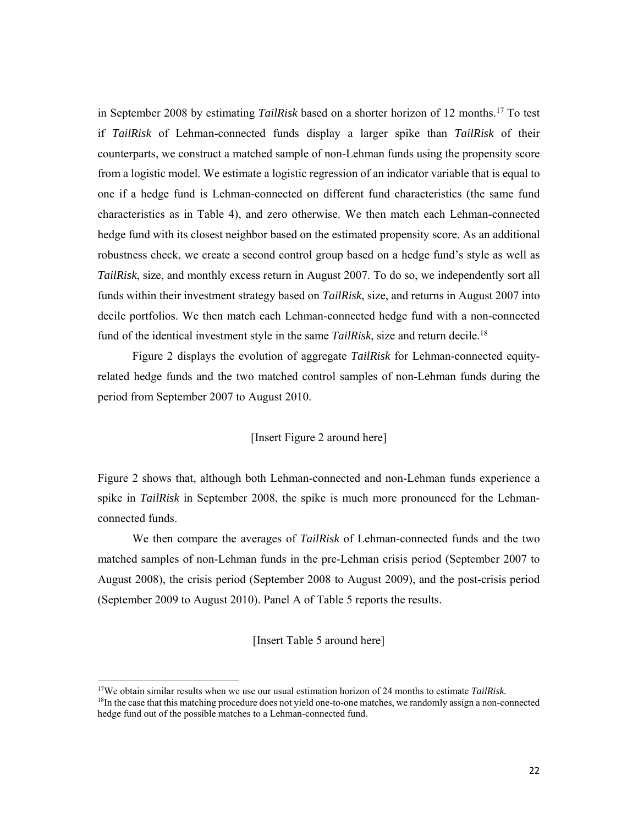in September 2008 by estimating *TailRisk* based on a shorter horizon of 12 months.17 To test if *TailRisk* of Lehman-connected funds display a larger spike than *TailRisk* of their counterparts, we construct a matched sample of non-Lehman funds using the propensity score from a logistic model. We estimate a logistic regression of an indicator variable that is equal to one if a hedge fund is Lehman-connected on different fund characteristics (the same fund characteristics as in Table 4), and zero otherwise. We then match each Lehman-connected hedge fund with its closest neighbor based on the estimated propensity score. As an additional robustness check, we create a second control group based on a hedge fund's style as well as *TailRisk*, size, and monthly excess return in August 2007. To do so, we independently sort all funds within their investment strategy based on *TailRisk*, size, and returns in August 2007 into decile portfolios. We then match each Lehman-connected hedge fund with a non-connected fund of the identical investment style in the same *TailRisk*, size and return decile.18

Figure 2 displays the evolution of aggregate *TailRisk* for Lehman-connected equityrelated hedge funds and the two matched control samples of non-Lehman funds during the period from September 2007 to August 2010.

#### [Insert Figure 2 around here]

Figure 2 shows that, although both Lehman-connected and non-Lehman funds experience a spike in *TailRisk* in September 2008, the spike is much more pronounced for the Lehmanconnected funds.

We then compare the averages of *TailRisk* of Lehman-connected funds and the two matched samples of non-Lehman funds in the pre-Lehman crisis period (September 2007 to August 2008), the crisis period (September 2008 to August 2009), and the post-crisis period (September 2009 to August 2010). Panel A of Table 5 reports the results.

[Insert Table 5 around here]

<sup>17</sup>We obtain similar results when we use our usual estimation horizon of 24 months to estimate *TailRisk.* <sup>18</sup>In the case that this matching procedure does not yield one-to-one matches, we randomly assign a non-connected hedge fund out of the possible matches to a Lehman-connected fund.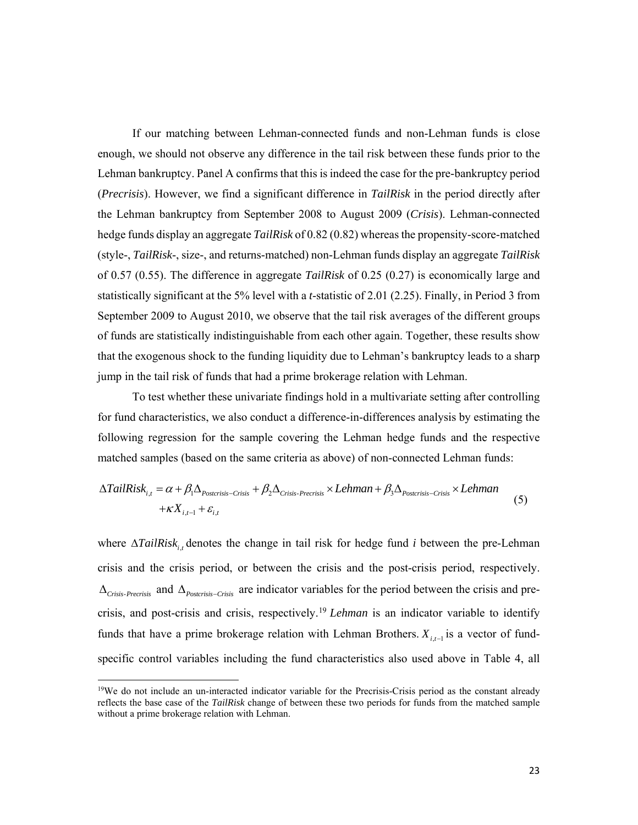If our matching between Lehman-connected funds and non-Lehman funds is close enough, we should not observe any difference in the tail risk between these funds prior to the Lehman bankruptcy. Panel A confirms that this is indeed the case for the pre-bankruptcy period (*Precrisis*). However, we find a significant difference in *TailRisk* in the period directly after the Lehman bankruptcy from September 2008 to August 2009 (*Crisis*). Lehman-connected hedge funds display an aggregate *TailRisk* of 0.82 (0.82) whereas the propensity-score-matched (style-, *TailRisk*-, size-, and returns-matched) non-Lehman funds display an aggregate *TailRisk*  of 0.57 (0.55). The difference in aggregate *TailRisk* of 0.25 (0.27) is economically large and statistically significant at the 5% level with a *t*-statistic of 2.01 (2.25). Finally, in Period 3 from September 2009 to August 2010, we observe that the tail risk averages of the different groups of funds are statistically indistinguishable from each other again. Together, these results show that the exogenous shock to the funding liquidity due to Lehman's bankruptcy leads to a sharp jump in the tail risk of funds that had a prime brokerage relation with Lehman.

To test whether these univariate findings hold in a multivariate setting after controlling for fund characteristics, we also conduct a difference-in-differences analysis by estimating the following regression for the sample covering the Lehman hedge funds and the respective matched samples (based on the same criteria as above) of non-connected Lehman funds:

$$
\Delta TailRisk_{i,t} = \alpha + \beta_1 \Delta_{Postcrisis-Crisis} + \beta_2 \Delta_{Crisis\text{-}Previous\text{-}} \times Lehman + \beta_3 \Delta_{Postcrisis-Crisis} \times Lehman + \kappa X_{i,t-1} + \varepsilon_{i,t}
$$
\n
$$
(5)
$$

where  $\Delta TailRisk_{i,t}$  denotes the change in tail risk for hedge fund *i* between the pre-Lehman crisis and the crisis period, or between the crisis and the post-crisis period, respectively.  $\Delta_{Crisis\text{-}Precrisis}$  and  $\Delta_{Postcrisis\text{-}Crisis}$  are indicator variables for the period between the crisis and precrisis, and post-crisis and crisis, respectively.19 *Lehman* is an indicator variable to identify funds that have a prime brokerage relation with Lehman Brothers.  $X_{i,t-1}$  is a vector of fundspecific control variables including the fund characteristics also used above in Table 4, all

<sup>&</sup>lt;sup>19</sup>We do not include an un-interacted indicator variable for the Precrisis-Crisis period as the constant already reflects the base case of the *TailRisk* change of between these two periods for funds from the matched sample without a prime brokerage relation with Lehman.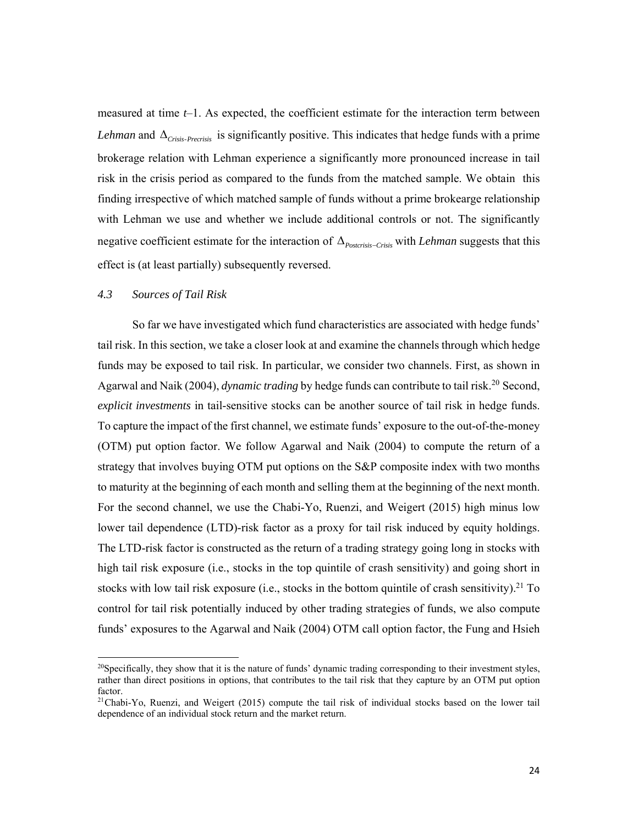measured at time  $t-1$ . As expected, the coefficient estimate for the interaction term between *Lehman* and  $\Delta$ <sub>Crisis-Precrisis</sub> is significantly positive. This indicates that hedge funds with a prime brokerage relation with Lehman experience a significantly more pronounced increase in tail risk in the crisis period as compared to the funds from the matched sample. We obtain this finding irrespective of which matched sample of funds without a prime brokearge relationship with Lehman we use and whether we include additional controls or not. The significantly negative coefficient estimate for the interaction of  $\Delta_{\text{Postcrisis-Crisis}}$  with *Lehman* suggests that this effect is (at least partially) subsequently reversed.

#### *4.3 Sources of Tail Risk*

So far we have investigated which fund characteristics are associated with hedge funds' tail risk. In this section, we take a closer look at and examine the channels through which hedge funds may be exposed to tail risk. In particular, we consider two channels. First, as shown in Agarwal and Naik (2004), *dynamic trading* by hedge funds can contribute to tail risk.<sup>20</sup> Second, *explicit investments* in tail-sensitive stocks can be another source of tail risk in hedge funds. To capture the impact of the first channel, we estimate funds' exposure to the out-of-the-money (OTM) put option factor. We follow Agarwal and Naik (2004) to compute the return of a strategy that involves buying OTM put options on the S&P composite index with two months to maturity at the beginning of each month and selling them at the beginning of the next month. For the second channel, we use the Chabi-Yo, Ruenzi, and Weigert (2015) high minus low lower tail dependence (LTD)-risk factor as a proxy for tail risk induced by equity holdings. The LTD-risk factor is constructed as the return of a trading strategy going long in stocks with high tail risk exposure (i.e., stocks in the top quintile of crash sensitivity) and going short in stocks with low tail risk exposure (i.e., stocks in the bottom quintile of crash sensitivity).<sup>21</sup> To control for tail risk potentially induced by other trading strategies of funds, we also compute funds' exposures to the Agarwal and Naik (2004) OTM call option factor, the Fung and Hsieh

<sup>&</sup>lt;sup>20</sup>Specifically, they show that it is the nature of funds' dynamic trading corresponding to their investment styles, rather than direct positions in options, that contributes to the tail risk that they capture by an OTM put option factor.

<sup>&</sup>lt;sup>21</sup>Chabi-Yo, Ruenzi, and Weigert (2015) compute the tail risk of individual stocks based on the lower tail dependence of an individual stock return and the market return.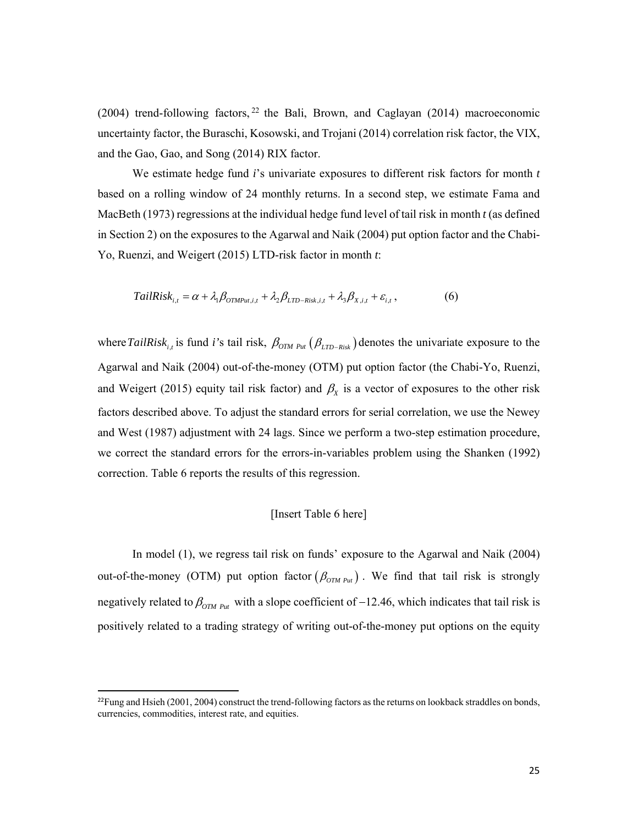(2004) trend-following factors,  $22$  the Bali, Brown, and Caglayan (2014) macroeconomic uncertainty factor, the Buraschi, Kosowski, and Trojani (2014) correlation risk factor, the VIX, and the Gao, Gao, and Song (2014) RIX factor.

We estimate hedge fund *i*'s univariate exposures to different risk factors for month *t* based on a rolling window of 24 monthly returns. In a second step, we estimate Fama and MacBeth (1973) regressions at the individual hedge fund level of tail risk in month *t* (as defined in Section 2) on the exposures to the Agarwal and Naik (2004) put option factor and the Chabi-Yo, Ruenzi, and Weigert (2015) LTD-risk factor in month *t*:

$$
TailRisk_{i,t} = \alpha + \lambda_1 \beta_{OTMPu,i,t} + \lambda_2 \beta_{LTD-Risk,i,t} + \lambda_3 \beta_{X,i,t} + \varepsilon_{i,t},
$$
 (6)

where TailRisk<sub>it</sub> is fund *i*'s tail risk,  $\beta_{OTM\,\text{Put}}(\beta_{LTD-Risk})$  denotes the univariate exposure to the Agarwal and Naik (2004) out-of-the-money (OTM) put option factor (the Chabi-Yo, Ruenzi, and Weigert (2015) equity tail risk factor) and  $\beta_{\rm x}$  is a vector of exposures to the other risk factors described above. To adjust the standard errors for serial correlation, we use the Newey and West (1987) adjustment with 24 lags. Since we perform a two-step estimation procedure, we correct the standard errors for the errors-in-variables problem using the Shanken (1992) correction. Table 6 reports the results of this regression.

#### [Insert Table 6 here]

In model (1), we regress tail risk on funds' exposure to the Agarwal and Naik (2004) out-of-the-money (OTM) put option factor  $(\beta_{OTM\,\,Put})$ . We find that tail risk is strongly negatively related to  $\beta_{OTM\,\text{Put}}$  with a slope coefficient of -12.46, which indicates that tail risk is positively related to a trading strategy of writing out-of-the-money put options on the equity

 $^{22}$ Fung and Hsieh (2001, 2004) construct the trend-following factors as the returns on lookback straddles on bonds, currencies, commodities, interest rate, and equities.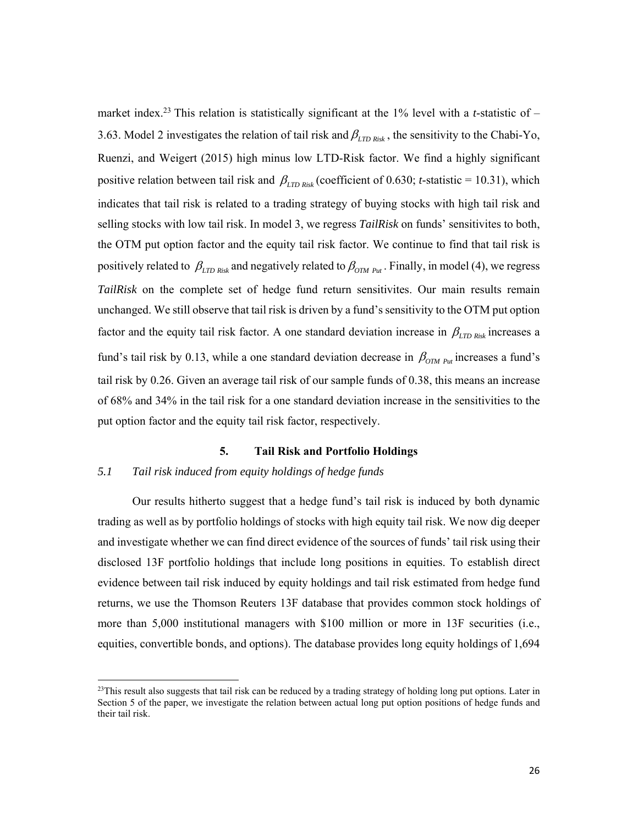market index.<sup>23</sup> This relation is statistically significant at the 1% level with a *t*-statistic of  $-$ 3.63. Model 2 investigates the relation of tail risk and  $\beta_{\text{LTD Risk}}$ , the sensitivity to the Chabi-Yo, Ruenzi, and Weigert (2015) high minus low LTD-Risk factor. We find a highly significant positive relation between tail risk and  $\beta_{\text{LTD Risk}}$  (coefficient of 0.630; *t*-statistic = 10.31), which indicates that tail risk is related to a trading strategy of buying stocks with high tail risk and selling stocks with low tail risk. In model 3, we regress *TailRisk* on funds' sensitivites to both, the OTM put option factor and the equity tail risk factor. We continue to find that tail risk is positively related to  $\beta_{LTD Risk}$  and negatively related to  $\beta_{OTM Put}$ . Finally, in model (4), we regress *TailRisk* on the complete set of hedge fund return sensitivites. Our main results remain unchanged. We still observe that tail risk is driven by a fund's sensitivity to the OTM put option factor and the equity tail risk factor. A one standard deviation increase in  $\beta_{\text{LTD Risk}}$  increases a fund's tail risk by 0.13, while a one standard deviation decrease in  $\beta_{OTM\ P_{ut}}$  increases a fund's tail risk by 0.26. Given an average tail risk of our sample funds of 0.38, this means an increase of 68% and 34% in the tail risk for a one standard deviation increase in the sensitivities to the put option factor and the equity tail risk factor, respectively.

#### **5. Tail Risk and Portfolio Holdings**

### *5.1 Tail risk induced from equity holdings of hedge funds*

Our results hitherto suggest that a hedge fund's tail risk is induced by both dynamic trading as well as by portfolio holdings of stocks with high equity tail risk. We now dig deeper and investigate whether we can find direct evidence of the sources of funds' tail risk using their disclosed 13F portfolio holdings that include long positions in equities. To establish direct evidence between tail risk induced by equity holdings and tail risk estimated from hedge fund returns, we use the Thomson Reuters 13F database that provides common stock holdings of more than 5,000 institutional managers with \$100 million or more in 13F securities (i.e., equities, convertible bonds, and options). The database provides long equity holdings of 1,694

 $23$ This result also suggests that tail risk can be reduced by a trading strategy of holding long put options. Later in Section 5 of the paper, we investigate the relation between actual long put option positions of hedge funds and their tail risk.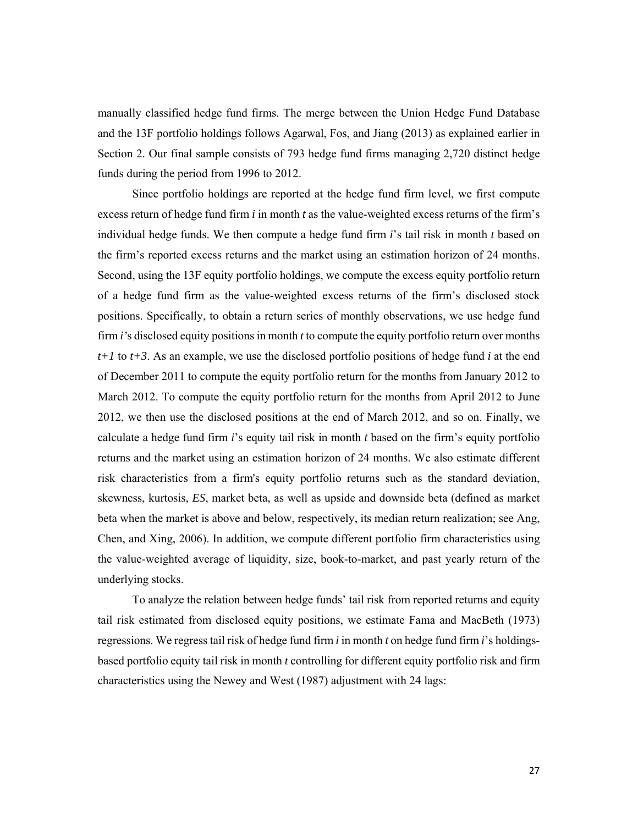manually classified hedge fund firms. The merge between the Union Hedge Fund Database and the 13F portfolio holdings follows Agarwal, Fos, and Jiang (2013) as explained earlier in Section 2. Our final sample consists of 793 hedge fund firms managing 2,720 distinct hedge funds during the period from 1996 to 2012.

Since portfolio holdings are reported at the hedge fund firm level, we first compute excess return of hedge fund firm *i* in month *t* as the value-weighted excess returns of the firm's individual hedge funds. We then compute a hedge fund firm *i*'s tail risk in month *t* based on the firm's reported excess returns and the market using an estimation horizon of 24 months. Second, using the 13F equity portfolio holdings, we compute the excess equity portfolio return of a hedge fund firm as the value-weighted excess returns of the firm's disclosed stock positions. Specifically, to obtain a return series of monthly observations, we use hedge fund firm *i'*s disclosed equity positions in month *t* to compute the equity portfolio return over months *t+1* to *t+3*. As an example, we use the disclosed portfolio positions of hedge fund *i* at the end of December 2011 to compute the equity portfolio return for the months from January 2012 to March 2012. To compute the equity portfolio return for the months from April 2012 to June 2012, we then use the disclosed positions at the end of March 2012, and so on. Finally, we calculate a hedge fund firm *i*'s equity tail risk in month *t* based on the firm's equity portfolio returns and the market using an estimation horizon of 24 months. We also estimate different risk characteristics from a firm's equity portfolio returns such as the standard deviation, skewness, kurtosis, *ES*, market beta, as well as upside and downside beta (defined as market beta when the market is above and below, respectively, its median return realization; see Ang, Chen, and Xing, 2006). In addition, we compute different portfolio firm characteristics using the value-weighted average of liquidity, size, book-to-market, and past yearly return of the underlying stocks.

To analyze the relation between hedge funds' tail risk from reported returns and equity tail risk estimated from disclosed equity positions, we estimate Fama and MacBeth (1973) regressions. We regress tail risk of hedge fund firm *i* in month *t* on hedge fund firm *i*'s holdingsbased portfolio equity tail risk in month *t* controlling for different equity portfolio risk and firm characteristics using the Newey and West (1987) adjustment with 24 lags: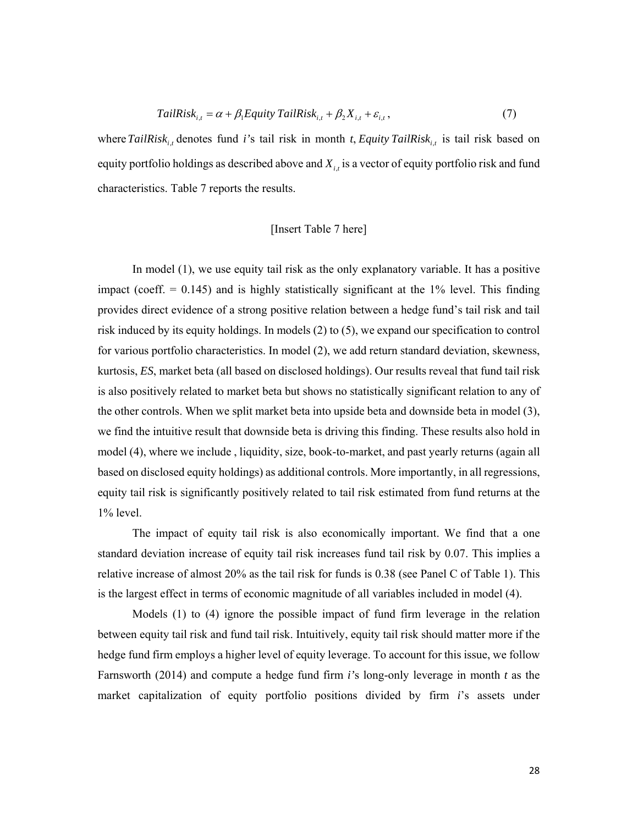$$
TailRisk_{i,t} = \alpha + \beta_1 Equity \, TailRisk_{i,t} + \beta_2 X_{i,t} + \varepsilon_{i,t},\tag{7}
$$

where  $TailRisk_{i,t}$  denotes fund *i*'s tail risk in month *t*, *Equity TailRisk*<sub>it</sub> is tail risk based on equity portfolio holdings as described above and  $X_{i,t}$  is a vector of equity portfolio risk and fund characteristics. Table 7 reports the results.

### [Insert Table 7 here]

In model (1), we use equity tail risk as the only explanatory variable. It has a positive impact (coeff.  $= 0.145$ ) and is highly statistically significant at the 1% level. This finding provides direct evidence of a strong positive relation between a hedge fund's tail risk and tail risk induced by its equity holdings. In models (2) to (5), we expand our specification to control for various portfolio characteristics. In model (2), we add return standard deviation, skewness, kurtosis, *ES*, market beta (all based on disclosed holdings). Our results reveal that fund tail risk is also positively related to market beta but shows no statistically significant relation to any of the other controls. When we split market beta into upside beta and downside beta in model (3), we find the intuitive result that downside beta is driving this finding. These results also hold in model (4), where we include , liquidity, size, book-to-market, and past yearly returns (again all based on disclosed equity holdings) as additional controls. More importantly, in all regressions, equity tail risk is significantly positively related to tail risk estimated from fund returns at the 1% level.

The impact of equity tail risk is also economically important. We find that a one standard deviation increase of equity tail risk increases fund tail risk by 0.07. This implies a relative increase of almost 20% as the tail risk for funds is 0.38 (see Panel C of Table 1). This is the largest effect in terms of economic magnitude of all variables included in model (4).

Models (1) to (4) ignore the possible impact of fund firm leverage in the relation between equity tail risk and fund tail risk. Intuitively, equity tail risk should matter more if the hedge fund firm employs a higher level of equity leverage. To account for this issue, we follow Farnsworth (2014) and compute a hedge fund firm *i'*s long-only leverage in month *t* as the market capitalization of equity portfolio positions divided by firm *i*'s assets under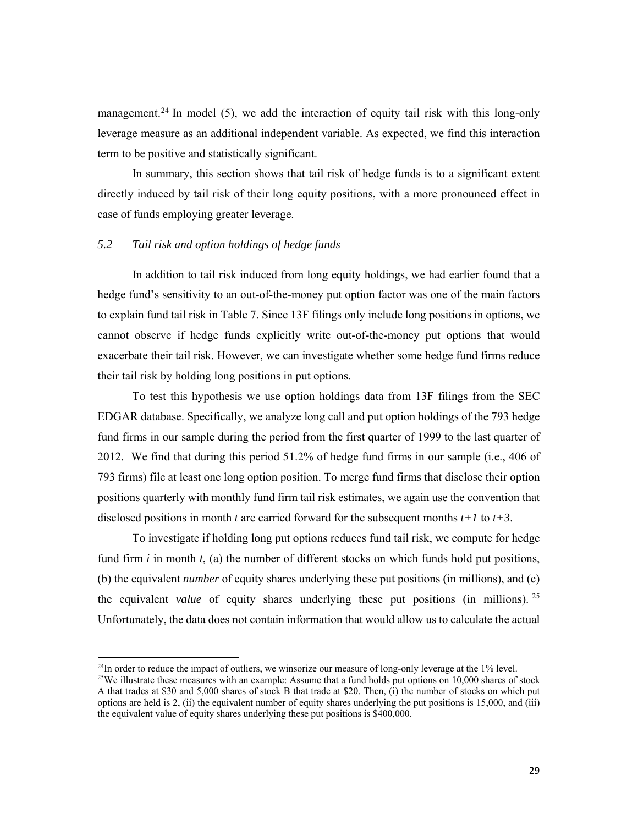management.<sup>24</sup> In model (5), we add the interaction of equity tail risk with this long-only leverage measure as an additional independent variable. As expected, we find this interaction term to be positive and statistically significant.

In summary, this section shows that tail risk of hedge funds is to a significant extent directly induced by tail risk of their long equity positions, with a more pronounced effect in case of funds employing greater leverage.

#### *5.2 Tail risk and option holdings of hedge funds*

In addition to tail risk induced from long equity holdings, we had earlier found that a hedge fund's sensitivity to an out-of-the-money put option factor was one of the main factors to explain fund tail risk in Table 7. Since 13F filings only include long positions in options, we cannot observe if hedge funds explicitly write out-of-the-money put options that would exacerbate their tail risk. However, we can investigate whether some hedge fund firms reduce their tail risk by holding long positions in put options.

To test this hypothesis we use option holdings data from 13F filings from the SEC EDGAR database. Specifically, we analyze long call and put option holdings of the 793 hedge fund firms in our sample during the period from the first quarter of 1999 to the last quarter of 2012. We find that during this period 51.2% of hedge fund firms in our sample (i.e., 406 of 793 firms) file at least one long option position. To merge fund firms that disclose their option positions quarterly with monthly fund firm tail risk estimates, we again use the convention that disclosed positions in month *t* are carried forward for the subsequent months *t+1* to *t+3*.

To investigate if holding long put options reduces fund tail risk, we compute for hedge fund firm *i* in month *t*, (a) the number of different stocks on which funds hold put positions, (b) the equivalent *number* of equity shares underlying these put positions (in millions), and (c) the equivalent *value* of equity shares underlying these put positions (in millions). <sup>25</sup> Unfortunately, the data does not contain information that would allow us to calculate the actual

<sup>&</sup>lt;sup>24</sup>In order to reduce the impact of outliers, we winsorize our measure of long-only leverage at the 1% level.<br><sup>25</sup>We illustrate these measures with an example: Assume that a fund holds put options on 10,000 shares of sto

A that trades at \$30 and 5,000 shares of stock B that trade at \$20. Then, (i) the number of stocks on which put options are held is 2, (ii) the equivalent number of equity shares underlying the put positions is 15,000, and (iii) the equivalent value of equity shares underlying these put positions is \$400,000.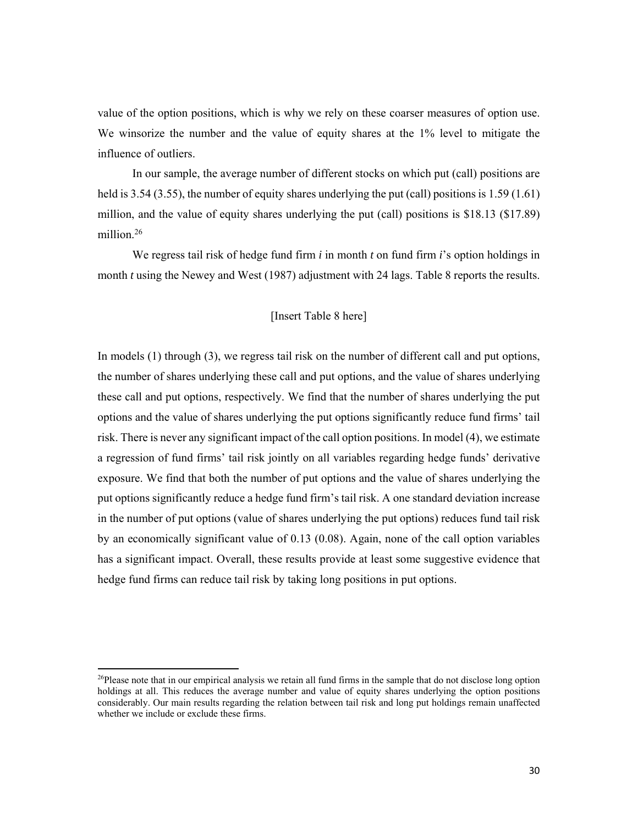value of the option positions, which is why we rely on these coarser measures of option use. We winsorize the number and the value of equity shares at the 1% level to mitigate the influence of outliers.

In our sample, the average number of different stocks on which put (call) positions are held is 3.54 (3.55), the number of equity shares underlying the put (call) positions is 1.59 (1.61) million, and the value of equity shares underlying the put (call) positions is \$18.13 (\$17.89) million $26$ 

We regress tail risk of hedge fund firm *i* in month *t* on fund firm *i*'s option holdings in month *t* using the Newey and West (1987) adjustment with 24 lags. Table 8 reports the results.

# [Insert Table 8 here]

In models (1) through (3), we regress tail risk on the number of different call and put options, the number of shares underlying these call and put options, and the value of shares underlying these call and put options, respectively. We find that the number of shares underlying the put options and the value of shares underlying the put options significantly reduce fund firms' tail risk. There is never any significant impact of the call option positions. In model (4), we estimate a regression of fund firms' tail risk jointly on all variables regarding hedge funds' derivative exposure. We find that both the number of put options and the value of shares underlying the put options significantly reduce a hedge fund firm's tail risk. A one standard deviation increase in the number of put options (value of shares underlying the put options) reduces fund tail risk by an economically significant value of 0.13 (0.08). Again, none of the call option variables has a significant impact. Overall, these results provide at least some suggestive evidence that hedge fund firms can reduce tail risk by taking long positions in put options.

 $26P$ lease note that in our empirical analysis we retain all fund firms in the sample that do not disclose long option holdings at all. This reduces the average number and value of equity shares underlying the option positions considerably. Our main results regarding the relation between tail risk and long put holdings remain unaffected whether we include or exclude these firms.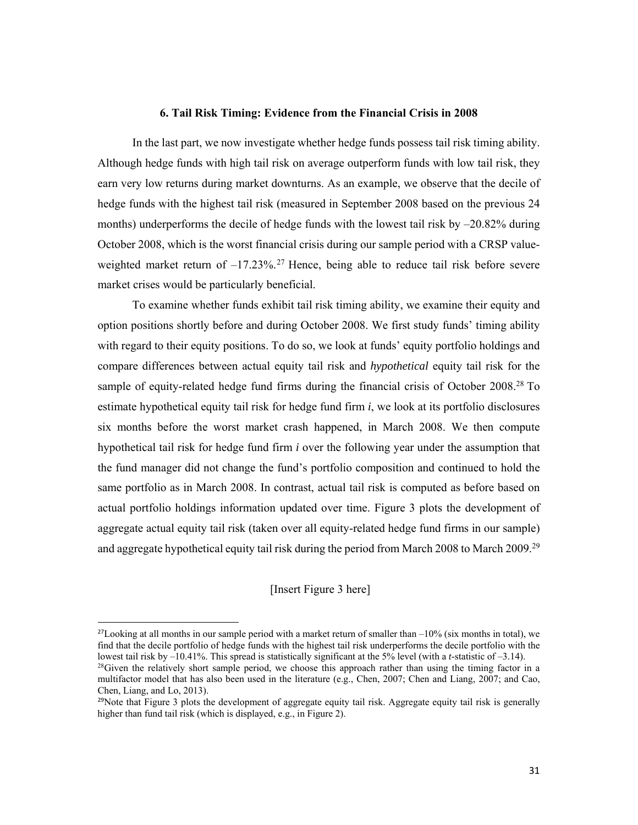#### **6. Tail Risk Timing: Evidence from the Financial Crisis in 2008**

In the last part, we now investigate whether hedge funds possess tail risk timing ability. Although hedge funds with high tail risk on average outperform funds with low tail risk, they earn very low returns during market downturns. As an example, we observe that the decile of hedge funds with the highest tail risk (measured in September 2008 based on the previous 24 months) underperforms the decile of hedge funds with the lowest tail risk by  $-20.82\%$  during October 2008, which is the worst financial crisis during our sample period with a CRSP valueweighted market return of  $-17.23\%$ .<sup>27</sup> Hence, being able to reduce tail risk before severe market crises would be particularly beneficial.

To examine whether funds exhibit tail risk timing ability, we examine their equity and option positions shortly before and during October 2008. We first study funds' timing ability with regard to their equity positions. To do so, we look at funds' equity portfolio holdings and compare differences between actual equity tail risk and *hypothetical* equity tail risk for the sample of equity-related hedge fund firms during the financial crisis of October 2008.<sup>28</sup> To estimate hypothetical equity tail risk for hedge fund firm *i*, we look at its portfolio disclosures six months before the worst market crash happened, in March 2008. We then compute hypothetical tail risk for hedge fund firm *i* over the following year under the assumption that the fund manager did not change the fund's portfolio composition and continued to hold the same portfolio as in March 2008. In contrast, actual tail risk is computed as before based on actual portfolio holdings information updated over time. Figure 3 plots the development of aggregate actual equity tail risk (taken over all equity-related hedge fund firms in our sample) and aggregate hypothetical equity tail risk during the period from March 2008 to March 2009.<sup>29</sup>

#### [Insert Figure 3 here]

<sup>&</sup>lt;sup>27</sup>Looking at all months in our sample period with a market return of smaller than  $-10\%$  (six months in total), we find that the decile portfolio of hedge funds with the highest tail risk underperforms the decile portfolio with the lowest tail risk by  $-10.41\%$ . This spread is statistically significant at the 5% level (with a *t*-statistic of  $-3.14$ ).

<sup>&</sup>lt;sup>28</sup>Given the relatively short sample period, we choose this approach rather than using the timing factor in a multifactor model that has also been used in the literature (e.g., Chen, 2007; Chen and Liang, 2007; and Cao, Chen, Liang, and Lo, 2013).

 $29$ Note that Figure 3 plots the development of aggregate equity tail risk. Aggregate equity tail risk is generally higher than fund tail risk (which is displayed, e.g., in Figure 2).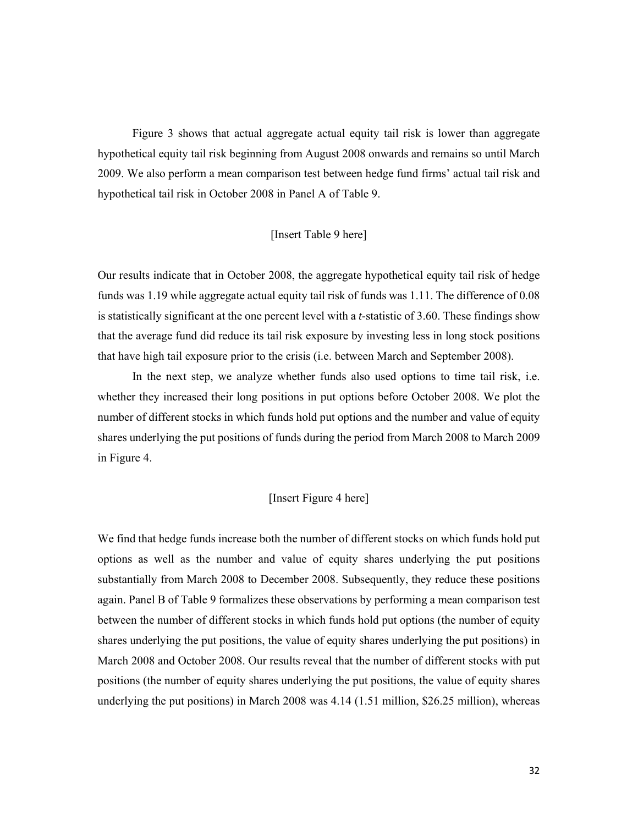Figure 3 shows that actual aggregate actual equity tail risk is lower than aggregate hypothetical equity tail risk beginning from August 2008 onwards and remains so until March 2009. We also perform a mean comparison test between hedge fund firms' actual tail risk and hypothetical tail risk in October 2008 in Panel A of Table 9.

### [Insert Table 9 here]

Our results indicate that in October 2008, the aggregate hypothetical equity tail risk of hedge funds was 1.19 while aggregate actual equity tail risk of funds was 1.11. The difference of 0.08 is statistically significant at the one percent level with a *t*-statistic of 3.60. These findings show that the average fund did reduce its tail risk exposure by investing less in long stock positions that have high tail exposure prior to the crisis (i.e. between March and September 2008).

In the next step, we analyze whether funds also used options to time tail risk, i.e. whether they increased their long positions in put options before October 2008. We plot the number of different stocks in which funds hold put options and the number and value of equity shares underlying the put positions of funds during the period from March 2008 to March 2009 in Figure 4.

### [Insert Figure 4 here]

We find that hedge funds increase both the number of different stocks on which funds hold put options as well as the number and value of equity shares underlying the put positions substantially from March 2008 to December 2008. Subsequently, they reduce these positions again. Panel B of Table 9 formalizes these observations by performing a mean comparison test between the number of different stocks in which funds hold put options (the number of equity shares underlying the put positions, the value of equity shares underlying the put positions) in March 2008 and October 2008. Our results reveal that the number of different stocks with put positions (the number of equity shares underlying the put positions, the value of equity shares underlying the put positions) in March 2008 was  $4.14$  (1.51 million, \$26.25 million), whereas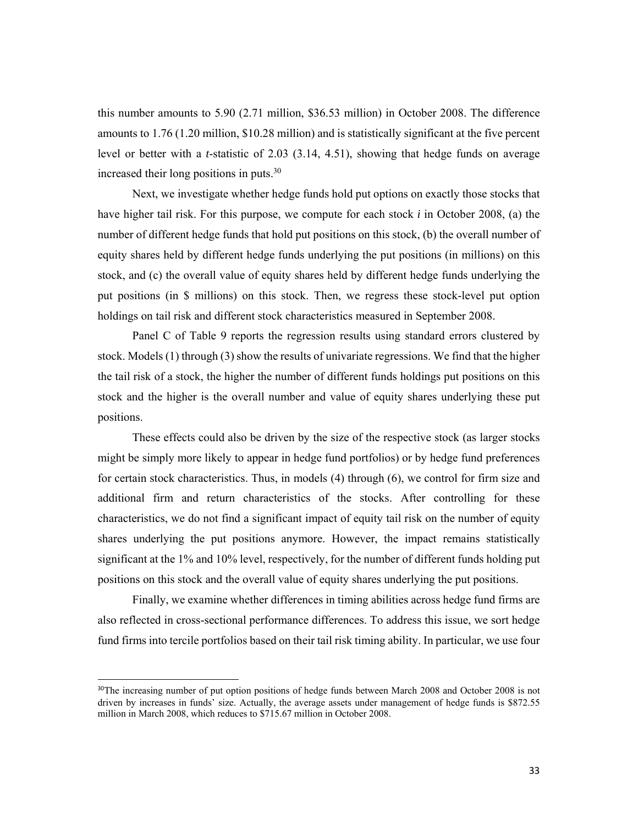this number amounts to 5.90 (2.71 million, \$36.53 million) in October 2008. The difference amounts to 1.76 (1.20 million, \$10.28 million) and is statistically significant at the five percent level or better with a *t*-statistic of 2.03 (3.14, 4.51), showing that hedge funds on average increased their long positions in puts.<sup>30</sup>

Next, we investigate whether hedge funds hold put options on exactly those stocks that have higher tail risk. For this purpose, we compute for each stock *i* in October 2008, (a) the number of different hedge funds that hold put positions on this stock, (b) the overall number of equity shares held by different hedge funds underlying the put positions (in millions) on this stock, and (c) the overall value of equity shares held by different hedge funds underlying the put positions (in \$ millions) on this stock. Then, we regress these stock-level put option holdings on tail risk and different stock characteristics measured in September 2008.

Panel C of Table 9 reports the regression results using standard errors clustered by stock. Models (1) through (3) show the results of univariate regressions. We find that the higher the tail risk of a stock, the higher the number of different funds holdings put positions on this stock and the higher is the overall number and value of equity shares underlying these put positions.

These effects could also be driven by the size of the respective stock (as larger stocks might be simply more likely to appear in hedge fund portfolios) or by hedge fund preferences for certain stock characteristics. Thus, in models (4) through (6), we control for firm size and additional firm and return characteristics of the stocks. After controlling for these characteristics, we do not find a significant impact of equity tail risk on the number of equity shares underlying the put positions anymore. However, the impact remains statistically significant at the 1% and 10% level, respectively, for the number of different funds holding put positions on this stock and the overall value of equity shares underlying the put positions.

Finally, we examine whether differences in timing abilities across hedge fund firms are also reflected in cross-sectional performance differences. To address this issue, we sort hedge fund firms into tercile portfolios based on their tail risk timing ability. In particular, we use four

<sup>&</sup>lt;sup>30</sup>The increasing number of put option positions of hedge funds between March 2008 and October 2008 is not driven by increases in funds' size. Actually, the average assets under management of hedge funds is \$872.55 million in March 2008, which reduces to \$715.67 million in October 2008.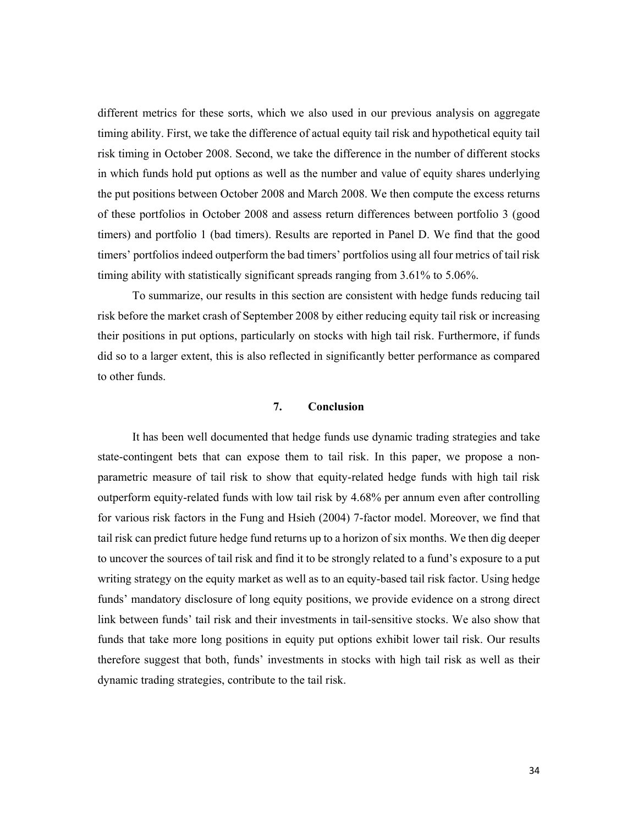different metrics for these sorts, which we also used in our previous analysis on aggregate timing ability. First, we take the difference of actual equity tail risk and hypothetical equity tail risk timing in October 2008. Second, we take the difference in the number of different stocks in which funds hold put options as well as the number and value of equity shares underlying the put positions between October 2008 and March 2008. We then compute the excess returns of these portfolios in October 2008 and assess return differences between portfolio 3 (good timers) and portfolio 1 (bad timers). Results are reported in Panel D. We find that the good timers' portfolios indeed outperform the bad timers' portfolios using all four metrics of tail risk timing ability with statistically significant spreads ranging from 3.61% to 5.06%.

To summarize, our results in this section are consistent with hedge funds reducing tail risk before the market crash of September 2008 by either reducing equity tail risk or increasing their positions in put options, particularly on stocks with high tail risk. Furthermore, if funds did so to a larger extent, this is also reflected in significantly better performance as compared to other funds.

# **7. Conclusion**

It has been well documented that hedge funds use dynamic trading strategies and take state-contingent bets that can expose them to tail risk. In this paper, we propose a nonparametric measure of tail risk to show that equity-related hedge funds with high tail risk outperform equity-related funds with low tail risk by 4.68% per annum even after controlling for various risk factors in the Fung and Hsieh (2004) 7-factor model. Moreover, we find that tail risk can predict future hedge fund returns up to a horizon of six months. We then dig deeper to uncover the sources of tail risk and find it to be strongly related to a fund's exposure to a put writing strategy on the equity market as well as to an equity-based tail risk factor. Using hedge funds' mandatory disclosure of long equity positions, we provide evidence on a strong direct link between funds' tail risk and their investments in tail-sensitive stocks. We also show that funds that take more long positions in equity put options exhibit lower tail risk. Our results therefore suggest that both, funds' investments in stocks with high tail risk as well as their dynamic trading strategies, contribute to the tail risk.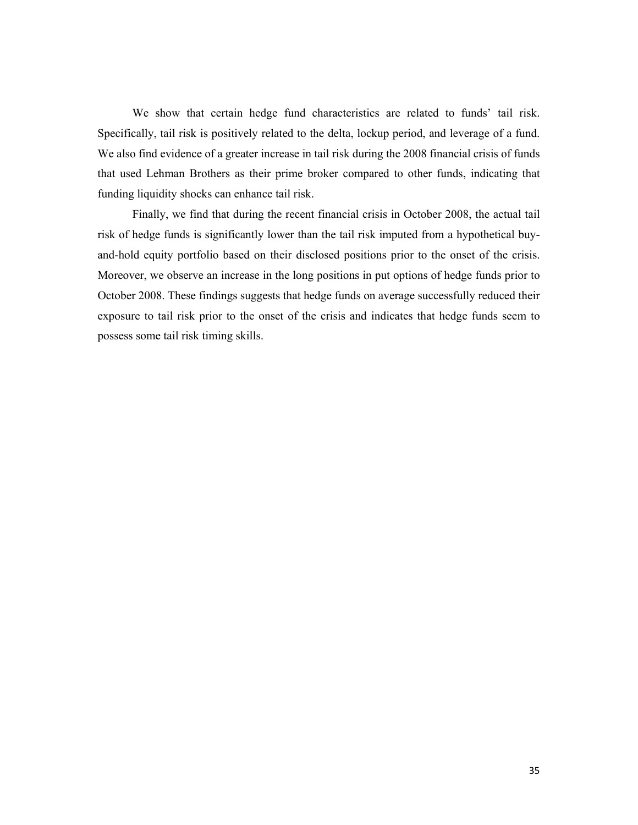We show that certain hedge fund characteristics are related to funds' tail risk. Specifically, tail risk is positively related to the delta, lockup period, and leverage of a fund. We also find evidence of a greater increase in tail risk during the 2008 financial crisis of funds that used Lehman Brothers as their prime broker compared to other funds, indicating that funding liquidity shocks can enhance tail risk.

Finally, we find that during the recent financial crisis in October 2008, the actual tail risk of hedge funds is significantly lower than the tail risk imputed from a hypothetical buyand-hold equity portfolio based on their disclosed positions prior to the onset of the crisis. Moreover, we observe an increase in the long positions in put options of hedge funds prior to October 2008. These findings suggests that hedge funds on average successfully reduced their exposure to tail risk prior to the onset of the crisis and indicates that hedge funds seem to possess some tail risk timing skills.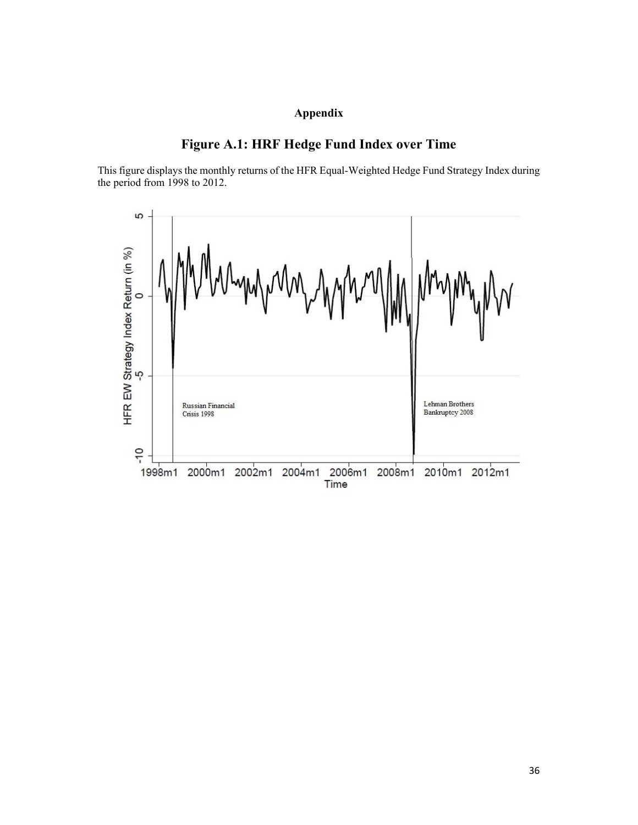# **Appendix**

# **Figure A.1: HRF Hedge Fund Index over Time**

This figure displays the monthly returns of the HFR Equal-Weighted Hedge Fund Strategy Index during the period from 1998 to 2012.

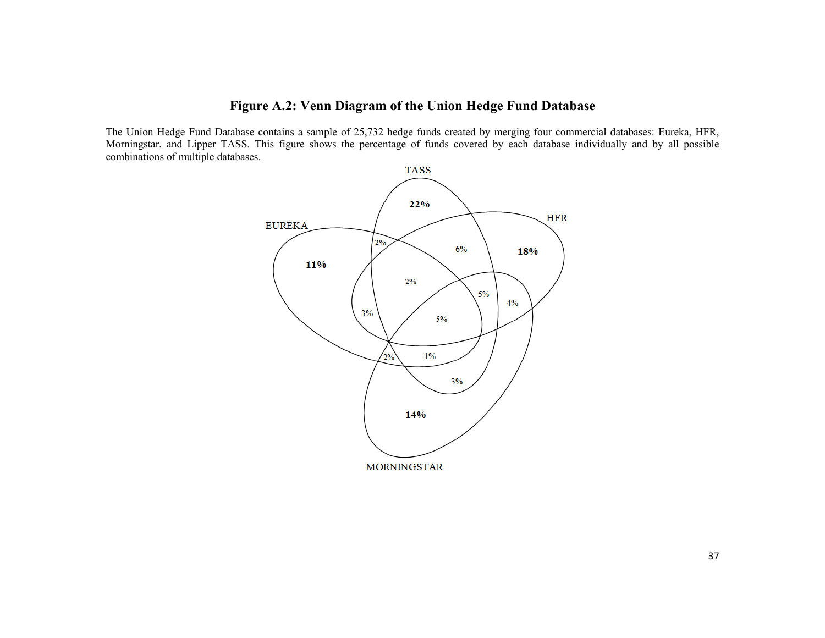# **Figure A.2: Venn Diagram of the Union Hedge Fund Database**

The Union Hedge Fund Database contains a sample of 25,732 hedge funds created by merging four commercial databases: Eureka, HFR, Morningstar, and Lipper TASS. This figure shows the percentage of funds covered by each database individually and by all possible combinations of multiple databases.

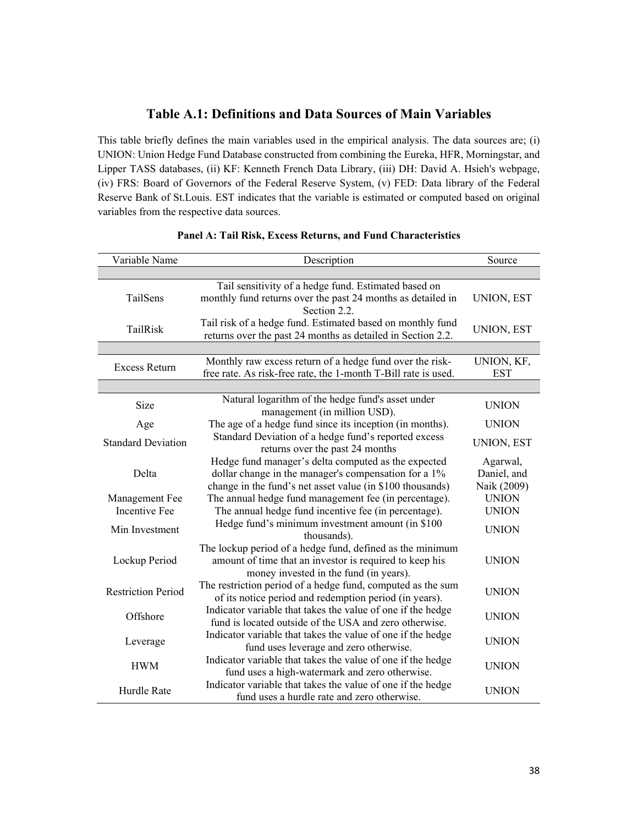# **Table A.1: Definitions and Data Sources of Main Variables**

This table briefly defines the main variables used in the empirical analysis. The data sources are; (i) UNION: Union Hedge Fund Database constructed from combining the Eureka, HFR, Morningstar, and Lipper TASS databases, (ii) KF: Kenneth French Data Library, (iii) DH: David A. Hsieh's webpage, (iv) FRS: Board of Governors of the Federal Reserve System, (v) FED: Data library of the Federal Reserve Bank of St.Louis. EST indicates that the variable is estimated or computed based on original variables from the respective data sources.

| Variable Name             | Description                                                    | Source            |  |  |
|---------------------------|----------------------------------------------------------------|-------------------|--|--|
|                           |                                                                |                   |  |  |
|                           | Tail sensitivity of a hedge fund. Estimated based on           |                   |  |  |
| TailSens                  | monthly fund returns over the past 24 months as detailed in    | UNION, EST        |  |  |
|                           | Section 2.2.                                                   |                   |  |  |
| TailRisk                  | Tail risk of a hedge fund. Estimated based on monthly fund     | UNION, EST        |  |  |
|                           | returns over the past 24 months as detailed in Section 2.2.    |                   |  |  |
|                           |                                                                |                   |  |  |
| <b>Excess Return</b>      | Monthly raw excess return of a hedge fund over the risk-       | UNION, KF,        |  |  |
|                           | free rate. As risk-free rate, the 1-month T-Bill rate is used. | <b>EST</b>        |  |  |
|                           |                                                                |                   |  |  |
| Size                      | Natural logarithm of the hedge fund's asset under              | <b>UNION</b>      |  |  |
|                           | management (in million USD).                                   |                   |  |  |
| Age                       | The age of a hedge fund since its inception (in months).       | <b>UNION</b>      |  |  |
| <b>Standard Deviation</b> | Standard Deviation of a hedge fund's reported excess           | <b>UNION, EST</b> |  |  |
|                           | returns over the past 24 months                                |                   |  |  |
|                           | Hedge fund manager's delta computed as the expected            | Agarwal,          |  |  |
| Delta                     | dollar change in the manager's compensation for a 1%           | Daniel, and       |  |  |
|                           | change in the fund's net asset value (in \$100 thousands)      | Naik (2009)       |  |  |
| Management Fee            | The annual hedge fund management fee (in percentage).          | <b>UNION</b>      |  |  |
| <b>Incentive Fee</b>      | The annual hedge fund incentive fee (in percentage).           | <b>UNION</b>      |  |  |
| Min Investment            | Hedge fund's minimum investment amount (in \$100               | <b>UNION</b>      |  |  |
|                           | thousands).                                                    |                   |  |  |
|                           | The lockup period of a hedge fund, defined as the minimum      |                   |  |  |
| Lockup Period             | amount of time that an investor is required to keep his        | <b>UNION</b>      |  |  |
|                           | money invested in the fund (in years).                         |                   |  |  |
| <b>Restriction Period</b> | The restriction period of a hedge fund, computed as the sum    | <b>UNION</b>      |  |  |
|                           | of its notice period and redemption period (in years).         |                   |  |  |
| Offshore                  | Indicator variable that takes the value of one if the hedge    | <b>UNION</b>      |  |  |
|                           | fund is located outside of the USA and zero otherwise.         |                   |  |  |
| Leverage                  | Indicator variable that takes the value of one if the hedge    | <b>UNION</b>      |  |  |
|                           | fund uses leverage and zero otherwise.                         |                   |  |  |
| <b>HWM</b>                | Indicator variable that takes the value of one if the hedge    | <b>UNION</b>      |  |  |
|                           | fund uses a high-watermark and zero otherwise.                 |                   |  |  |
| Hurdle Rate               | Indicator variable that takes the value of one if the hedge    |                   |  |  |
|                           | fund uses a hurdle rate and zero otherwise.                    | <b>UNION</b>      |  |  |

#### **Panel A: Tail Risk, Excess Returns, and Fund Characteristics**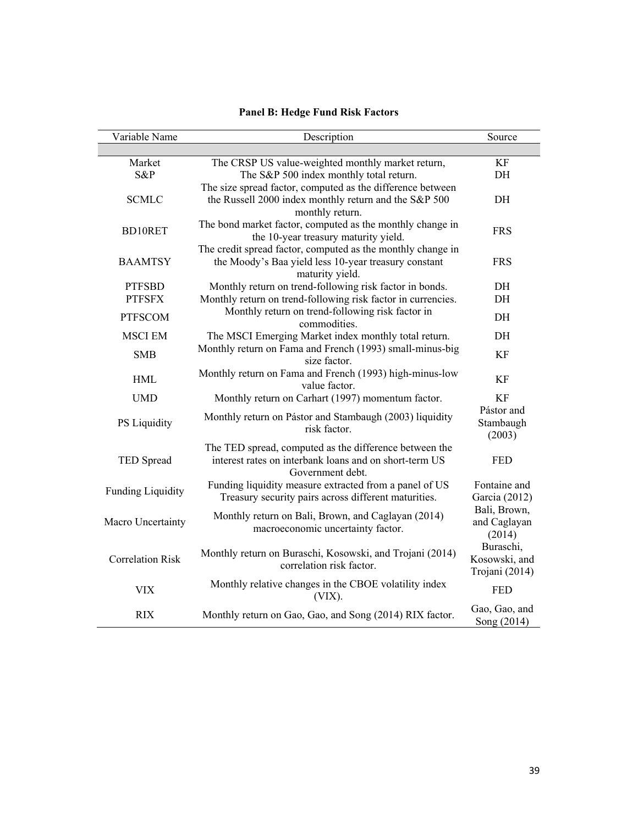| Variable Name            | Description                                                                                                                            | Source                                              |  |  |  |
|--------------------------|----------------------------------------------------------------------------------------------------------------------------------------|-----------------------------------------------------|--|--|--|
|                          |                                                                                                                                        |                                                     |  |  |  |
| Market                   | The CRSP US value-weighted monthly market return,                                                                                      | KF                                                  |  |  |  |
| S&P                      | The S&P 500 index monthly total return.                                                                                                | DH                                                  |  |  |  |
| <b>SCMLC</b>             | The size spread factor, computed as the difference between<br>the Russell 2000 index monthly return and the S&P 500<br>monthly return. | DH                                                  |  |  |  |
| BD10RET                  | The bond market factor, computed as the monthly change in<br>the 10-year treasury maturity yield.                                      | <b>FRS</b>                                          |  |  |  |
| <b>BAAMTSY</b>           | The credit spread factor, computed as the monthly change in<br>the Moody's Baa yield less 10-year treasury constant<br>maturity yield. | <b>FRS</b>                                          |  |  |  |
| <b>PTFSBD</b>            | Monthly return on trend-following risk factor in bonds.                                                                                | DH                                                  |  |  |  |
| <b>PTFSFX</b>            | Monthly return on trend-following risk factor in currencies.                                                                           | DH                                                  |  |  |  |
| <b>PTFSCOM</b>           | Monthly return on trend-following risk factor in<br>commodities.                                                                       | DH                                                  |  |  |  |
| <b>MSCI EM</b>           | The MSCI Emerging Market index monthly total return.                                                                                   | DH                                                  |  |  |  |
| <b>SMB</b>               | Monthly return on Fama and French (1993) small-minus-big<br>size factor.                                                               |                                                     |  |  |  |
| <b>HML</b>               | Monthly return on Fama and French (1993) high-minus-low<br>value factor.                                                               | KF                                                  |  |  |  |
| <b>UMD</b>               | Monthly return on Carhart (1997) momentum factor.                                                                                      | KF                                                  |  |  |  |
| PS Liquidity             | Monthly return on Pástor and Stambaugh (2003) liquidity<br>risk factor.                                                                | Pástor and<br>Stambaugh<br>(2003)                   |  |  |  |
| <b>TED Spread</b>        | The TED spread, computed as the difference between the<br>interest rates on interbank loans and on short-term US<br>Government debt.   | <b>FED</b>                                          |  |  |  |
| <b>Funding Liquidity</b> | Funding liquidity measure extracted from a panel of US<br>Treasury security pairs across different maturities.                         | Fontaine and<br>Garcia (2012)                       |  |  |  |
| Macro Uncertainty        | Monthly return on Bali, Brown, and Caglayan (2014)<br>macroeconomic uncertainty factor.                                                | Bali, Brown,<br>and Caglayan<br>(2014)<br>Buraschi, |  |  |  |
| <b>Correlation Risk</b>  | Monthly return on Buraschi, Kosowski, and Trojani (2014)<br>correlation risk factor.                                                   |                                                     |  |  |  |
| <b>VIX</b>               | Monthly relative changes in the CBOE volatility index<br>$(VIX)$ .                                                                     | <b>FED</b>                                          |  |  |  |
| <b>RIX</b>               | Monthly return on Gao, Gao, and Song (2014) RIX factor.                                                                                | Gao, Gao, and<br>Song (2014)                        |  |  |  |

# **Panel B: Hedge Fund Risk Factors**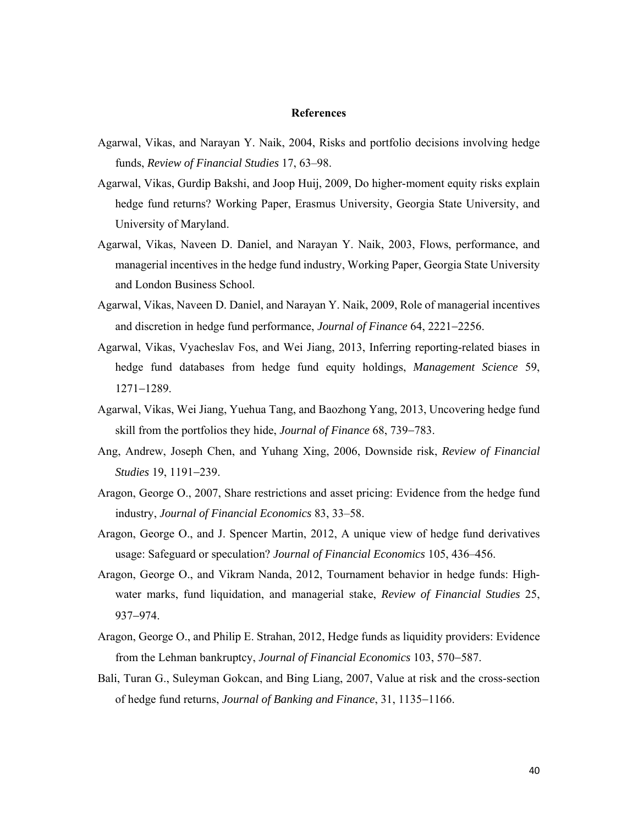#### **References**

- Agarwal, Vikas, and Narayan Y. Naik, 2004, Risks and portfolio decisions involving hedge funds, *Review of Financial Studies* 17, 63–98.
- Agarwal, Vikas, Gurdip Bakshi, and Joop Huij, 2009, Do higher-moment equity risks explain hedge fund returns? Working Paper, Erasmus University, Georgia State University, and University of Maryland.
- Agarwal, Vikas, Naveen D. Daniel, and Narayan Y. Naik, 2003, Flows, performance, and managerial incentives in the hedge fund industry, Working Paper, Georgia State University and London Business School.
- Agarwal, Vikas, Naveen D. Daniel, and Narayan Y. Naik, 2009, Role of managerial incentives and discretion in hedge fund performance, *Journal of Finance* 64, 2221-2256.
- Agarwal, Vikas, Vyacheslav Fos, and Wei Jiang, 2013, Inferring reporting-related biases in hedge fund databases from hedge fund equity holdings, *Management Science* 59,  $1271 - 1289$ .
- Agarwal, Vikas, Wei Jiang, Yuehua Tang, and Baozhong Yang, 2013, Uncovering hedge fund skill from the portfolios they hide, *Journal of Finance* 68, 739–783.
- Ang, Andrew, Joseph Chen, and Yuhang Xing, 2006, Downside risk, *Review of Financial Studies* 19, 1191-239.
- Aragon, George O., 2007, Share restrictions and asset pricing: Evidence from the hedge fund industry, *Journal of Financial Economics* 83, 33–58.
- Aragon, George O., and J. Spencer Martin, 2012, A unique view of hedge fund derivatives usage: Safeguard or speculation? *Journal of Financial Economics* 105, 436–456.
- Aragon, George O., and Vikram Nanda, 2012, Tournament behavior in hedge funds: Highwater marks, fund liquidation, and managerial stake, *Review of Financial Studies* 25, 937-974.
- Aragon, George O., and Philip E. Strahan, 2012, Hedge funds as liquidity providers: Evidence from the Lehman bankruptcy, *Journal of Financial Economics* 103, 570–587.
- Bali, Turan G., Suleyman Gokcan, and Bing Liang, 2007, Value at risk and the cross-section of hedge fund returns, *Journal of Banking and Finance*, 31, 1135-1166.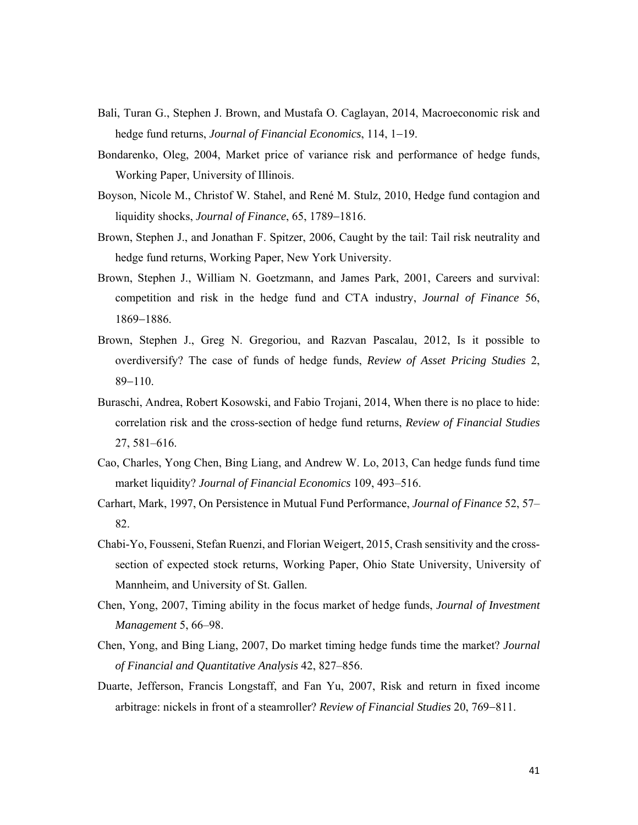- Bali, Turan G., Stephen J. Brown, and Mustafa O. Caglayan, 2014, Macroeconomic risk and hedge fund returns, *Journal of Financial Economics*, 114, 1–19.
- Bondarenko, Oleg, 2004, Market price of variance risk and performance of hedge funds, Working Paper, University of Illinois.
- Boyson, Nicole M., Christof W. Stahel, and René M. Stulz, 2010, Hedge fund contagion and liquidity shocks, *Journal of Finance*, 65, 1789-1816.
- Brown, Stephen J., and Jonathan F. Spitzer, 2006, Caught by the tail: Tail risk neutrality and hedge fund returns, Working Paper, New York University.
- Brown, Stephen J., William N. Goetzmann, and James Park, 2001, Careers and survival: competition and risk in the hedge fund and CTA industry, *Journal of Finance* 56, 1869-1886.
- Brown, Stephen J., Greg N. Gregoriou, and Razvan Pascalau, 2012, Is it possible to overdiversify? The case of funds of hedge funds, *Review of Asset Pricing Studies* 2,  $89 - 110$ .
- Buraschi, Andrea, Robert Kosowski, and Fabio Trojani, 2014, When there is no place to hide: correlation risk and the cross-section of hedge fund returns, *Review of Financial Studies* 27, 581–616.
- Cao, Charles, Yong Chen, Bing Liang, and Andrew W. Lo, 2013, Can hedge funds fund time market liquidity? *Journal of Financial Economics* 109, 493–516.
- Carhart, Mark, 1997, On Persistence in Mutual Fund Performance, *Journal of Finance* 52, 57– 82.
- Chabi-Yo, Fousseni, Stefan Ruenzi, and Florian Weigert, 2015, Crash sensitivity and the crosssection of expected stock returns, Working Paper, Ohio State University, University of Mannheim, and University of St. Gallen.
- Chen, Yong, 2007, Timing ability in the focus market of hedge funds, *Journal of Investment Management* 5, 66–98.
- Chen, Yong, and Bing Liang, 2007, Do market timing hedge funds time the market? *Journal of Financial and Quantitative Analysis* 42, 827–856.
- Duarte, Jefferson, Francis Longstaff, and Fan Yu, 2007, Risk and return in fixed income arbitrage: nickels in front of a steamroller? *Review of Financial Studies* 20, 769–811.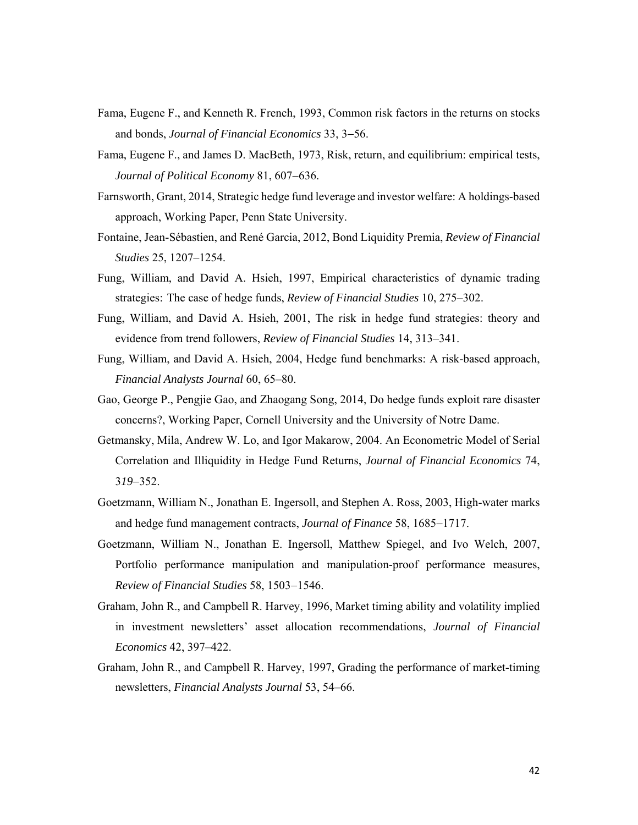- Fama, Eugene F., and Kenneth R. French, 1993, Common risk factors in the returns on stocks and bonds, *Journal of Financial Economics* 33, 3–56.
- Fama, Eugene F., and James D. MacBeth, 1973, Risk, return, and equilibrium: empirical tests, *Journal of Political Economy* 81, 607–636.
- Farnsworth, Grant, 2014, Strategic hedge fund leverage and investor welfare: A holdings-based approach, Working Paper, Penn State University.
- Fontaine, Jean-Sébastien, and René Garcia, 2012, Bond Liquidity Premia, *Review of Financial Studies* 25, 1207–1254.
- Fung, William, and David A. Hsieh, 1997, Empirical characteristics of dynamic trading strategies: The case of hedge funds, *Review of Financial Studies* 10, 275–302.
- Fung, William, and David A. Hsieh, 2001, The risk in hedge fund strategies: theory and evidence from trend followers, *Review of Financial Studies* 14, 313–341.
- Fung, William, and David A. Hsieh, 2004, Hedge fund benchmarks: A risk-based approach, *Financial Analysts Journal* 60, 65–80.
- Gao, George P., Pengjie Gao, and Zhaogang Song, 2014, Do hedge funds exploit rare disaster concerns?, Working Paper, Cornell University and the University of Notre Dame.
- Getmansky, Mila, Andrew W. Lo, and Igor Makarow, 2004. An Econometric Model of Serial Correlation and Illiquidity in Hedge Fund Returns, *Journal of Financial Economics* 74, 3*19*352.
- Goetzmann, William N., Jonathan E. Ingersoll, and Stephen A. Ross, 2003, High-water marks and hedge fund management contracts, *Journal of Finance* 58, 1685–1717.
- Goetzmann, William N., Jonathan E. Ingersoll, Matthew Spiegel, and Ivo Welch, 2007, Portfolio performance manipulation and manipulation-proof performance measures, *Review of Financial Studies* 58, 1503-1546.
- Graham, John R., and Campbell R. Harvey, 1996, Market timing ability and volatility implied in investment newsletters' asset allocation recommendations, *Journal of Financial Economics* 42, 397–422.
- Graham, John R., and Campbell R. Harvey, 1997, Grading the performance of market-timing newsletters, *Financial Analysts Journal* 53, 54–66.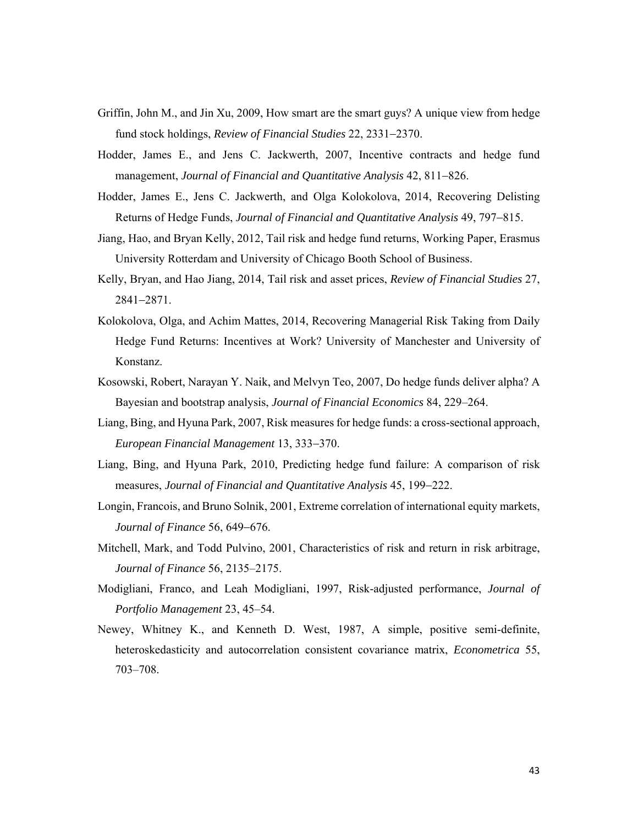- Griffin, John M., and Jin Xu, 2009, How smart are the smart guys? A unique view from hedge fund stock holdings, *Review of Financial Studies* 22, 2331-2370.
- Hodder, James E., and Jens C. Jackwerth, 2007, Incentive contracts and hedge fund management, *Journal of Financial and Quantitative Analysis* 42, 811–826.
- Hodder, James E., Jens C. Jackwerth, and Olga Kolokolova, 2014, Recovering Delisting Returns of Hedge Funds, *Journal of Financial and Quantitative Analysis* 49, 797-815.
- Jiang, Hao, and Bryan Kelly, 2012, Tail risk and hedge fund returns, Working Paper, Erasmus University Rotterdam and University of Chicago Booth School of Business.
- Kelly, Bryan, and Hao Jiang, 2014, Tail risk and asset prices, *Review of Financial Studies* 27, 28412871.
- Kolokolova, Olga, and Achim Mattes, 2014, Recovering Managerial Risk Taking from Daily Hedge Fund Returns: Incentives at Work? University of Manchester and University of Konstanz.
- Kosowski, Robert, Narayan Y. Naik, and Melvyn Teo, 2007, Do hedge funds deliver alpha? A Bayesian and bootstrap analysis, *Journal of Financial Economics* 84, 229–264.
- Liang, Bing, and Hyuna Park, 2007, Risk measures for hedge funds: a cross-sectional approach, *European Financial Management* 13, 333–370.
- Liang, Bing, and Hyuna Park, 2010, Predicting hedge fund failure: A comparison of risk measures, *Journal of Financial and Quantitative Analysis* 45, 199–222.
- Longin, Francois, and Bruno Solnik, 2001, Extreme correlation of international equity markets, *Journal of Finance* 56, 649-676.
- Mitchell, Mark, and Todd Pulvino, 2001, Characteristics of risk and return in risk arbitrage, *Journal of Finance* 56, 2135–2175.
- Modigliani, Franco, and Leah Modigliani, 1997, Risk-adjusted performance, *Journal of Portfolio Management* 23, 45–54.
- Newey, Whitney K., and Kenneth D. West, 1987, A simple, positive semi-definite, heteroskedasticity and autocorrelation consistent covariance matrix, *Econometrica* 55, 703–708.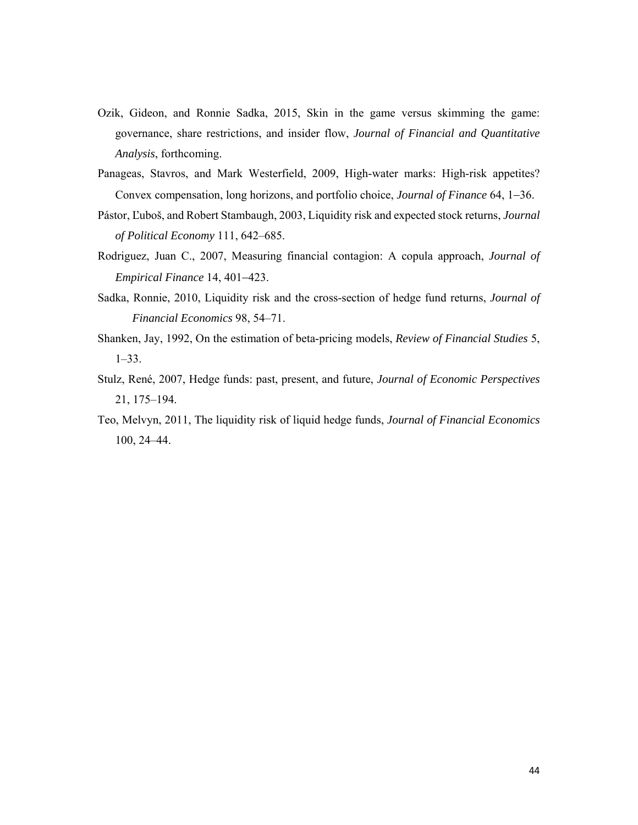- Ozik, Gideon, and Ronnie Sadka, 2015, Skin in the game versus skimming the game: governance, share restrictions, and insider flow, *Journal of Financial and Quantitative Analysis*, forthcoming.
- Panageas, Stavros, and Mark Westerfield, 2009, High-water marks: High-risk appetites? Convex compensation, long horizons, and portfolio choice, *Journal of Finance* 64, 1–36.
- Pástor, Ľuboš, and Robert Stambaugh, 2003, Liquidity risk and expected stock returns, *Journal of Political Economy* 111, 642–685.
- Rodriguez, Juan C., 2007, Measuring financial contagion: A copula approach, *Journal of Empirical Finance* 14, 401-423.
- Sadka, Ronnie, 2010, Liquidity risk and the cross-section of hedge fund returns, *Journal of Financial Economics* 98, 54–71.
- Shanken, Jay, 1992, On the estimation of beta-pricing models, *Review of Financial Studies* 5, 1–33.
- Stulz, René, 2007, Hedge funds: past, present, and future, *Journal of Economic Perspectives*  21, 175–194.
- Teo, Melvyn, 2011, The liquidity risk of liquid hedge funds, *Journal of Financial Economics* 100, 24–44.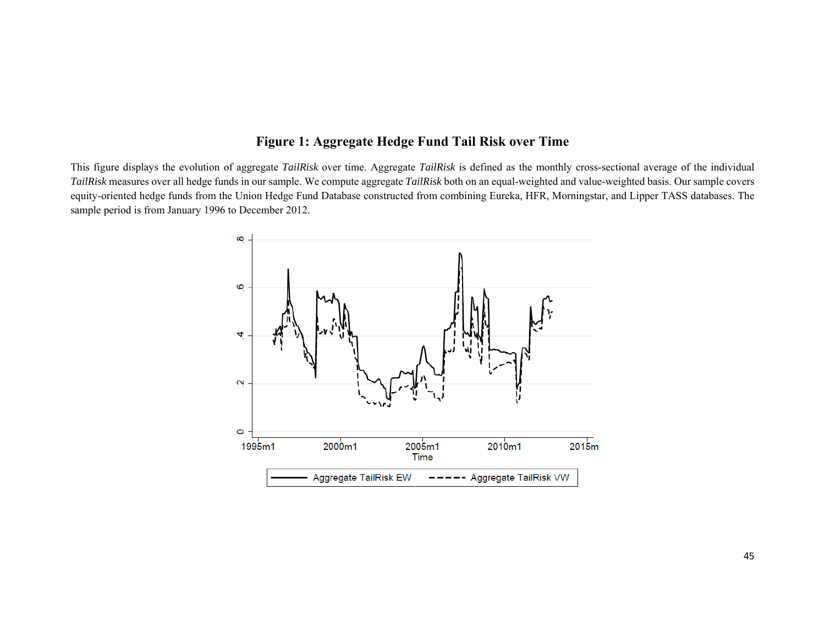# **Figure 1: Aggregate Hedge Fund Tail Risk over Time**

This figure displays the evolution of aggregate *TailRisk* over time. Aggregate *TailRisk* is defined as the monthly cross-sectional average of the individual *TailRisk* measures over all hedge funds in our sample. We compute aggregate *TailRisk* both on an equal-weighted and value-weighted basis. Our sample covers equity-oriented hedge funds from the Union Hedge Fund Database constructed from combining Eureka, HFR, Morningstar, and Lipper TASS databases. The sample period is from January 1996 to December 2012.

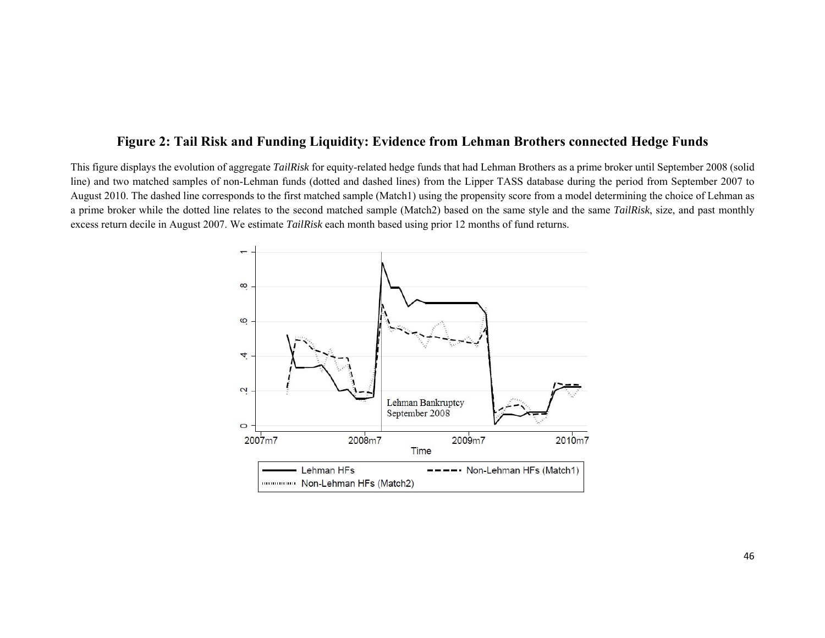# **Figure 2: Tail Risk and Funding Liquidity: Evidence from Lehman Brothers connected Hedge Funds**

This figure displays the evolution of aggregate *TailRisk* for equity-related hedge funds that had Lehman Brothers as a prime broker until September 2008 (solid line) and two matched samples of non-Lehman funds (dotted and dashed lines) from the Lipper TASS database during the period from September 2007 to August 2010. The dashed line corresponds to the first matched sample (Match1) using the propensity score from a model determining the choice of Lehman as a prime broker while the dotted line relates to the second matched sample (Match2) based on the same style and the same *TailRisk*, size, and past monthly excess return decile in August 2007. We estimate *TailRisk* each month based using prior 12 months of fund returns.

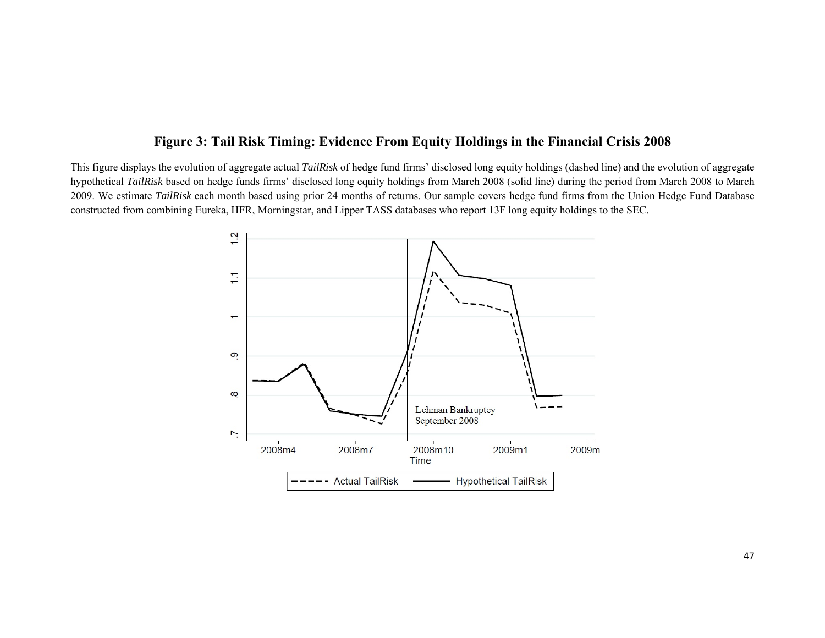# **Figure 3: Tail Risk Timing: Evidence From Equity Holdings in the Financial Crisis 2008**

This figure displays the evolution of aggregate actual *TailRisk* of hedge fund firms' disclosed long equity holdings (dashed line) and the evolution of aggregate hypothetical *TailRisk* based on hedge funds firms' disclosed long equity holdings from March 2008 (solid line) during the period from March 2008 to March 2009. We estimate *TailRisk* each month based using prior 24 months of returns. Our sample covers hedge fund firms from the Union Hedge Fund Database constructed from combining Eureka, HFR, Morningstar, and Lipper TASS databases who report 13F long equity holdings to the SEC.

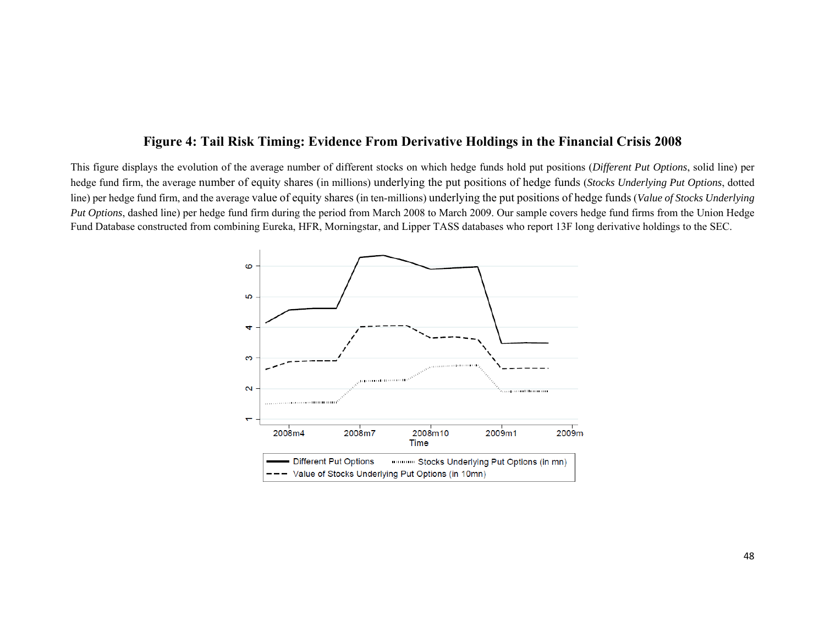# **Figure 4: Tail Risk Timing: Evidence From Derivative Holdings in the Financial Crisis 2008**

This figure displays the evolution of the average number of different stocks on which hedge funds hold put positions (*Different Put Options*, solid line) per hedge fund firm, the average number of equity shares (in millions) underlying the put positions of hedge funds (*Stocks Underlying Put Options*, dotted line) per hedge fund firm, and the average value of equity shares (in ten-millions) underlying the put positions of hedge funds (*Value of Stocks Underlying Put Options*, dashed line) per hedge fund firm during the period from March 2008 to March 2009. Our sample covers hedge fund firms from the Union Hedge Fund Database constructed from combining Eureka, HFR, Morningstar, and Lipper TASS databases who report 13F long derivative holdings to the SEC.

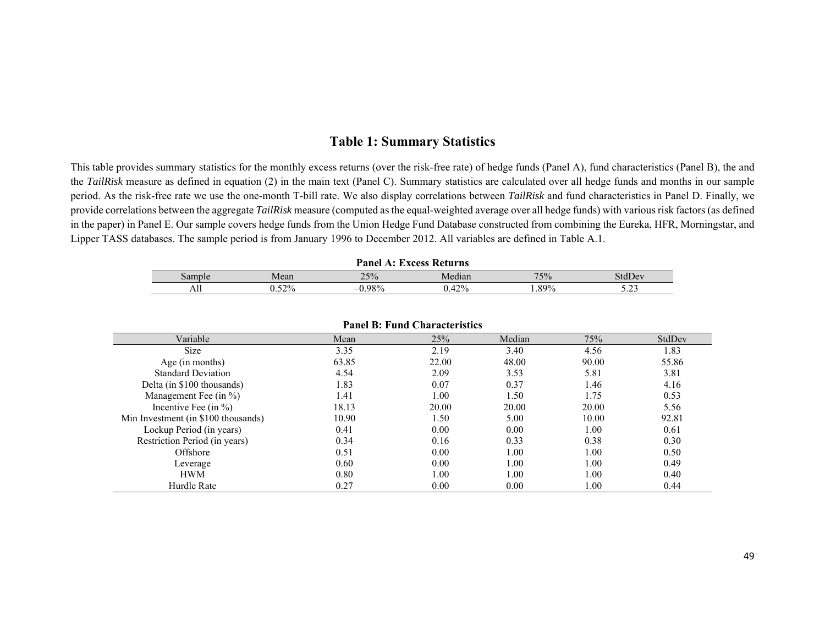# **Table 1: Summary Statistics**

This table provides summary statistics for the monthly excess returns (over the risk-free rate) of hedge funds (Panel A), fund characteristics (Panel B), the and the *TailRisk* measure as defined in equation (2) in the main text (Panel C). Summary statistics are calculated over all hedge funds and months in our sample period. As the risk-free rate we use the one-month T-bill rate. We also display correlations between *TailRisk* and fund characteristics in Panel D. Finally, we provide correlations between the aggregate *TailRisk* measure (computed as the equal-weighted average over all hedge funds) with various risk factors (as defined in the paper) in Panel E. Our sample covers hedge funds from the Union Hedge Fund Database constructed from combining the Eureka, HFR, Morningstar, and Lipper TASS databases. The sample period is from January 1996 to December 2012. All variables are defined in Table A.1.

| Panel<br>EVAACC L<br>Keturns |      |                   |                  |       |         |  |  |  |
|------------------------------|------|-------------------|------------------|-------|---------|--|--|--|
| $\delta$ amr                 | Mean | 25%               | $\sim$<br>Median | 75%   | stdDev  |  |  |  |
| All                          | 52%  | 000<br>$\gamma_0$ | 400<br>4270      | . 89% | <u></u> |  |  |  |

| <b>Panel B: Fund Characteristics</b> |       |       |        |       |        |  |  |  |  |  |
|--------------------------------------|-------|-------|--------|-------|--------|--|--|--|--|--|
| Variable                             | Mean  | 25%   | Median | 75%   | StdDev |  |  |  |  |  |
| <b>Size</b>                          | 3.35  | 2.19  | 3.40   | 4.56  | 1.83   |  |  |  |  |  |
| Age (in months)                      | 63.85 | 22.00 | 48.00  | 90.00 | 55.86  |  |  |  |  |  |
| <b>Standard Deviation</b>            | 4.54  | 2.09  | 3.53   | 5.81  | 3.81   |  |  |  |  |  |
| Delta (in \$100 thousands)           | 1.83  | 0.07  | 0.37   | 1.46  | 4.16   |  |  |  |  |  |
| Management Fee $(in %)$              | 1.41  | 1.00  | 1.50   | 1.75  | 0.53   |  |  |  |  |  |
| Incentive Fee $(in %)$               | 18.13 | 20.00 | 20.00  | 20.00 | 5.56   |  |  |  |  |  |
| Min Investment (in \$100 thousands)  | 10.90 | 1.50  | 5.00   | 10.00 | 92.81  |  |  |  |  |  |
| Lockup Period (in years)             | 0.41  | 0.00  | 0.00   | 1.00  | 0.61   |  |  |  |  |  |
| Restriction Period (in years)        | 0.34  | 0.16  | 0.33   | 0.38  | 0.30   |  |  |  |  |  |
| Offshore                             | 0.51  | 0.00  | 1.00   | 1.00  | 0.50   |  |  |  |  |  |
| Leverage                             | 0.60  | 0.00  | 1.00   | 1.00  | 0.49   |  |  |  |  |  |
| <b>HWM</b>                           | 0.80  | 1.00  | 1.00   | 1.00  | 0.40   |  |  |  |  |  |
| Hurdle Rate                          | 0.27  | 0.00  | 0.00   | .00   | 0.44   |  |  |  |  |  |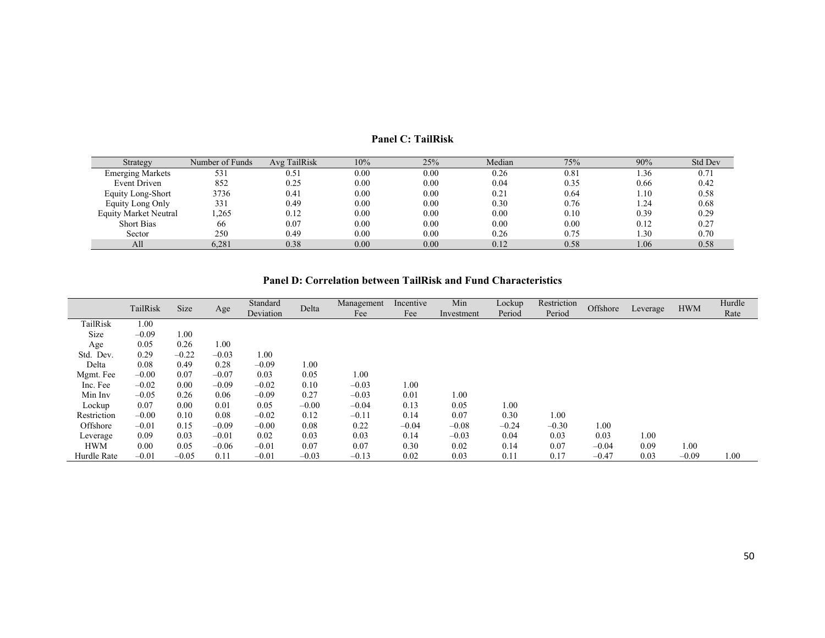| Strategy                     | Number of Funds | Avg TailRisk | 10%  | 25%  | Median | 75%  | 90%  | <b>Std Dev</b> |
|------------------------------|-----------------|--------------|------|------|--------|------|------|----------------|
| <b>Emerging Markets</b>      | 531             | 0.5          | 0.00 | 0.00 | 0.26   | 0.81 | 1.36 | 0.71           |
| Event Driven                 | 852             | 0.25         | 0.00 | 0.00 | 0.04   | 0.35 | 0.66 | 0.42           |
| Equity Long-Short            | 3736            | 0.41         | 0.00 | 0.00 | 0.21   | 0.64 | 1.10 | 0.58           |
| Equity Long Only             | 331             | 0.49         | 0.00 | 0.00 | 0.30   | 0.76 | 1.24 | 0.68           |
| <b>Equity Market Neutral</b> | .265            | 0.12         | 0.00 | 0.00 | 0.00   | 0.10 | 0.39 | 0.29           |
| <b>Short Bias</b>            | 66              | 0.07         | 0.00 | 0.00 | 0.00   | 0.00 | 0.12 | 0.27           |
| Sector                       | 250             | 0.49         | 0.00 | 0.00 | 0.26   | 0.75 | 1.30 | 0.70           |
| All                          | 6.281           | 0.38         | 0.00 | 0.00 | 0.12   | 0.58 | 1.06 | 0.58           |

#### **Panel C: TailRisk**

#### **Panel D: Correlation between TailRisk and Fund Characteristics**

|             | TailRisk | Size    | Age     | Standard<br>Deviation | Delta   | Management<br>Fee | Incentive<br>Fee | Min<br>Investment | Lockup<br>Period | Restriction<br>Period | Offshore | Leverage | <b>HWM</b> | Hurdle<br>Rate |
|-------------|----------|---------|---------|-----------------------|---------|-------------------|------------------|-------------------|------------------|-----------------------|----------|----------|------------|----------------|
| TailRisk    | 1.00     |         |         |                       |         |                   |                  |                   |                  |                       |          |          |            |                |
| Size        | $-0.09$  | 1.00    |         |                       |         |                   |                  |                   |                  |                       |          |          |            |                |
| Age         | 0.05     | 0.26    | 1.00    |                       |         |                   |                  |                   |                  |                       |          |          |            |                |
| Std. Dev.   | 0.29     | $-0.22$ | $-0.03$ | 1.00                  |         |                   |                  |                   |                  |                       |          |          |            |                |
| Delta       | 0.08     | 0.49    | 0.28    | $-0.09$               | 0.00    |                   |                  |                   |                  |                       |          |          |            |                |
| Mgmt. Fee   | $-0.00$  | 0.07    | $-0.07$ | 0.03                  | 0.05    | 1.00              |                  |                   |                  |                       |          |          |            |                |
| Inc. Fee    | $-0.02$  | 0.00    | $-0.09$ | $-0.02$               | 0.10    | $-0.03$           | 1.00             |                   |                  |                       |          |          |            |                |
| Min Inv     | $-0.05$  | 0.26    | 0.06    | $-0.09$               | 0.27    | $-0.03$           | 0.01             | 1.00              |                  |                       |          |          |            |                |
| Lockup      | 0.07     | 0.00    | 0.01    | 0.05                  | $-0.00$ | $-0.04$           | 0.13             | 0.05              | 1.00             |                       |          |          |            |                |
| Restriction | $-0.00$  | 0.10    | 0.08    | $-0.02$               | 0.12    | $-0.11$           | 0.14             | 0.07              | 0.30             | 1.00                  |          |          |            |                |
| Offshore    | $-0.01$  | 0.15    | $-0.09$ | $-0.00$               | 0.08    | 0.22              | $-0.04$          | $-0.08$           | $-0.24$          | $-0.30$               | 1.00     |          |            |                |
| Leverage    | 0.09     | 0.03    | $-0.01$ | 0.02                  | 0.03    | 0.03              | 0.14             | $-0.03$           | 0.04             | 0.03                  | 0.03     | 1.00     |            |                |
| <b>HWM</b>  | 0.00     | 0.05    | $-0.06$ | $-0.01$               | 0.07    | 0.07              | 0.30             | 0.02              | 0.14             | 0.07                  | $-0.04$  | 0.09     | 1.00       |                |
| Hurdle Rate | $-0.01$  | $-0.05$ | 0.11    | $-0.01$               | $-0.03$ | $-0.13$           | 0.02             | 0.03              | 0.11             | 0.17                  | $-0.47$  | 0.03     | $-0.09$    | $1.00\,$       |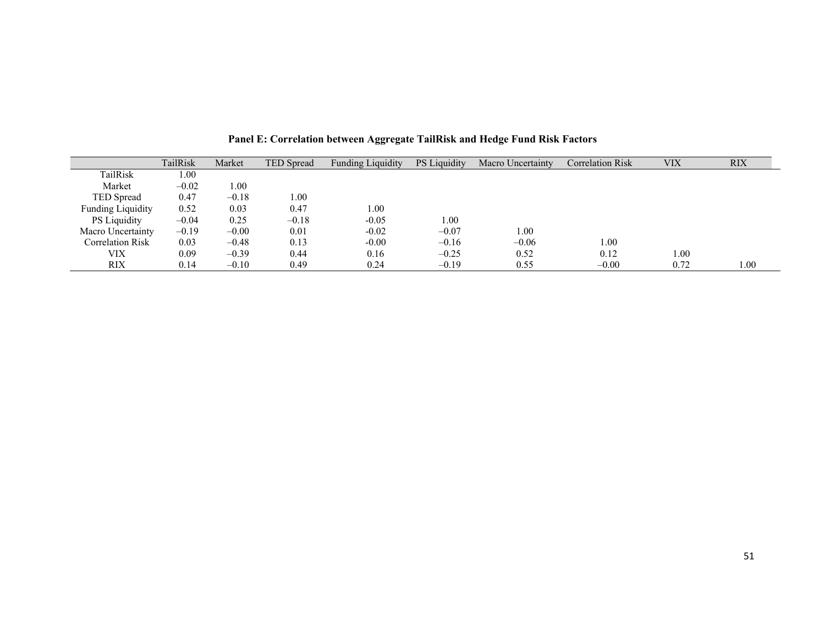|                          | TailRisk | Market  | <b>TED</b> Spread | <b>Funding Liquidity</b> | <b>PS</b> Liquidity | Macro Uncertainty | <b>Correlation Risk</b> | <b>VIX</b> | <b>RIX</b> |
|--------------------------|----------|---------|-------------------|--------------------------|---------------------|-------------------|-------------------------|------------|------------|
| TailRisk                 | $1.00\,$ |         |                   |                          |                     |                   |                         |            |            |
| Market                   | $-0.02$  | 1.00    |                   |                          |                     |                   |                         |            |            |
| <b>TED</b> Spread        | 0.47     | $-0.18$ | 1.00              |                          |                     |                   |                         |            |            |
| <b>Funding Liquidity</b> | 0.52     | 0.03    | 0.47              | $1.00\,$                 |                     |                   |                         |            |            |
| <b>PS</b> Liquidity      | $-0.04$  | 0.25    | $-0.18$           | $-0.05$                  | 0.00                |                   |                         |            |            |
| Macro Uncertainty        | $-0.19$  | $-0.00$ | 0.01              | $-0.02$                  | $-0.07$             | 0.00              |                         |            |            |
| <b>Correlation Risk</b>  | 0.03     | $-0.48$ | 0.13              | $-0.00$                  | $-0.16$             | $-0.06$           | 1.00                    |            |            |
| VIX                      | 0.09     | $-0.39$ | 0.44              | 0.16                     | $-0.25$             | 0.52              | 0.12                    | 00.1       |            |
| <b>RIX</b>               | 0.14     | $-0.10$ | 0.49              | 0.24                     | $-0.19$             | 0.55              | $-0.00$                 | 0.72       | 00.        |

**Panel E: Correlation between Aggregate TailRisk and Hedge Fund Risk Factors**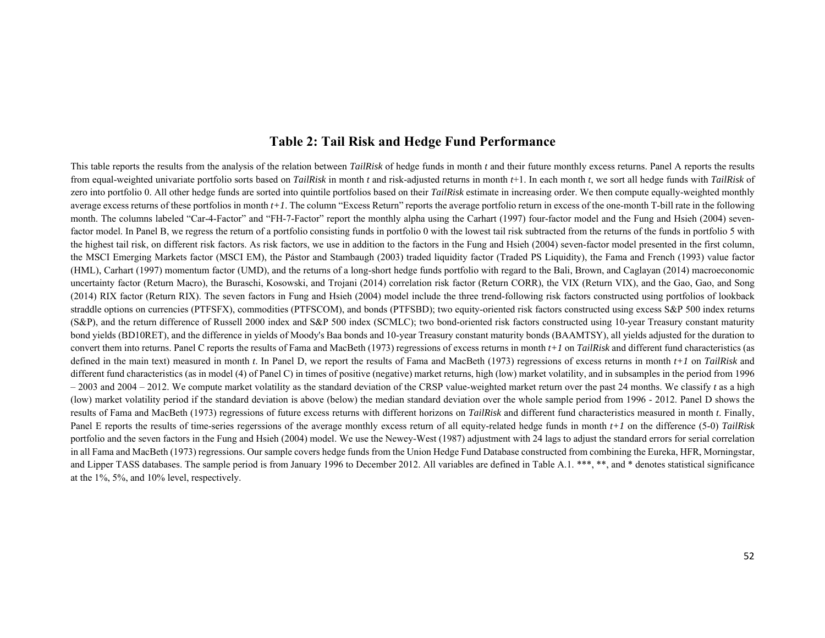# **Table 2: Tail Risk and Hedge Fund Performance**

This table reports the results from the analysis of the relation between *TailRisk* of hedge funds in month *t* and their future monthly excess returns. Panel A reports the results from equal-weighted univariate portfolio sorts based on *TailRisk* in month *t* and risk-adjusted returns in month *t*+1. In each month *t*, we sort all hedge funds with *TailRisk* of zero into portfolio 0. All other hedge funds are sorted into quintile portfolios based on their *TailRisk* estimate in increasing order. We then compute equally-weighted monthly average excess returns of these portfolios in month *t+1*. The column "Excess Return" reports the average portfolio return in excess of the one-month T-bill rate in the following month. The columns labeled "Car-4-Factor" and "FH-7-Factor" report the monthly alpha using the Carhart (1997) four-factor model and the Fung and Hsieh (2004) sevenfactor model. In Panel B, we regress the return of a portfolio consisting funds in portfolio 0 with the lowest tail risk subtracted from the returns of the funds in portfolio 5 with the highest tail risk, on different risk factors. As risk factors, we use in addition to the factors in the Fung and Hsieh (2004) seven-factor model presented in the first column, the MSCI Emerging Markets factor (MSCI EM), the Pástor and Stambaugh (2003) traded liquidity factor (Traded PS Liquidity), the Fama and French (1993) value factor (HML), Carhart (1997) momentum factor (UMD), and the returns of a long-short hedge funds portfolio with regard to the Bali, Brown, and Caglayan (2014) macroeconomic uncertainty factor (Return Macro), the Buraschi, Kosowski, and Trojani (2014) correlation risk factor (Return CORR), the VIX (Return VIX), and the Gao, Gao, and Song (2014) RIX factor (Return RIX). The seven factors in Fung and Hsieh (2004) model include the three trend-following risk factors constructed using portfolios of lookback straddle options on currencies (PTFSFX), commodities (PTFSCOM), and bonds (PTFSBD); two equity-oriented risk factors constructed using excess S&P 500 index returns (S&P), and the return difference of Russell 2000 index and S&P 500 index (SCMLC); two bond-oriented risk factors constructed using 10-year Treasury constant maturity bond yields (BD10RET), and the difference in yields of Moody's Baa bonds and 10-year Treasury constant maturity bonds (BAAMTSY), all yields adjusted for the duration to convert them into returns. Panel C reports the results of Fama and MacBeth (1973) regressions of excess returns in month *t+1* on *TailRisk* and different fund characteristics (as defined in the main text) measured in month *t*. In Panel D, we report the results of Fama and MacBeth (1973) regressions of excess returns in month *t+1* on *TailRisk* and different fund characteristics (as in model (4) of Panel C) in times of positive (negative) market returns, high (low) market volatility, and in subsamples in the period from 1996  $-2003$  and  $2004 - 2012$ . We compute market volatility as the standard deviation of the CRSP value-weighted market return over the past 24 months. We classify *t* as a high (low) market volatility period if the standard deviation is above (below) the median standard deviation over the whole sample period from 1996 - 2012. Panel D shows the results of Fama and MacBeth (1973) regressions of future excess returns with different horizons on *TailRisk* and different fund characteristics measured in month *t*. Finally, Panel E reports the results of time-series regerssions of the average monthly excess return of all equity-related hedge funds in month *t+1* on the difference (5-0) *TailRisk* portfolio and the seven factors in the Fung and Hsieh (2004) model. We use the Newey-West (1987) adjustment with 24 lags to adjust the standard errors for serial correlation in all Fama and MacBeth (1973) regressions. Our sample covers hedge funds from the Union Hedge Fund Database constructed from combining the Eureka, HFR, Morningstar, and Lipper TASS databases. The sample period is from January 1996 to December 2012. All variables are defined in Table A.1. \*\*\*, \*\*, and \* denotes statistical significance at the 1%, 5%, and 10% level, respectively.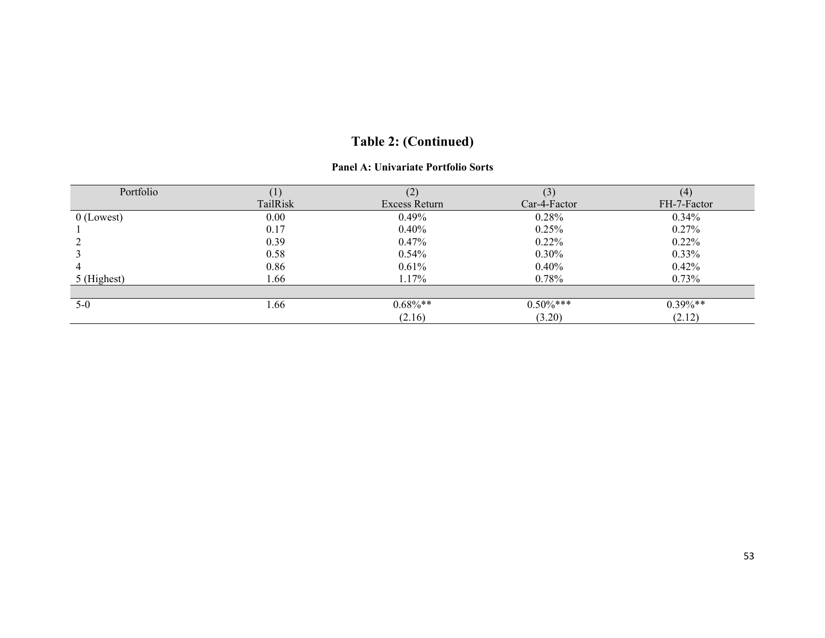#### **Panel A: Univariate Portfolio Sorts**

| Portfolio    | (1)      |               | (3)          | (4)         |
|--------------|----------|---------------|--------------|-------------|
|              | TailRisk | Excess Return | Car-4-Factor | FH-7-Factor |
| $0$ (Lowest) | 0.00     | 0.49%         | 0.28%        | $0.34\%$    |
|              | 0.17     | 0.40%         | 0.25%        | 0.27%       |
|              | 0.39     | 0.47%         | $0.22\%$     | $0.22\%$    |
|              | 0.58     | 0.54%         | $0.30\%$     | $0.33\%$    |
| 4            | 0.86     | 0.61%         | $0.40\%$     | 0.42%       |
| 5 (Highest)  | 1.66     | 1.17%         | 0.78%        | 0.73%       |
|              |          |               |              |             |
| $5-0$        | . 66     | $0.68\%$ **   | $0.50\%***$  | $0.39\%**$  |
|              |          | (2.16)        | (3.20)       | (2.12)      |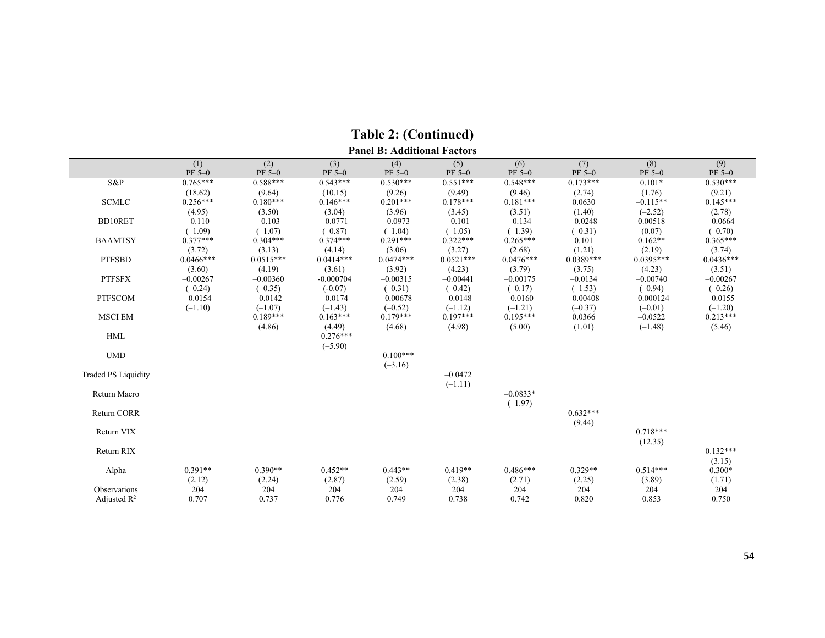|                            | (1)         | (2)         | (3)         | (4)          | (5)         | (6)         | (7)         | (8)         | (9)         |
|----------------------------|-------------|-------------|-------------|--------------|-------------|-------------|-------------|-------------|-------------|
|                            | PF 5-0      | $PF 5-0$    | PF 5-0      | $PF 5-0$     | PF 5-0      | PF 5-0      | PF 5-0      | PF 5-0      | $PF 5-0$    |
| S&P                        | $0.765***$  | $0.588***$  | $0.543***$  | $0.530***$   | $0.551***$  | $0.548***$  | $0.173***$  | $0.101*$    | $0.530***$  |
|                            | (18.62)     | (9.64)      | (10.15)     | (9.26)       | (9.49)      | (9.46)      | (2.74)      | (1.76)      | (9.21)      |
| <b>SCMLC</b>               | $0.256***$  | $0.180***$  | $0.146***$  | $0.201***$   | $0.178***$  | $0.181***$  | 0.0630      | $-0.115**$  | $0.145***$  |
|                            | (4.95)      | (3.50)      | (3.04)      | (3.96)       | (3.45)      | (3.51)      | (1.40)      | $(-2.52)$   | (2.78)      |
| <b>BD10RET</b>             | $-0.110$    | $-0.103$    | $-0.0771$   | $-0.0973$    | $-0.101$    | $-0.134$    | $-0.0248$   | 0.00518     | $-0.0664$   |
|                            | $(-1.09)$   | $(-1.07)$   | $(-0.87)$   | $(-1.04)$    | $(-1.05)$   | $(-1.39)$   | $(-0.31)$   | (0.07)      | $(-0.70)$   |
| <b>BAAMTSY</b>             | $0.377***$  | $0.304***$  | $0.374***$  | $0.291***$   | $0.322***$  | $0.265***$  | 0.101       | $0.162**$   | $0.365***$  |
|                            | (3.72)      | (3.13)      | (4.14)      | (3.06)       | (3.27)      | (2.68)      | (1.21)      | (2.19)      | (3.74)      |
| <b>PTFSBD</b>              | $0.0466***$ | $0.0515***$ | $0.0414***$ | $0.0474***$  | $0.0521***$ | $0.0476***$ | $0.0389***$ | $0.0395***$ | $0.0436***$ |
|                            | (3.60)      | (4.19)      | (3.61)      | (3.92)       | (4.23)      | (3.79)      | (3.75)      | (4.23)      | (3.51)      |
| <b>PTFSFX</b>              | $-0.00267$  | $-0.00360$  | $-0.000704$ | $-0.00315$   | $-0.00441$  | $-0.00175$  | $-0.0134$   | $-0.00740$  | $-0.00267$  |
|                            | $(-0.24)$   | $(-0.35)$   | $(-0.07)$   | $(-0.31)$    | $(-0.42)$   | $(-0.17)$   | $(-1.53)$   | $(-0.94)$   | $(-0.26)$   |
| <b>PTFSCOM</b>             | $-0.0154$   | $-0.0142$   | $-0.0174$   | $-0.00678$   | $-0.0148$   | $-0.0160$   | $-0.00408$  | $-0.000124$ | $-0.0155$   |
|                            | $(-1.10)$   | $(-1.07)$   | $(-1.43)$   | $(-0.52)$    | $(-1.12)$   | $(-1.21)$   | $(-0.37)$   | $(-0.01)$   | $(-1.20)$   |
| <b>MSCI EM</b>             |             | $0.189***$  | $0.163***$  | $0.179***$   | $0.197***$  | $0.195***$  | 0.0366      | $-0.0522$   | $0.213***$  |
|                            |             | (4.86)      | (4.49)      | (4.68)       | (4.98)      | (5.00)      | (1.01)      | $(-1.48)$   | (5.46)      |
| <b>HML</b>                 |             |             | $-0.276***$ |              |             |             |             |             |             |
|                            |             |             | $(-5.90)$   |              |             |             |             |             |             |
| <b>UMD</b>                 |             |             |             | $-0.100$ *** |             |             |             |             |             |
|                            |             |             |             | $(-3.16)$    |             |             |             |             |             |
| <b>Traded PS Liquidity</b> |             |             |             |              | $-0.0472$   |             |             |             |             |
|                            |             |             |             |              | $(-1.11)$   |             |             |             |             |
| Return Macro               |             |             |             |              |             | $-0.0833*$  |             |             |             |
|                            |             |             |             |              |             | $(-1.97)$   |             |             |             |
| <b>Return CORR</b>         |             |             |             |              |             |             | $0.632***$  |             |             |
|                            |             |             |             |              |             |             | (9.44)      |             |             |
| Return VIX                 |             |             |             |              |             |             |             | $0.718***$  |             |
|                            |             |             |             |              |             |             |             | (12.35)     |             |
| Return RIX                 |             |             |             |              |             |             |             |             | $0.132***$  |
|                            |             |             |             |              |             |             |             |             | (3.15)      |
| Alpha                      | $0.391**$   | $0.390**$   | $0.452**$   | $0.443**$    | $0.419**$   | $0.486***$  | $0.329**$   | $0.514***$  | $0.300*$    |
|                            | (2.12)      | (2.24)      | (2.87)      | (2.59)       | (2.38)      | (2.71)      | (2.25)      | (3.89)      | (1.71)      |
| Observations               | 204         | 204         | 204         | 204          | 204         | 204         | 204         | 204         | 204         |
| Adjusted $\mathbb{R}^2$    | 0.707       | 0.737       | 0.776       | 0.749        | 0.738       | 0.742       | 0.820       | 0.853       | 0.750       |

**Table 2: (Continued) Panel B: Additional Factors**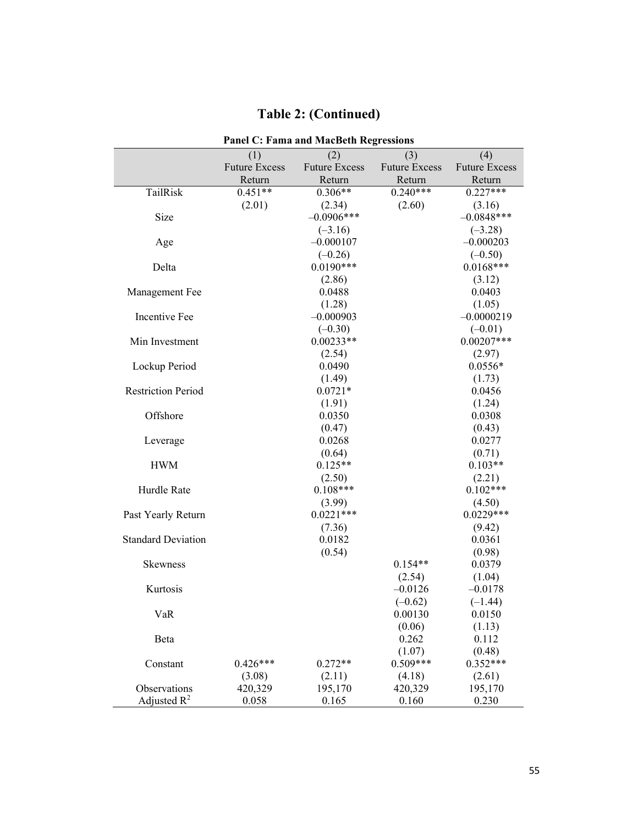|                           | <b>Panel C: Fama and MacBeth Regressions</b> |                      |                      |                      |  |  |  |  |  |  |  |  |
|---------------------------|----------------------------------------------|----------------------|----------------------|----------------------|--|--|--|--|--|--|--|--|
|                           | (1)                                          | (2)                  | (3)                  | (4)                  |  |  |  |  |  |  |  |  |
|                           | <b>Future Excess</b>                         | <b>Future Excess</b> | <b>Future Excess</b> | <b>Future Excess</b> |  |  |  |  |  |  |  |  |
|                           | Return                                       | Return               | Return               | Return               |  |  |  |  |  |  |  |  |
| TailRisk                  | $0.451**$                                    | $0.306**$            | $0.240***$           | $0.227***$           |  |  |  |  |  |  |  |  |
|                           | (2.01)                                       | (2.34)               | (2.60)               | (3.16)               |  |  |  |  |  |  |  |  |
| Size                      |                                              | $-0.0906***$         |                      | $-0.0848***$         |  |  |  |  |  |  |  |  |
|                           |                                              | $(-3.16)$            |                      | $(-3.28)$            |  |  |  |  |  |  |  |  |
| Age                       |                                              | $-0.000107$          |                      | $-0.000203$          |  |  |  |  |  |  |  |  |
|                           |                                              | $(-0.26)$            |                      | $(-0.50)$            |  |  |  |  |  |  |  |  |
| Delta                     |                                              | $0.0190***$          |                      | $0.0168***$          |  |  |  |  |  |  |  |  |
|                           |                                              | (2.86)               |                      | (3.12)               |  |  |  |  |  |  |  |  |
| Management Fee            |                                              | 0.0488               |                      | 0.0403               |  |  |  |  |  |  |  |  |
|                           |                                              | (1.28)               |                      | (1.05)               |  |  |  |  |  |  |  |  |
| Incentive Fee             |                                              | $-0.000903$          |                      | $-0.0000219$         |  |  |  |  |  |  |  |  |
|                           |                                              | $(-0.30)$            |                      | $(-0.01)$            |  |  |  |  |  |  |  |  |
| Min Investment            |                                              | $0.00233**$          |                      | $0.00207***$         |  |  |  |  |  |  |  |  |
|                           |                                              | (2.54)               |                      | (2.97)               |  |  |  |  |  |  |  |  |
| Lockup Period             |                                              | 0.0490               |                      | $0.0556*$            |  |  |  |  |  |  |  |  |
|                           |                                              | (1.49)               |                      | (1.73)               |  |  |  |  |  |  |  |  |
| <b>Restriction Period</b> |                                              | $0.0721*$            |                      | 0.0456               |  |  |  |  |  |  |  |  |
|                           |                                              | (1.91)               |                      | (1.24)               |  |  |  |  |  |  |  |  |
| Offshore                  |                                              | 0.0350               |                      | 0.0308               |  |  |  |  |  |  |  |  |
|                           |                                              | (0.47)               |                      | (0.43)               |  |  |  |  |  |  |  |  |
| Leverage                  |                                              | 0.0268               |                      | 0.0277               |  |  |  |  |  |  |  |  |
|                           |                                              | (0.64)               |                      | (0.71)               |  |  |  |  |  |  |  |  |
| <b>HWM</b>                |                                              | $0.125**$            |                      | $0.103**$            |  |  |  |  |  |  |  |  |
|                           |                                              | (2.50)               |                      | (2.21)               |  |  |  |  |  |  |  |  |
| Hurdle Rate               |                                              | $0.108***$           |                      | $0.102***$           |  |  |  |  |  |  |  |  |
|                           |                                              | (3.99)               |                      | (4.50)               |  |  |  |  |  |  |  |  |
| Past Yearly Return        |                                              | $0.0221***$          |                      | $0.0229***$          |  |  |  |  |  |  |  |  |
|                           |                                              | (7.36)               |                      | (9.42)               |  |  |  |  |  |  |  |  |
| <b>Standard Deviation</b> |                                              | 0.0182               |                      | 0.0361               |  |  |  |  |  |  |  |  |
|                           |                                              | (0.54)               |                      | (0.98)               |  |  |  |  |  |  |  |  |
| <b>Skewness</b>           |                                              |                      | $0.154**$            | 0.0379               |  |  |  |  |  |  |  |  |
|                           |                                              |                      | (2.54)               | (1.04)               |  |  |  |  |  |  |  |  |
| Kurtosis                  |                                              |                      | $-0.0126$            | $-0.0178$            |  |  |  |  |  |  |  |  |
|                           |                                              |                      | $(-0.62)$            | $(-1.44)$            |  |  |  |  |  |  |  |  |
| VaR                       |                                              |                      | 0.00130              | 0.0150               |  |  |  |  |  |  |  |  |
|                           |                                              |                      | (0.06)               | (1.13)               |  |  |  |  |  |  |  |  |
| Beta                      |                                              |                      | 0.262                | 0.112                |  |  |  |  |  |  |  |  |
|                           |                                              |                      | (1.07)               | (0.48)               |  |  |  |  |  |  |  |  |
| Constant                  | $0.426***$                                   | $0.272**$            | $0.509***$           | $0.352***$           |  |  |  |  |  |  |  |  |
|                           | (3.08)                                       | (2.11)               | (4.18)               | (2.61)               |  |  |  |  |  |  |  |  |
| Observations              | 420,329                                      | 195,170              | 420,329              | 195,170              |  |  |  |  |  |  |  |  |
| Adjusted $R^2$            | 0.058                                        | 0.165                | 0.160                | 0.230                |  |  |  |  |  |  |  |  |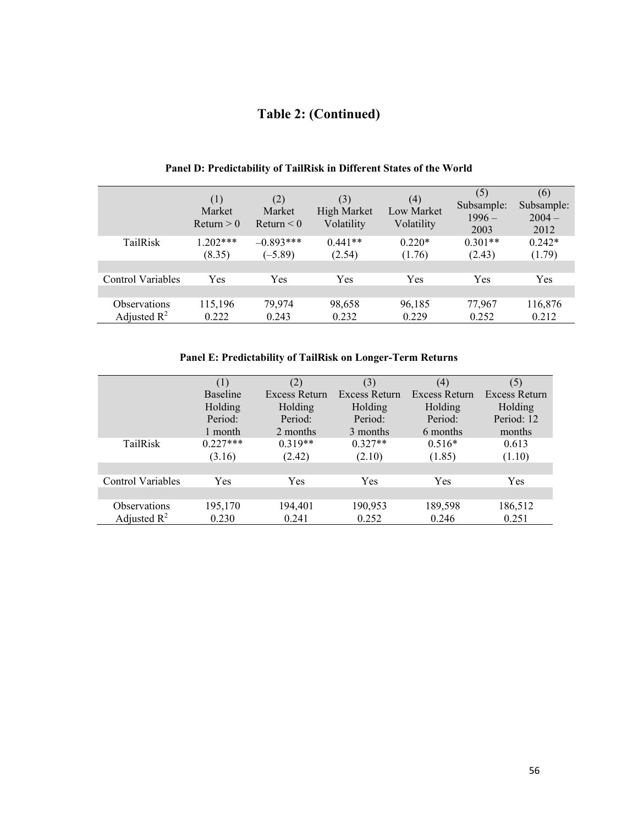|                   | (1)<br>Market<br>Return > 0 | (2)<br>Market<br>Return $\leq 0$ | (3)<br>High Market<br>Volatility | (4)<br><b>Low Market</b><br>Volatility | (5)<br>Subsample:<br>$1996-$<br>2003 | (6)<br>Subsample:<br>$2004 -$<br>2012 |
|-------------------|-----------------------------|----------------------------------|----------------------------------|----------------------------------------|--------------------------------------|---------------------------------------|
| TailRisk          | $1.202***$                  | $-0.893***$                      | $0.441**$                        | $0.220*$                               | $0.301**$                            | $0.242*$                              |
|                   | (8.35)                      | $(-5.89)$                        | (2.54)                           | (1.76)                                 | (2.43)                               | (1.79)                                |
| Control Variables | Yes                         | Yes                              | Yes                              | Yes                                    | Yes                                  | Yes                                   |
| Observations      | 115,196                     | 79,974                           | 98,658                           | 96,185                                 | 77,967                               | 116,876                               |
| Adjusted $R^2$    | 0.222                       | 0.243                            | 0.232                            | 0.229                                  | 0.252                                | 0.212                                 |

# **Panel D: Predictability of TailRisk in Different States of the World**

# **Panel E: Predictability of TailRisk on Longer-Term Returns**

|                          | (1)        | (2)           | (3)           | (4)           | (5)           |
|--------------------------|------------|---------------|---------------|---------------|---------------|
|                          | Baseline   | Excess Return | Excess Return | Excess Return | Excess Return |
|                          | Holding    | Holding       | Holding       | Holding       | Holding       |
|                          | Period:    | Period:       | Period:       | Period:       | Period: 12    |
|                          | 1 month    | 2 months      | 3 months      | 6 months      | months        |
| TailRisk                 | $0.227***$ | $0.319**$     | $0.327**$     | $0.516*$      | 0.613         |
|                          | (3.16)     | (2.42)        | (2.10)        | (1.85)        | (1.10)        |
|                          |            |               |               |               |               |
| <b>Control Variables</b> | <b>Yes</b> | Yes           | Yes           | Yes           | Yes           |
|                          |            |               |               |               |               |
| Observations             | 195,170    | 194,401       | 190,953       | 189,598       | 186,512       |
| Adjusted $\mathbb{R}^2$  | 0.230      | 0.241         | 0.252         | 0.246         | 0.251         |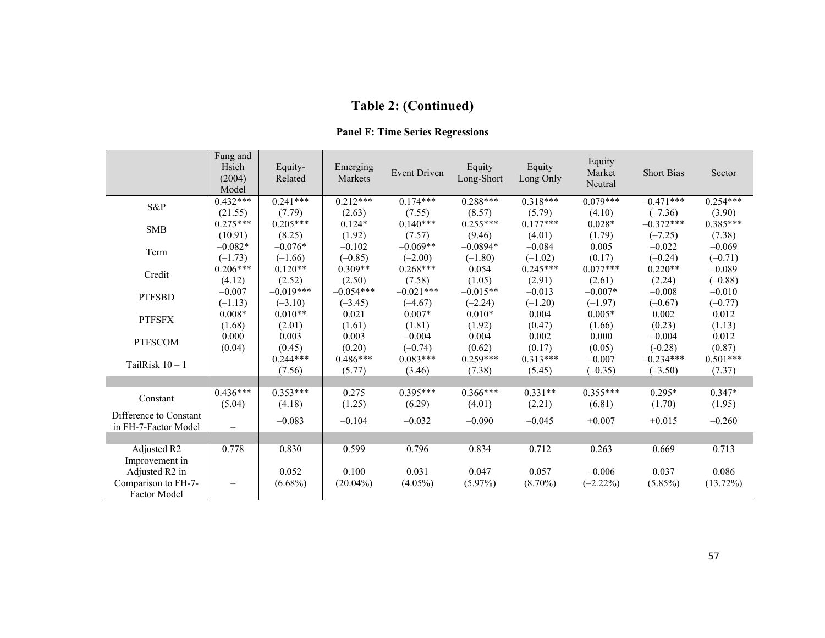| <b>Panel F: Time Series Regressions</b> |  |  |
|-----------------------------------------|--|--|
|-----------------------------------------|--|--|

|                                                | Fung and<br>Hsieh<br>(2004)<br>Model | Equity-<br>Related | Emerging<br>Markets | Event Driven | Equity<br>Long-Short | Equity<br>Long Only | Equity<br>Market<br>Neutral | <b>Short Bias</b> | Sector      |
|------------------------------------------------|--------------------------------------|--------------------|---------------------|--------------|----------------------|---------------------|-----------------------------|-------------------|-------------|
| S&P                                            | $0.432***$                           | $0.241***$         | $0.212***$          | $0.174***$   | $0.288***$           | $0.318***$          | $0.079***$                  | $-0.471***$       | $0.254***$  |
|                                                | (21.55)                              | (7.79)             | (2.63)              | (7.55)       | (8.57)               | (5.79)              | (4.10)                      | $(-7.36)$         | (3.90)      |
| <b>SMB</b>                                     | $0.275***$                           | $0.205***$         | $0.124*$            | $0.140***$   | $0.255***$           | $0.177***$          | $0.028*$                    | $-0.372***$       | $0.385***$  |
|                                                | (10.91)                              | (8.25)             | (1.92)              | (7.57)       | (9.46)               | (4.01)              | (1.79)                      | $(-7.25)$         | (7.38)      |
| Term                                           | $-0.082*$                            | $-0.076*$          | $-0.102$            | $-0.069**$   | $-0.0894*$           | $-0.084$            | 0.005                       | $-0.022$          | $-0.069$    |
|                                                | $(-1.73)$                            | $(-1.66)$          | $(-0.85)$           | $(-2.00)$    | $(-1.80)$            | $(-1.02)$           | (0.17)                      | $(-0.24)$         | $(-0.71)$   |
| Credit                                         | $0.206***$                           | $0.120**$          | $0.309**$           | $0.268***$   | 0.054                | $0.245***$          | $0.077***$                  | $0.220**$         | $-0.089$    |
|                                                | (4.12)                               | (2.52)             | (2.50)              | (7.58)       | (1.05)               | (2.91)              | (2.61)                      | (2.24)            | $(-0.88)$   |
| <b>PTFSBD</b>                                  | $-0.007$                             | $-0.019***$        | $-0.054***$         | $-0.021***$  | $-0.015**$           | $-0.013$            | $-0.007*$                   | $-0.008$          | $-0.010$    |
|                                                | $(-1.13)$                            | $(-3.10)$          | $(-3.45)$           | $(-4.67)$    | $(-2.24)$            | $(-1.20)$           | $(-1.97)$                   | $(-0.67)$         | $(-0.77)$   |
| <b>PTFSFX</b>                                  | $0.008*$                             | $0.010**$          | 0.021               | $0.007*$     | $0.010*$             | 0.004               | $0.005*$                    | 0.002             | 0.012       |
|                                                | (1.68)                               | (2.01)             | (1.61)              | (1.81)       | (1.92)               | (0.47)              | (1.66)                      | (0.23)            | (1.13)      |
| <b>PTFSCOM</b>                                 | 0.000                                | 0.003              | 0.003               | $-0.004$     | 0.004                | 0.002               | 0.000                       | $-0.004$          | 0.012       |
|                                                | (0.04)                               | (0.45)             | (0.20)              | $(-0.74)$    | (0.62)               | (0.17)              | (0.05)                      | $(-0.28)$         | (0.87)      |
| TailRisk $10 - 1$                              |                                      | $0.244***$         | $0.486***$          | $0.083***$   | $0.259***$           | $0.313***$          | $-0.007$                    | $-0.234***$       | $0.501***$  |
|                                                |                                      | (7.56)             | (5.77)              | (3.46)       | (7.38)               | (5.45)              | $(-0.35)$                   | $(-3.50)$         | (7.37)      |
|                                                |                                      |                    |                     |              |                      |                     |                             |                   |             |
| Constant                                       | $0.436***$                           | $0.353***$         | 0.275               | $0.395***$   | $0.366***$           | $0.331**$           | $0.355***$                  | $0.295*$          | $0.347*$    |
|                                                | (5.04)                               | (4.18)             | (1.25)              | (6.29)       | (4.01)               | (2.21)              | (6.81)                      | (1.70)            | (1.95)      |
| Difference to Constant<br>in FH-7-Factor Model | $\overline{\phantom{0}}$             | $-0.083$           | $-0.104$            | $-0.032$     | $-0.090$             | $-0.045$            | $+0.007$                    | $+0.015$          | $-0.260$    |
|                                                |                                      |                    |                     |              |                      |                     |                             |                   |             |
| Adjusted R2                                    | 0.778                                | 0.830              | 0.599               | 0.796        | 0.834                | 0.712               | 0.263                       | 0.669             | 0.713       |
| Improvement in                                 |                                      |                    |                     |              |                      |                     |                             |                   |             |
| Adjusted R2 in                                 |                                      | 0.052              | 0.100               | 0.031        | 0.047                | 0.057               | $-0.006$                    | 0.037             | 0.086       |
| Comparison to FH-7-<br><b>Factor Model</b>     | -                                    | $(6.68\%)$         | $(20.04\%)$         | $(4.05\%)$   | $(5.97\%)$           | $(8.70\%)$          | $(-2.22\%)$                 | $(5.85\%)$        | $(13.72\%)$ |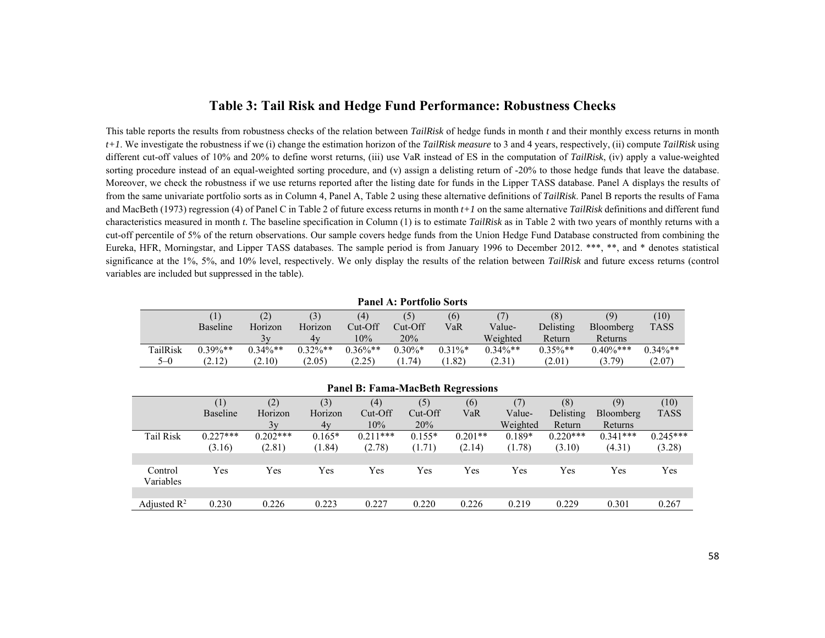# **Table 3: Tail Risk and Hedge Fund Performance: Robustness Checks**

This table reports the results from robustness checks of the relation between *TailRisk* of hedge funds in month *t* and their monthly excess returns in month *t+1*. We investigate the robustness if we (i) change the estimation horizon of the *TailRisk measure* to 3 and 4 years, respectively, (ii) compute *TailRisk* using different cut-off values of 10% and 20% to define worst returns, (iii) use VaR instead of ES in the computation of *TailRisk*, (iv) apply a value-weighted sorting procedure instead of an equal-weighted sorting procedure, and (v) assign a delisting return of -20% to those hedge funds that leave the database. Moreover, we check the robustness if we use returns reported after the listing date for funds in the Lipper TASS database. Panel A displays the results of from the same univariate portfolio sorts as in Column 4, Panel A, Table 2 using these alternative definitions of *TailRisk*. Panel B reports the results of Fama and MacBeth (1973) regression (4) of Panel C in Table 2 of future excess returns in month *t+1* on the same alternative *TailRisk* definitions and different fund characteristics measured in month *t.* The baseline specification in Column (1) is to estimate *TailRisk* as in Table 2 with two years of monthly returns with a cut-off percentile of 5% of the return observations. Our sample covers hedge funds from the Union Hedge Fund Database constructed from combining the Eureka, HFR, Morningstar, and Lipper TASS databases. The sample period is from January 1996 to December 2012. \*\*\*, \*\*, and \* denotes statistical significance at the 1%, 5%, and 10% level, respectively. We only display the results of the relation between *TailRisk* and future excess returns (control variables are included but suppressed in the table).

#### **Panel A: Portfolio Sorts**

|          |                 | (2)        | ا د ،      | (4)        |           | (6)        |            | (8)        | (9)          | (10)        |
|----------|-----------------|------------|------------|------------|-----------|------------|------------|------------|--------------|-------------|
|          | <b>Baseline</b> | Horizon    | Horizon    | Cut-Off    | Cut-Off   | VaR        | Value-     | Delisting  | Bloomberg    | <b>TASS</b> |
|          |                 | 3v         | 4v         | 10%        | 20%       |            | Weighted   | Return     | Returns      |             |
| TailRisk | $0.39\%**$      | $0.34\%**$ | $0.32\%**$ | $0.36\%**$ | $0.30\%*$ | $0.31\%$ * | $0.34\%**$ | $0.35\%**$ | $0.40\%$ *** | $0.34\%**$  |
| $5 - 0$  | (2.12)          | (2.10)     | (2.05)     | (2.25)     | 1.74)     | 1.82)      | (2.31)     | (2.01)     | (5.79)       | (2.07)      |

#### **Panel B: Fama-MacBeth Regressions**

|                         | (1)             | (2)        | (3)      | (4)        | (5)      | (6)       |          | (8)        | (9)        | (10)        |
|-------------------------|-----------------|------------|----------|------------|----------|-----------|----------|------------|------------|-------------|
|                         | <b>Baseline</b> | Horizon    | Horizon  | Cut-Off    | Cut-Off  | VaR       | Value-   | Delisting  | Bloomberg  | <b>TASS</b> |
|                         |                 | 3v         | 4v       | 10%        | 20%      |           | Weighted | Return     | Returns    |             |
| <b>Tail Risk</b>        | $0.227***$      | $0.202***$ | $0.165*$ | $0.211***$ | $0.155*$ | $0.201**$ | $0.189*$ | $0.220***$ | $0.341***$ | $0.245***$  |
|                         | (3.16)          | (2.81)     | (1.84)   | (2.78)     | (1.71)   | (2.14)    | (1.78)   | (3.10)     | (4.31)     | (3.28)      |
|                         |                 |            |          |            |          |           |          |            |            |             |
| Control<br>Variables    | Yes             | Yes        | Yes      | Yes        | Yes      | Yes       | Yes      | Yes        | Yes        | Yes         |
|                         |                 |            |          |            |          |           |          |            |            |             |
| Adjusted $\mathbb{R}^2$ | 0.230           | 0.226      | 0.223    | 0.227      | 0.220    | 0.226     | 0.219    | 0.229      | 0.301      | 0.267       |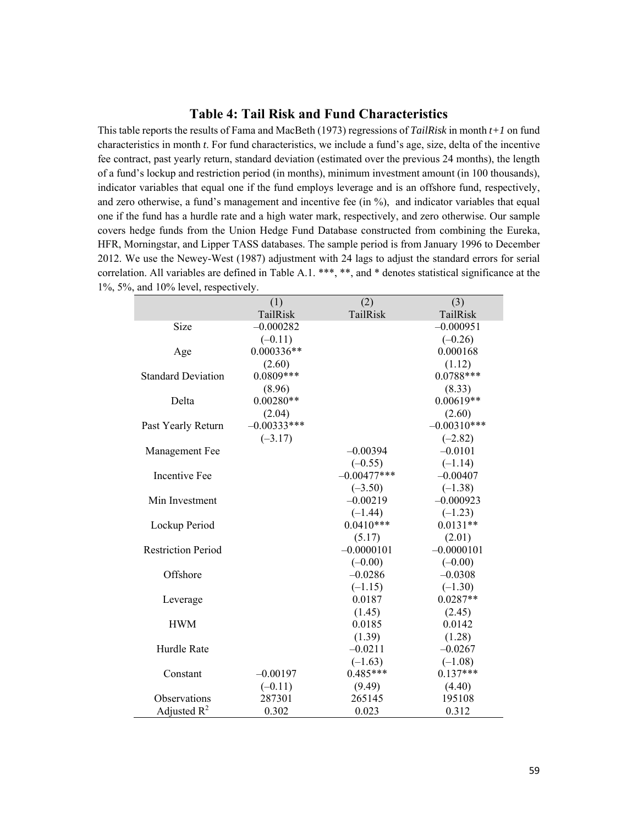# **Table 4: Tail Risk and Fund Characteristics**

This table reports the results of Fama and MacBeth (1973) regressions of *TailRisk* in month *t+1* on fund characteristics in month *t*. For fund characteristics, we include a fund's age, size, delta of the incentive fee contract, past yearly return, standard deviation (estimated over the previous 24 months), the length of a fund's lockup and restriction period (in months), minimum investment amount (in 100 thousands), indicator variables that equal one if the fund employs leverage and is an offshore fund, respectively, and zero otherwise, a fund's management and incentive fee (in %), and indicator variables that equal one if the fund has a hurdle rate and a high water mark, respectively, and zero otherwise. Our sample covers hedge funds from the Union Hedge Fund Database constructed from combining the Eureka, HFR, Morningstar, and Lipper TASS databases. The sample period is from January 1996 to December 2012. We use the Newey-West (1987) adjustment with 24 lags to adjust the standard errors for serial correlation. All variables are defined in Table A.1. \*\*\*, \*\*, and \* denotes statistical significance at the 1%, 5%, and 10% level, respectively.

|                           | (1)           | (2)           | (3)           |
|---------------------------|---------------|---------------|---------------|
|                           | TailRisk      | TailRisk      | TailRisk      |
| Size                      | $-0.000282$   |               | $-0.000951$   |
|                           | $(-0.11)$     |               | $(-0.26)$     |
| Age                       | $0.000336**$  |               | 0.000168      |
|                           | (2.60)        |               | (1.12)        |
| <b>Standard Deviation</b> | $0.0809***$   |               | $0.0788***$   |
|                           | (8.96)        |               | (8.33)        |
| Delta                     | $0.00280**$   |               | $0.00619**$   |
|                           | (2.04)        |               | (2.60)        |
| Past Yearly Return        | $-0.00333***$ |               | $-0.00310***$ |
|                           | $(-3.17)$     |               | $(-2.82)$     |
| Management Fee            |               | $-0.00394$    | $-0.0101$     |
|                           |               | $(-0.55)$     | $(-1.14)$     |
| <b>Incentive Fee</b>      |               | $-0.00477***$ | $-0.00407$    |
|                           |               | $(-3.50)$     | $(-1.38)$     |
| Min Investment            |               | $-0.00219$    | $-0.000923$   |
|                           |               | $(-1.44)$     | $(-1.23)$     |
| Lockup Period             |               | $0.0410***$   | $0.0131**$    |
|                           |               | (5.17)        | (2.01)        |
| <b>Restriction Period</b> |               | $-0.0000101$  | $-0.0000101$  |
|                           |               | $(-0.00)$     | $(-0.00)$     |
| Offshore                  |               | $-0.0286$     | $-0.0308$     |
|                           |               | $(-1.15)$     | $(-1.30)$     |
| Leverage                  |               | 0.0187        | $0.0287**$    |
|                           |               | (1.45)        | (2.45)        |
| <b>HWM</b>                |               | 0.0185        | 0.0142        |
|                           |               | (1.39)        | (1.28)        |
| Hurdle Rate               |               | $-0.0211$     | $-0.0267$     |
|                           |               | $(-1.63)$     | $(-1.08)$     |
| Constant                  | $-0.00197$    | $0.485***$    | $0.137***$    |
|                           | $(-0.11)$     | (9.49)        | (4.40)        |
| Observations              | 287301        | 265145        | 195108        |
| Adjusted $R^2$            | 0.302         | 0.023         | 0.312         |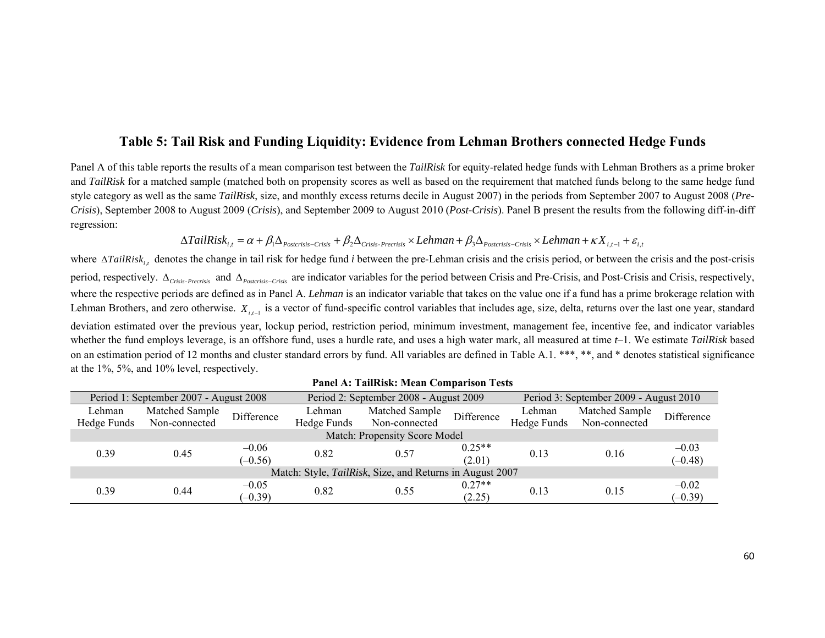# **Table 5: Tail Risk and Funding Liquidity: Evidence from Lehman Brothers connected Hedge Funds**

Panel A of this table reports the results of a mean comparison test between the *TailRisk* for equity-related hedge funds with Lehman Brothers as a prime broker and *TailRisk* for a matched sample (matched both on propensity scores as well as based on the requirement that matched funds belong to the same hedge fund style category as well as the same *TailRisk*, size, and monthly excess returns decile in August 2007) in the periods from September 2007 to August 2008 (*Pre-Crisis*), September 2008 to August 2009 (*Crisis*), and September 2009 to August 2010 (*Post-Crisis*). Panel B present the results from the following diff-in-diff regression:

$$
\Delta TailRisk_{i,t} = \alpha + \beta_1 \Delta_{Postcrisis-Crisis} + \beta_2 \Delta_{Crisis\text{-}Previous} \times Lehman + \beta_3 \Delta_{Postcrisis-Crisis} \times Lehman + \kappa X_{i,t-1} + \varepsilon_{i,t-1} + \varepsilon_{i,t-1} + \varepsilon_{i,t-1} + \varepsilon_{i,t-1} + \varepsilon_{i,t-1} + \varepsilon_{i,t-1} + \varepsilon_{i,t-1} + \varepsilon_{i,t-1} + \varepsilon_{i,t-1} + \varepsilon_{i,t-1} + \varepsilon_{i,t-1} + \varepsilon_{i,t-1} + \varepsilon_{i,t-1} + \varepsilon_{i,t-1} + \varepsilon_{i,t-1} + \varepsilon_{i,t-1} + \varepsilon_{i,t-1} + \varepsilon_{i,t-1} + \varepsilon_{i,t-1} + \varepsilon_{i,t-1} + \varepsilon_{i,t-1} + \varepsilon_{i,t-1} + \varepsilon_{i,t-1} + \varepsilon_{i,t-1} + \varepsilon_{i,t-1} + \varepsilon_{i,t-1} + \varepsilon_{i,t-1} + \varepsilon_{i,t-1} + \varepsilon_{i,t-1} + \varepsilon_{i,t-1} + \varepsilon_{i,t-1} + \varepsilon_{i,t-1} + \varepsilon_{i,t-1} + \varepsilon_{i,t-1} + \varepsilon_{i,t-1} + \varepsilon_{i,t-1} + \varepsilon_{i,t-1} + \varepsilon_{i,t-1} + \varepsilon_{i,t-1} + \varepsilon_{i,t-1} + \varepsilon_{i,t-1} + \varepsilon_{i,t-1} + \varepsilon_{i,t-1} + \varepsilon_{i,t-1} + \varepsilon_{i,t-1} + \varepsilon_{i,t-1} + \varepsilon_{i,t-1} + \varepsilon_{i,t-1} + \varepsilon_{i,t-1} + \varepsilon_{i,t-1} + \varepsilon_{i,t-1} + \varepsilon_{i,t-1} + \varepsilon_{i,t-1} + \varepsilon_{i,t-1} + \varepsilon_{i,t-1} + \varepsilon_{i,t-1} + \varepsilon_{i,t-1} + \varepsilon_{i,t-1} + \varepsilon_{i,t-1} + \varepsilon_{i,t-1} + \varepsilon_{i,t-1} + \varepsilon_{i,t-1} + \
$$

where  $\Delta T a i l R i s k_{i,t}$  denotes the change in tail risk for hedge fund *i* between the pre-Lehman crisis and the crisis period, or between the crisis and the post-crisis period, respectively.  $\Delta_{Crisis-Precisis}$  and  $\Delta_{Postrisis-Crisis}$  are indicator variables for the period between Crisis and Pre-Crisis, and Post-Crisis and Crisis, respectively, where the respective periods are defined as in Panel A. *Lehman* is an indicator variable that takes on the value one if a fund has a prime brokerage relation with Lehman Brothers, and zero otherwise.  $X_{i,t-1}$  is a vector of fund-specific control variables that includes age, size, delta, returns over the last one year, standard deviation estimated over the previous year, lockup period, restriction period, minimum investment, management fee, incentive fee, and indicator variables whether the fund employs leverage, is an offshore fund, uses a hurdle rate, and uses a high water mark, all measured at time *t*-1. We estimate *TailRisk* based on an estimation period of 12 months and cluster standard errors by fund. All variables are defined in Table A.1. \*\*\*, \*\*, and \* denotes statistical significance at the 1%, 5%, and 10% level, respectively.

|                                                          | Period 1: September 2007 - August 2008<br>Period 2: September 2008 - August 2009 |                      |             |                               | Period 3: September 2009 - August 2010 |                              |                |            |  |
|----------------------------------------------------------|----------------------------------------------------------------------------------|----------------------|-------------|-------------------------------|----------------------------------------|------------------------------|----------------|------------|--|
| Lehman                                                   | Matched Sample                                                                   | Lehman<br>Difference |             | Matched Sample                | Difference                             | Lehman                       | Matched Sample | Difference |  |
| Hedge Funds                                              | Non-connected                                                                    |                      | Hedge Funds | Non-connected                 |                                        | Hedge Funds<br>Non-connected |                |            |  |
|                                                          |                                                                                  |                      |             | Match: Propensity Score Model |                                        |                              |                |            |  |
| 0.39                                                     | 0.45                                                                             | $-0.06$              | 0.82        | 0.57                          | $0.25**$                               | 0.13                         | 0.16           | $-0.03$    |  |
|                                                          |                                                                                  | $(-0.56)$            |             |                               | (2.01)                                 |                              |                | $(-0.48)$  |  |
| Match: Style, TailRisk, Size, and Returns in August 2007 |                                                                                  |                      |             |                               |                                        |                              |                |            |  |
|                                                          |                                                                                  | $-0.05$              | 0.82        |                               | $0.27**$                               |                              |                | $-0.02$    |  |
| 0.39                                                     | 0.44                                                                             | $(-0.39)$            |             | 0.55                          | (2.25)                                 | 0.13                         | 0.15           | $(-0.39)$  |  |

#### **Panel A: TailRisk: Mean Comparison Tests**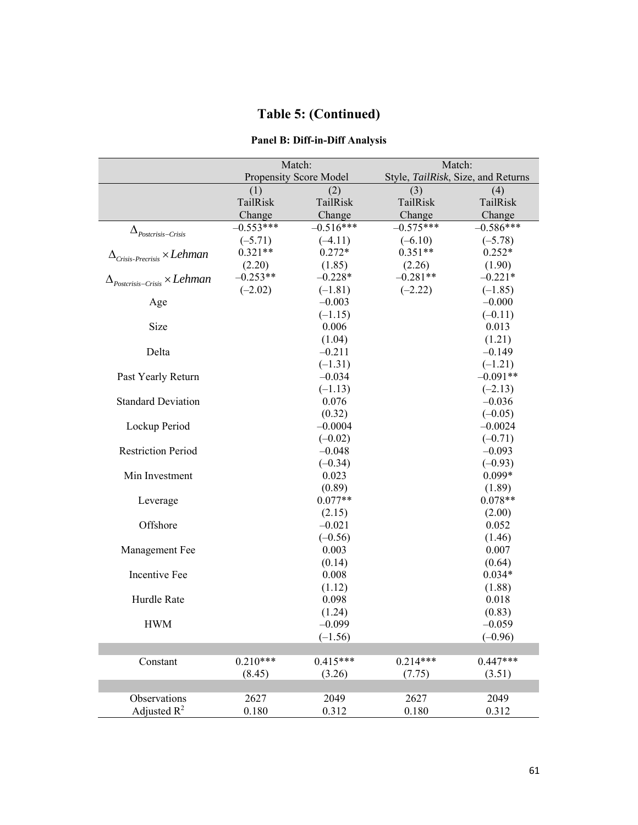# **Panel B: Diff-in-Diff Analysis**

|                                                               | Match:      |                        | Match:                             |             |  |
|---------------------------------------------------------------|-------------|------------------------|------------------------------------|-------------|--|
|                                                               |             | Propensity Score Model | Style, TailRisk, Size, and Returns |             |  |
|                                                               | (1)         | (2)                    | (3)                                | (4)         |  |
|                                                               | TailRisk    | TailRisk               | TailRisk                           | TailRisk    |  |
|                                                               | Change      | Change                 | Change                             | Change      |  |
| $\Delta_{Postcrisis-Crisis}$                                  | $-0.553***$ | $-0.516***$            | $-0.575***$                        | $-0.586***$ |  |
|                                                               | $(-5.71)$   | $(-4.11)$              | $(-6.10)$                          | $(-5.78)$   |  |
| $\Delta_{\textit{Crisis-Precrisis}} \times Lehman$            | $0.321**$   | $0.272*$               | $0.351**$                          | $0.252*$    |  |
|                                                               | (2.20)      | (1.85)                 | (2.26)                             | (1.90)      |  |
| $\Delta_{\textit{Postcrisis-Crisis}}\!\times \textit{Lehman}$ | $-0.253**$  | $-0.228*$              | $-0.281**$                         | $-0.221*$   |  |
|                                                               | $(-2.02)$   | $(-1.81)$              | $(-2.22)$                          | $(-1.85)$   |  |
| Age                                                           |             | $-0.003$               |                                    | $-0.000$    |  |
|                                                               |             | $(-1.15)$              |                                    | $(-0.11)$   |  |
| Size                                                          |             | 0.006                  |                                    | 0.013       |  |
|                                                               |             | (1.04)                 |                                    | (1.21)      |  |
| Delta                                                         |             | $-0.211$               |                                    | $-0.149$    |  |
|                                                               |             | $(-1.31)$              |                                    | $(-1.21)$   |  |
| Past Yearly Return                                            |             | $-0.034$               |                                    | $-0.091**$  |  |
|                                                               |             | $(-1.13)$              |                                    | $(-2.13)$   |  |
| <b>Standard Deviation</b>                                     |             | 0.076                  |                                    | $-0.036$    |  |
|                                                               |             | (0.32)                 |                                    | $(-0.05)$   |  |
| Lockup Period                                                 |             | $-0.0004$              |                                    | $-0.0024$   |  |
|                                                               |             | $(-0.02)$              |                                    | $(-0.71)$   |  |
| <b>Restriction Period</b>                                     |             | $-0.048$               |                                    | $-0.093$    |  |
|                                                               |             | $(-0.34)$              |                                    | $(-0.93)$   |  |
| Min Investment                                                |             | 0.023                  |                                    | $0.099*$    |  |
|                                                               |             | (0.89)                 |                                    | (1.89)      |  |
| Leverage                                                      |             | $0.077**$              |                                    | $0.078**$   |  |
|                                                               |             | (2.15)                 |                                    | (2.00)      |  |
| Offshore                                                      |             | $-0.021$               |                                    | 0.052       |  |
|                                                               |             | $(-0.56)$              |                                    | (1.46)      |  |
| Management Fee                                                |             | 0.003                  |                                    | 0.007       |  |
|                                                               |             | (0.14)                 |                                    | (0.64)      |  |
| Incentive Fee                                                 |             | 0.008                  |                                    | $0.034*$    |  |
|                                                               |             | (1.12)                 |                                    | (1.88)      |  |
| Hurdle Rate                                                   |             | 0.098                  |                                    | 0.018       |  |
|                                                               |             | (1.24)                 |                                    | (0.83)      |  |
| <b>HWM</b>                                                    |             | $-0.099$               |                                    | $-0.059$    |  |
|                                                               |             | $(-1.56)$              |                                    | $(-0.96)$   |  |
|                                                               |             |                        |                                    |             |  |
| Constant                                                      | $0.210***$  | $0.415***$             | $0.214***$                         | $0.447***$  |  |
|                                                               | (8.45)      | (3.26)                 | (7.75)                             | (3.51)      |  |
|                                                               |             |                        |                                    |             |  |
| Observations                                                  | 2627        | 2049                   | 2627                               | 2049        |  |
| Adjusted $R^2$                                                | $0.180\,$   | 0.312                  | 0.180                              | 0.312       |  |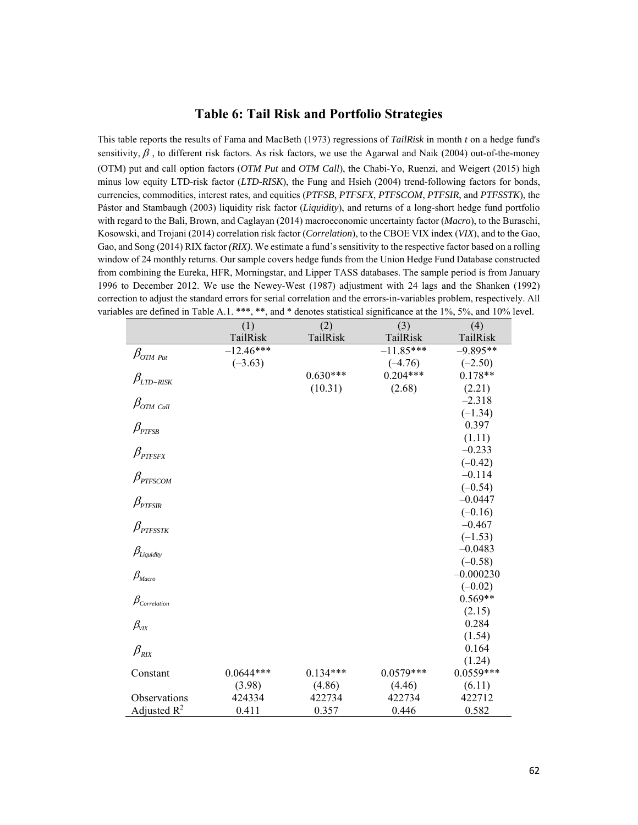### **Table 6: Tail Risk and Portfolio Strategies**

This table reports the results of Fama and MacBeth (1973) regressions of *TailRisk* in month *t* on a hedge fund's sensitivity,  $\beta$ , to different risk factors. As risk factors, we use the Agarwal and Naik (2004) out-of-the-money (OTM) put and call option factors (*OTM Put* and *OTM Call*), the Chabi-Yo, Ruenzi, and Weigert (2015) high minus low equity LTD-risk factor (*LTD-RISK*), the Fung and Hsieh (2004) trend-following factors for bonds, currencies, commodities, interest rates, and equities (*PTFSB*, *PTFSFX*, *PTFSCOM*, *PTFSIR*, and *PTFSSTK*), the Pástor and Stambaugh (2003) liquidity risk factor (*Liquidity*), and returns of a long-short hedge fund portfolio with regard to the Bali, Brown, and Caglayan (2014) macroeconomic uncertainty factor (*Macro*), to the Buraschi, Kosowski, and Trojani (2014) correlation risk factor (*Correlation*), to the CBOE VIX index (*VIX*), and to the Gao, Gao, and Song (2014) RIX factor *(RIX)*. We estimate a fund's sensitivity to the respective factor based on a rolling window of 24 monthly returns. Our sample covers hedge funds from the Union Hedge Fund Database constructed from combining the Eureka, HFR, Morningstar, and Lipper TASS databases. The sample period is from January 1996 to December 2012. We use the Newey-West (1987) adjustment with 24 lags and the Shanken (1992) correction to adjust the standard errors for serial correlation and the errors-in-variables problem, respectively. All variables are defined in Table A.1. \*\*\*, \*\*, and \* denotes statistical significance at the 1%, 5%, and 10% level.

|                                       | (1)         | (2)        | (3)         | (4)         |
|---------------------------------------|-------------|------------|-------------|-------------|
|                                       | TailRisk    | TailRisk   | TailRisk    | TailRisk    |
| $\beta_{OTM\;Put}$                    | $-12.46***$ |            | $-11.85***$ | $-9.895**$  |
|                                       | $(-3.63)$   |            | $(-4.76)$   | $(-2.50)$   |
| $\beta_{\scriptscriptstyle LTD-RISK}$ |             | $0.630***$ | $0.204***$  | $0.178**$   |
|                                       |             | (10.31)    | (2.68)      | (2.21)      |
| $\beta_{OTM\,$ Call                   |             |            |             | $-2.318$    |
|                                       |             |            |             | $(-1.34)$   |
| $\beta_{\scriptscriptstyle PTFSB}$    |             |            |             | 0.397       |
|                                       |             |            |             | (1.11)      |
| $\beta_{\scriptscriptstyle PTFSFX}$   |             |            |             | $-0.233$    |
|                                       |             |            |             | $(-0.42)$   |
| $\beta_{\scriptscriptstyle PTFSCOM}$  |             |            |             | $-0.114$    |
|                                       |             |            |             | $(-0.54)$   |
| $\beta_{\scriptscriptstyle PTFSIR}$   |             |            |             | $-0.0447$   |
|                                       |             |            |             | $(-0.16)$   |
| $\beta_{\scriptscriptstyle PTFSSTK}$  |             |            |             | $-0.467$    |
|                                       |             |            |             | $(-1.53)$   |
| $\beta_{\textit{Liquidity}}$          |             |            |             | $-0.0483$   |
|                                       |             |            |             | $(-0.58)$   |
| $\beta_{\text{\tiny{Macro}}}$         |             |            |             | $-0.000230$ |
|                                       |             |            |             | $(-0.02)$   |
| $\beta_{\text{\tiny Correlation}}$    |             |            |             | $0.569**$   |
|                                       |             |            |             | (2.15)      |
| $\beta_{\rm VIX}$                     |             |            |             | 0.284       |
|                                       |             |            |             | (1.54)      |
| $\beta_{\rm RIX}$                     |             |            |             | 0.164       |
|                                       |             |            |             | (1.24)      |
| Constant                              | $0.0644***$ | $0.134***$ | $0.0579***$ | $0.0559***$ |
|                                       | (3.98)      | (4.86)     | (4.46)      | (6.11)      |
| Observations                          | 424334      | 422734     | 422734      | 422712      |
| Adjusted $R^2$                        | 0.411       | 0.357      | 0.446       | 0.582       |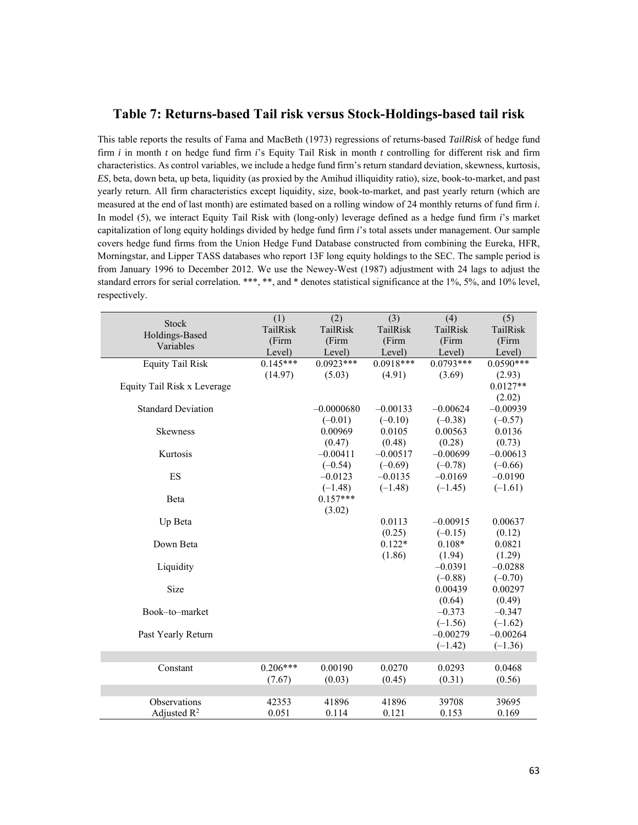#### **Table 7: Returns-based Tail risk versus Stock-Holdings-based tail risk**

This table reports the results of Fama and MacBeth (1973) regressions of returns-based *TailRisk* of hedge fund firm *i* in month *t* on hedge fund firm *i*'s Equity Tail Risk in month *t* controlling for different risk and firm characteristics. As control variables, we include a hedge fund firm's return standard deviation, skewness, kurtosis, *ES*, beta, down beta, up beta, liquidity (as proxied by the Amihud illiquidity ratio), size, book-to-market, and past yearly return. All firm characteristics except liquidity, size, book-to-market, and past yearly return (which are measured at the end of last month) are estimated based on a rolling window of 24 monthly returns of fund firm *i*. In model (5), we interact Equity Tail Risk with (long-only) leverage defined as a hedge fund firm *i*'s market capitalization of long equity holdings divided by hedge fund firm *i*'s total assets under management. Our sample covers hedge fund firms from the Union Hedge Fund Database constructed from combining the Eureka, HFR, Morningstar, and Lipper TASS databases who report 13F long equity holdings to the SEC. The sample period is from January 1996 to December 2012. We use the Newey-West (1987) adjustment with 24 lags to adjust the standard errors for serial correlation. \*\*\*, \*\*, and \* denotes statistical significance at the 1%, 5%, and 10% level, respectively.

| <b>Stock</b>                | (1)        | (2)          | (3)         | (4)         | (5)         |
|-----------------------------|------------|--------------|-------------|-------------|-------------|
| Holdings-Based              | TailRisk   | TailRisk     | TailRisk    | TailRisk    | TailRisk    |
| Variables                   | (Firm      | (Firm        | (Firm       | (Firm       | (Firm       |
|                             | Level)     | Level)       | Level)      | Level)      | Level)      |
| <b>Equity Tail Risk</b>     | $0.145***$ | $0.0923***$  | $0.0918***$ | $0.0793***$ | $0.0590***$ |
|                             | (14.97)    | (5.03)       | (4.91)      | (3.69)      | (2.93)      |
| Equity Tail Risk x Leverage |            |              |             |             | $0.0127**$  |
|                             |            |              |             |             | (2.02)      |
| <b>Standard Deviation</b>   |            | $-0.0000680$ | $-0.00133$  | $-0.00624$  | $-0.00939$  |
|                             |            | $(-0.01)$    | $(-0.10)$   | $(-0.38)$   | $(-0.57)$   |
| Skewness                    |            | 0.00969      | 0.0105      | 0.00563     | 0.0136      |
|                             |            | (0.47)       | (0.48)      | (0.28)      | (0.73)      |
| Kurtosis                    |            | $-0.00411$   | $-0.00517$  | $-0.00699$  | $-0.00613$  |
|                             |            | $(-0.54)$    | $(-0.69)$   | $(-0.78)$   | $(-0.66)$   |
| ES                          |            | $-0.0123$    | $-0.0135$   | $-0.0169$   | $-0.0190$   |
|                             |            | $(-1.48)$    | $(-1.48)$   | $(-1.45)$   | $(-1.61)$   |
| Beta                        |            | $0.157***$   |             |             |             |
|                             |            | (3.02)       |             |             |             |
| Up Beta                     |            |              | 0.0113      | $-0.00915$  | 0.00637     |
|                             |            |              | (0.25)      | $(-0.15)$   | (0.12)      |
| Down Beta                   |            |              | $0.122*$    | $0.108*$    | 0.0821      |
|                             |            |              | (1.86)      | (1.94)      | (1.29)      |
| Liquidity                   |            |              |             | $-0.0391$   | $-0.0288$   |
|                             |            |              |             | $(-0.88)$   | $(-0.70)$   |
| Size                        |            |              |             | 0.00439     | 0.00297     |
|                             |            |              |             | (0.64)      | (0.49)      |
| Book-to-market              |            |              |             | $-0.373$    | $-0.347$    |
|                             |            |              |             | $(-1.56)$   | $(-1.62)$   |
| Past Yearly Return          |            |              |             | $-0.00279$  | $-0.00264$  |
|                             |            |              |             | $(-1.42)$   | $(-1.36)$   |
|                             |            |              |             |             |             |
| Constant                    | $0.206***$ | 0.00190      | 0.0270      | 0.0293      | 0.0468      |
|                             | (7.67)     | (0.03)       | (0.45)      | (0.31)      | (0.56)      |
|                             |            |              |             |             |             |
| Observations                | 42353      | 41896        | 41896       | 39708       | 39695       |
| Adjusted $R^2$              | 0.051      | 0.114        | 0.121       | 0.153       | 0.169       |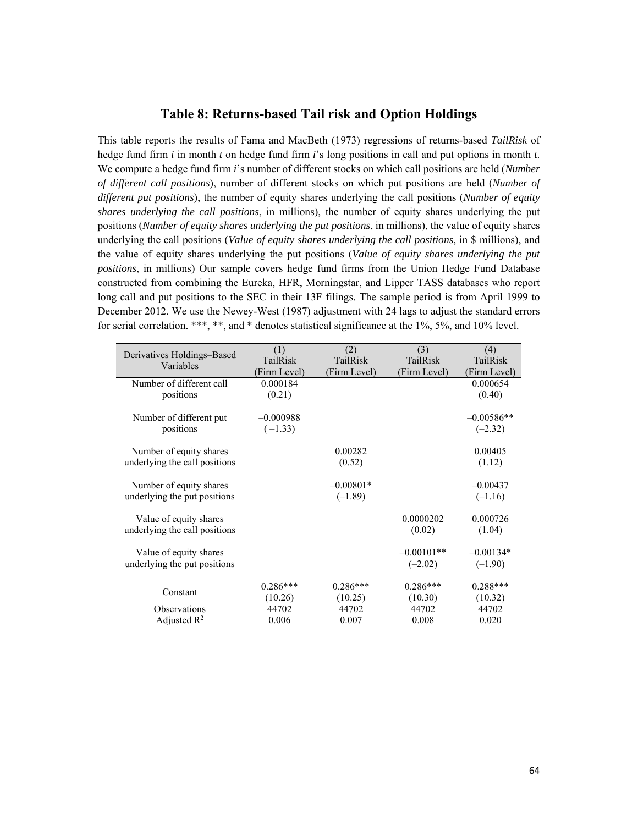### **Table 8: Returns-based Tail risk and Option Holdings**

This table reports the results of Fama and MacBeth (1973) regressions of returns-based *TailRisk* of hedge fund firm *i* in month *t* on hedge fund firm *i*'s long positions in call and put options in month *t*. We compute a hedge fund firm *i*'s number of different stocks on which call positions are held (*Number of different call positions*), number of different stocks on which put positions are held (*Number of different put positions*), the number of equity shares underlying the call positions (*Number of equity shares underlying the call positions*, in millions), the number of equity shares underlying the put positions (*Number of equity shares underlying the put positions*, in millions), the value of equity shares underlying the call positions (*Value of equity shares underlying the call positions*, in \$ millions), and the value of equity shares underlying the put positions (*Value of equity shares underlying the put positions*, in millions) Our sample covers hedge fund firms from the Union Hedge Fund Database constructed from combining the Eureka, HFR, Morningstar, and Lipper TASS databases who report long call and put positions to the SEC in their 13F filings. The sample period is from April 1999 to December 2012. We use the Newey-West (1987) adjustment with 24 lags to adjust the standard errors for serial correlation. \*\*\*, \*\*, and \* denotes statistical significance at the 1%, 5%, and 10% level.

| Derivatives Holdings-Based    | (1)<br>TailRisk | (2)<br>TailRisk | (3)<br>TailRisk | (4)<br>TailRisk |
|-------------------------------|-----------------|-----------------|-----------------|-----------------|
| Variables                     | (Firm Level)    | (Firm Level)    | (Firm Level)    | (Firm Level)    |
| Number of different call      | 0.000184        |                 |                 | 0.000654        |
| positions                     | (0.21)          |                 |                 | (0.40)          |
|                               |                 |                 |                 |                 |
| Number of different put       | $-0.000988$     |                 |                 | $-0.00586**$    |
| positions                     | $(-1.33)$       |                 |                 | $(-2.32)$       |
| Number of equity shares       |                 | 0.00282         |                 | 0.00405         |
| underlying the call positions |                 | (0.52)          |                 | (1.12)          |
|                               |                 |                 |                 |                 |
| Number of equity shares       |                 | $-0.00801*$     |                 | $-0.00437$      |
| underlying the put positions  |                 | $(-1.89)$       |                 | $(-1.16)$       |
|                               |                 |                 |                 |                 |
| Value of equity shares        |                 |                 | 0.0000202       | 0.000726        |
| underlying the call positions |                 |                 | (0.02)          | (1.04)          |
|                               |                 |                 |                 |                 |
| Value of equity shares        |                 |                 | $-0.00101**$    | $-0.00134*$     |
| underlying the put positions  |                 |                 | $(-2.02)$       | $(-1.90)$       |
|                               |                 |                 |                 |                 |
| Constant                      | $0.286***$      | $0.286***$      | $0.286***$      | $0.288***$      |
|                               | (10.26)         | (10.25)         | (10.30)         | (10.32)         |
| <b>Observations</b>           | 44702           | 44702           | 44702           | 44702           |
| Adjusted $\mathbb{R}^2$       | 0.006           | 0.007           | 0.008           | 0.020           |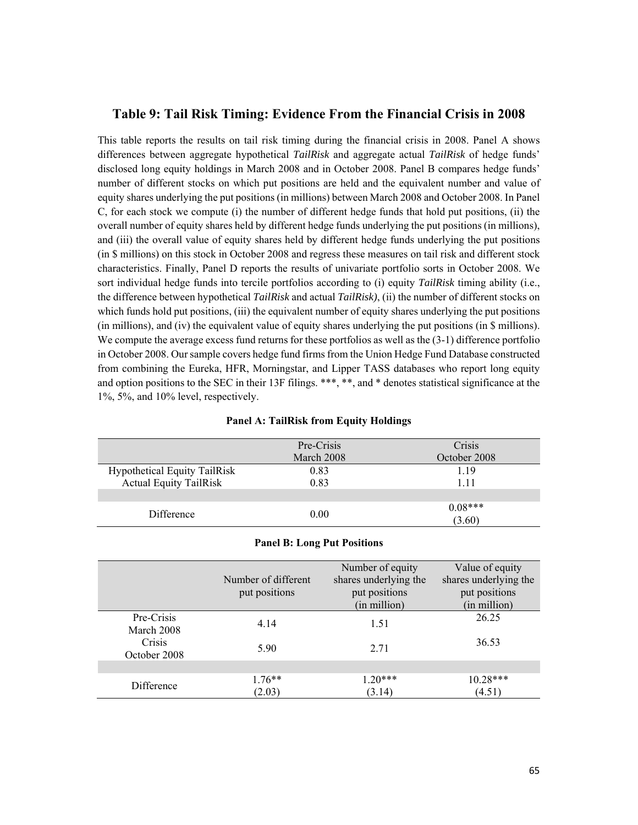### **Table 9: Tail Risk Timing: Evidence From the Financial Crisis in 2008**

This table reports the results on tail risk timing during the financial crisis in 2008. Panel A shows differences between aggregate hypothetical *TailRisk* and aggregate actual *TailRisk* of hedge funds' disclosed long equity holdings in March 2008 and in October 2008. Panel B compares hedge funds' number of different stocks on which put positions are held and the equivalent number and value of equity shares underlying the put positions (in millions) between March 2008 and October 2008. In Panel C, for each stock we compute (i) the number of different hedge funds that hold put positions, (ii) the overall number of equity shares held by different hedge funds underlying the put positions (in millions), and (iii) the overall value of equity shares held by different hedge funds underlying the put positions (in \$ millions) on this stock in October 2008 and regress these measures on tail risk and different stock characteristics. Finally, Panel D reports the results of univariate portfolio sorts in October 2008. We sort individual hedge funds into tercile portfolios according to (i) equity *TailRisk* timing ability (i.e., the difference between hypothetical *TailRisk* and actual *TailRisk)*, (ii) the number of different stocks on which funds hold put positions, (iii) the equivalent number of equity shares underlying the put positions (in millions), and (iv) the equivalent value of equity shares underlying the put positions (in \$ millions). We compute the average excess fund returns for these portfolios as well as the  $(3-1)$  difference portfolio in October 2008. Our sample covers hedge fund firms from the Union Hedge Fund Database constructed from combining the Eureka, HFR, Morningstar, and Lipper TASS databases who report long equity and option positions to the SEC in their 13F filings. \*\*\*, \*\*, and \* denotes statistical significance at the 1%, 5%, and 10% level, respectively.

|                                     | Pre-Crisis | Crisis       |
|-------------------------------------|------------|--------------|
|                                     | March 2008 | October 2008 |
| <b>Hypothetical Equity TailRisk</b> | 0.83       | 119          |
| <b>Actual Equity TailRisk</b>       | 0.83       | 1.11         |
|                                     |            |              |
|                                     | 0.00       | $0.08***$    |
| Difference                          |            | (3.60)       |

|                                    | Number of different<br>put positions | Number of equity<br>shares underlying the<br>put positions<br>(in million) | Value of equity<br>shares underlying the<br>put positions<br>(in million) |
|------------------------------------|--------------------------------------|----------------------------------------------------------------------------|---------------------------------------------------------------------------|
| Pre-Crisis<br>March 2008<br>Crisis | 4.14                                 | 1.51                                                                       | 26.25<br>36.53                                                            |
| October 2008                       | 5.90                                 | 2.71                                                                       |                                                                           |
| Difference                         | $1.76**$<br>(2.03)                   | $1.20***$<br>(3.14)                                                        | $10.28***$<br>(4.51)                                                      |